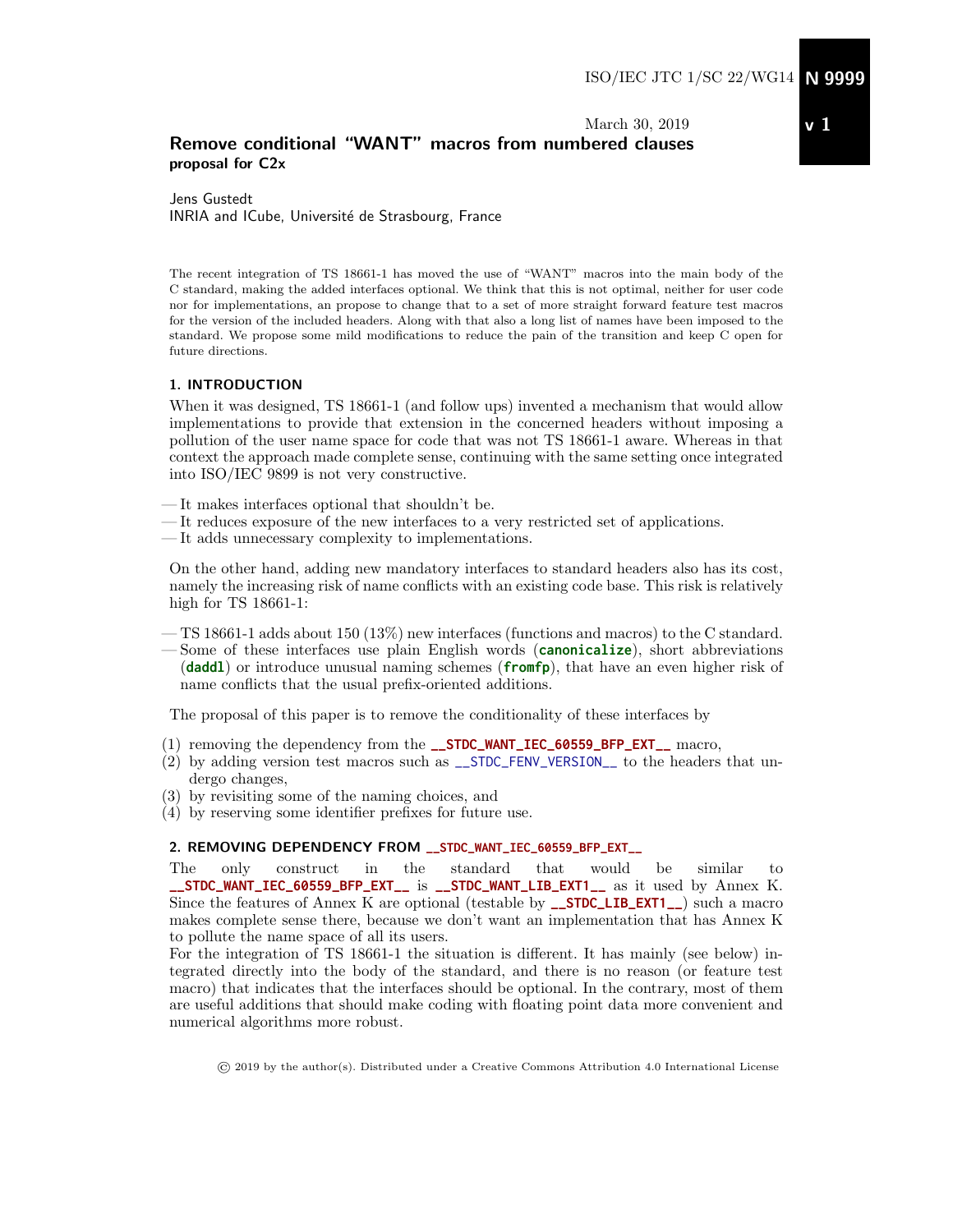## March 30, 2019 Remove conditional "WANT" macros from numbered clauses proposal for C2x

Jens Gustedt INRIA and ICube, Université de Strasbourg, France

The recent integration of TS 18661-1 has moved the use of "WANT" macros into the main body of the C standard, making the added interfaces optional. We think that this is not optimal, neither for user code nor for implementations, an propose to change that to a set of more straight forward feature test macros for the version of the included headers. Along with that also a long list of names have been imposed to the standard. We propose some mild modifications to reduce the pain of the transition and keep C open for future directions.

#### 1. INTRODUCTION

When it was designed, TS 18661-1 (and follow ups) invented a mechanism that would allow implementations to provide that extension in the concerned headers without imposing a pollution of the user name space for code that was not TS 18661-1 aware. Whereas in that context the approach made complete sense, continuing with the same setting once integrated into ISO/IEC 9899 is not very constructive.

- It makes interfaces optional that shouldn't be.
- It reduces exposure of the new interfaces to a very restricted set of applications.
- It adds unnecessary complexity to implementations.

On the other hand, adding new mandatory interfaces to standard headers also has its cost, namely the increasing risk of name conflicts with an existing code base. This risk is relatively high for TS 18661-1:

- TS 18661-1 adds about 150 (13%) new interfaces (functions and macros) to the C standard.
- Some of these interfaces use plain English words (**canonicalize**), short abbreviations (**daddl**) or introduce unusual naming schemes (**fromfp**), that have an even higher risk of name conflicts that the usual prefix-oriented additions.

The proposal of this paper is to remove the conditionality of these interfaces by

- (1) removing the dependency from the **\_\_STDC\_WANT\_IEC\_60559\_BFP\_EXT\_\_** macro,
- $(2)$  by adding version test macros such as  $\text{\_SIDE-FENV_VERSION}\_\text{\_}$  to the headers that undergo changes,
- (3) by revisiting some of the naming choices, and
- (4) by reserving some identifier prefixes for future use.

#### 2. REMOVING DEPENDENCY FROM **\_\_STDC\_WANT\_IEC\_60559\_BFP\_EXT\_\_**

The only construct in the standard that would be similar to **\_\_STDC\_WANT\_IEC\_60559\_BFP\_EXT\_\_** is **\_\_STDC\_WANT\_LIB\_EXT1\_\_** as it used by Annex K. Since the features of Annex K are optional (testable by **\_\_STDC\_LIB\_EXT1\_\_**) such a macro makes complete sense there, because we don't want an implementation that has Annex K to pollute the name space of all its users.

For the integration of TS 18661-1 the situation is different. It has mainly (see below) integrated directly into the body of the standard, and there is no reason (or feature test macro) that indicates that the interfaces should be optional. In the contrary, most of them are useful additions that should make coding with floating point data more convenient and numerical algorithms more robust.

© 2019 by the author(s). Distributed under a Creative Commons Attribution 4.0 International License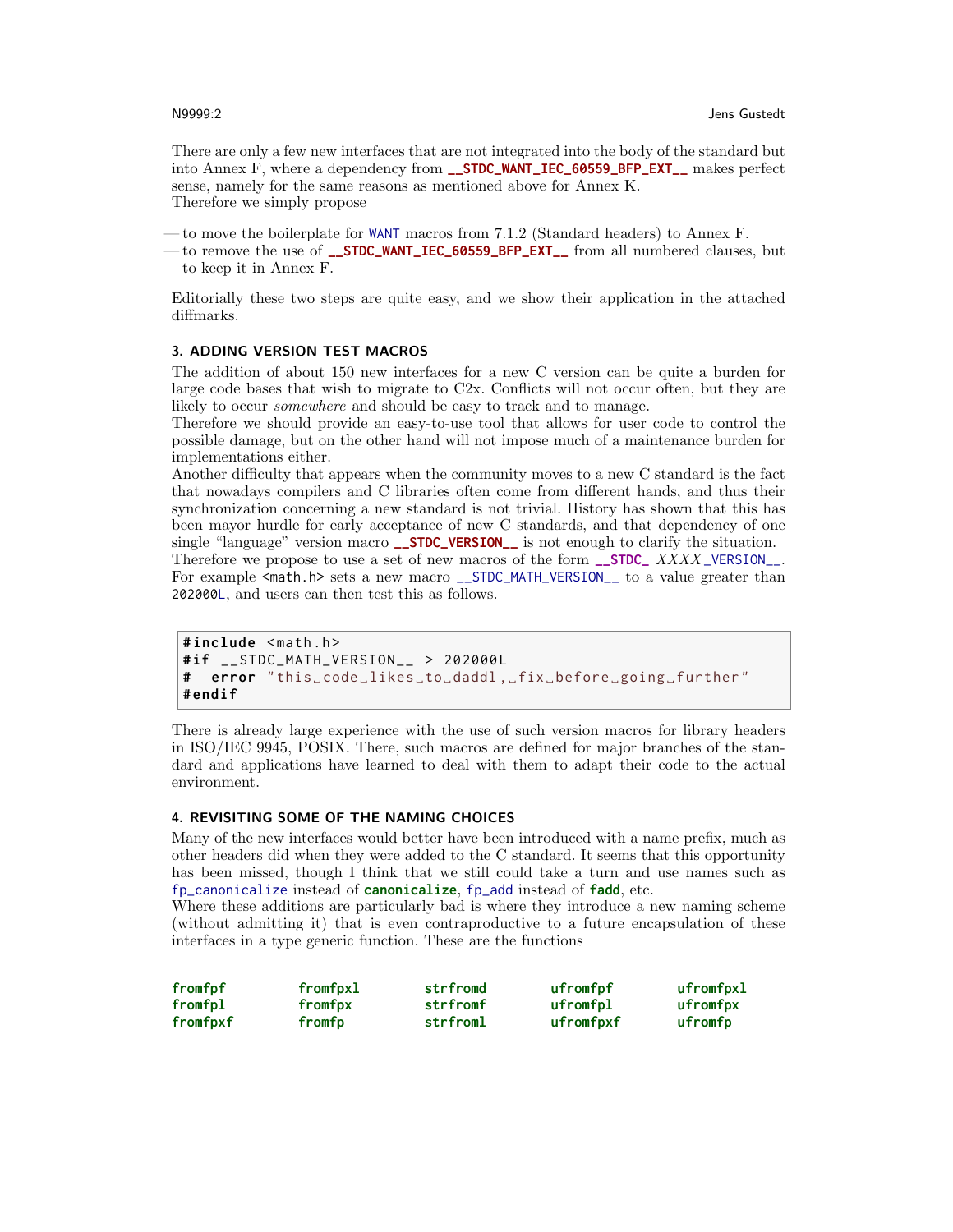There are only a few new interfaces that are not integrated into the body of the standard but into Annex F, where a dependency from **\_\_STDC\_WANT\_IEC\_60559\_BFP\_EXT\_\_** makes perfect sense, namely for the same reasons as mentioned above for Annex K. Therefore we simply propose

— to move the boilerplate for WANT macros from 7.1.2 (Standard headers) to Annex F.

— to remove the use of **\_\_STDC\_WANT\_IEC\_60559\_BFP\_EXT\_\_** from all numbered clauses, but to keep it in Annex F.

Editorially these two steps are quite easy, and we show their application in the attached diffmarks.

#### 3. ADDING VERSION TEST MACROS

The addition of about 150 new interfaces for a new C version can be quite a burden for large code bases that wish to migrate to C2x. Conflicts will not occur often, but they are likely to occur *somewhere* and should be easy to track and to manage.

Therefore we should provide an easy-to-use tool that allows for user code to control the possible damage, but on the other hand will not impose much of a maintenance burden for implementations either.

Another difficulty that appears when the community moves to a new C standard is the fact that nowadays compilers and C libraries often come from different hands, and thus their synchronization concerning a new standard is not trivial. History has shown that this has been mayor hurdle for early acceptance of new C standards, and that dependency of one single "language" version macro **\_\_STDC\_VERSION\_\_** is not enough to clarify the situation. Therefore we propose to use a set of new macros of the form **\_\_STDC\_** XXXX \_VERSION\_\_.

For example  $\epsilon$  math.h> sets a new macro \_\_STDC\_MATH\_VERSION\_\_ to a value greater than 202000L, and users can then test this as follows.

```
#include <math.h>
# if __STDC_MATH_VERSION__ > 202000 L
# error " this ␣ code ␣ likes ␣to␣daddl ,␣fix ␣ before ␣ going ␣ further "
# endif
```
There is already large experience with the use of such version macros for library headers in ISO/IEC 9945, POSIX. There, such macros are defined for major branches of the standard and applications have learned to deal with them to adapt their code to the actual environment.

#### 4. REVISITING SOME OF THE NAMING CHOICES

Many of the new interfaces would better have been introduced with a name prefix, much as other headers did when they were added to the C standard. It seems that this opportunity has been missed, though I think that we still could take a turn and use names such as fp\_canonicalize instead of **canonicalize**, fp\_add instead of **fadd**, etc.

Where these additions are particularly bad is where they introduce a new naming scheme (without admitting it) that is even contraproductive to a future encapsulation of these interfaces in a type generic function. These are the functions

| fromfpf  | fromfpxl | strfromd | ufromfpf  | ufromfpxl |
|----------|----------|----------|-----------|-----------|
| fromfpl  | fromfpx  | strfromf | ufromfpl  | ufromfpx  |
| fromfpxf | fromfp   | strfroml | ufromfpxf | ufromfp   |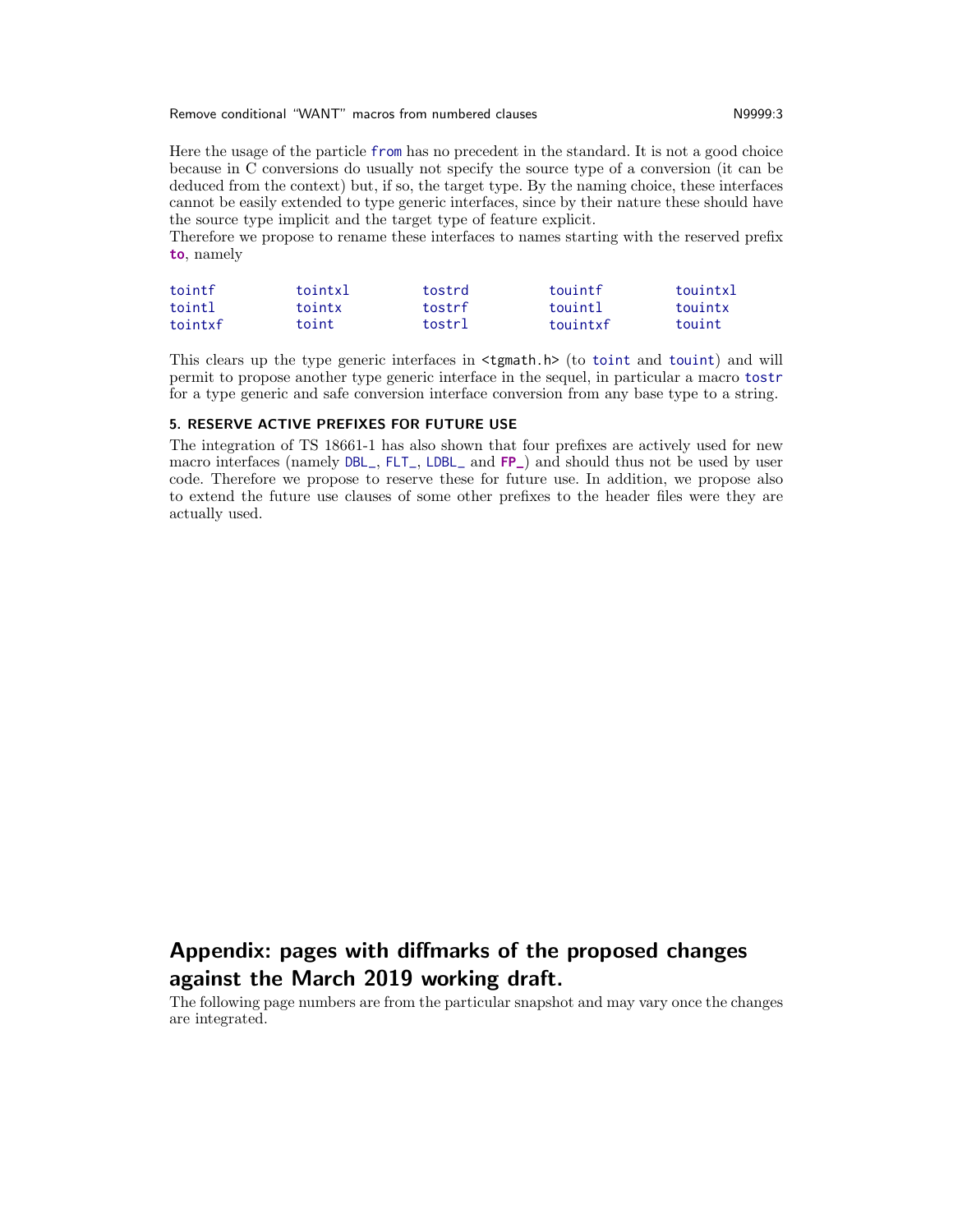Remove conditional "WANT" macros from numbered clauses Network 2009-13 N9999:3

Here the usage of the particle from has no precedent in the standard. It is not a good choice because in C conversions do usually not specify the source type of a conversion (it can be deduced from the context) but, if so, the target type. By the naming choice, these interfaces cannot be easily extended to type generic interfaces, since by their nature these should have the source type implicit and the target type of feature explicit.

Therefore we propose to rename these interfaces to names starting with the reserved prefix **to**, namely

| tointf  | tointxl | tostrd | touintf  | touintxl |
|---------|---------|--------|----------|----------|
| tointl  | tointx  | tostrf | touint]  | touintx  |
| tointxf | toint   | tostrl | touintxf | touint   |

This clears up the type generic interfaces in <tgmath.h> (to toint and touint) and will permit to propose another type generic interface in the sequel, in particular a macro tostr for a type generic and safe conversion interface conversion from any base type to a string.

#### 5. RESERVE ACTIVE PREFIXES FOR FUTURE USE

The integration of TS 18661-1 has also shown that four prefixes are actively used for new macro interfaces (namely DBL\_, FLT\_, LDBL\_ and **FP\_**) and should thus not be used by user code. Therefore we propose to reserve these for future use. In addition, we propose also to extend the future use clauses of some other prefixes to the header files were they are actually used.

# Appendix: pages with diffmarks of the proposed changes against the March 2019 working draft.

The following page numbers are from the particular snapshot and may vary once the changes are integrated.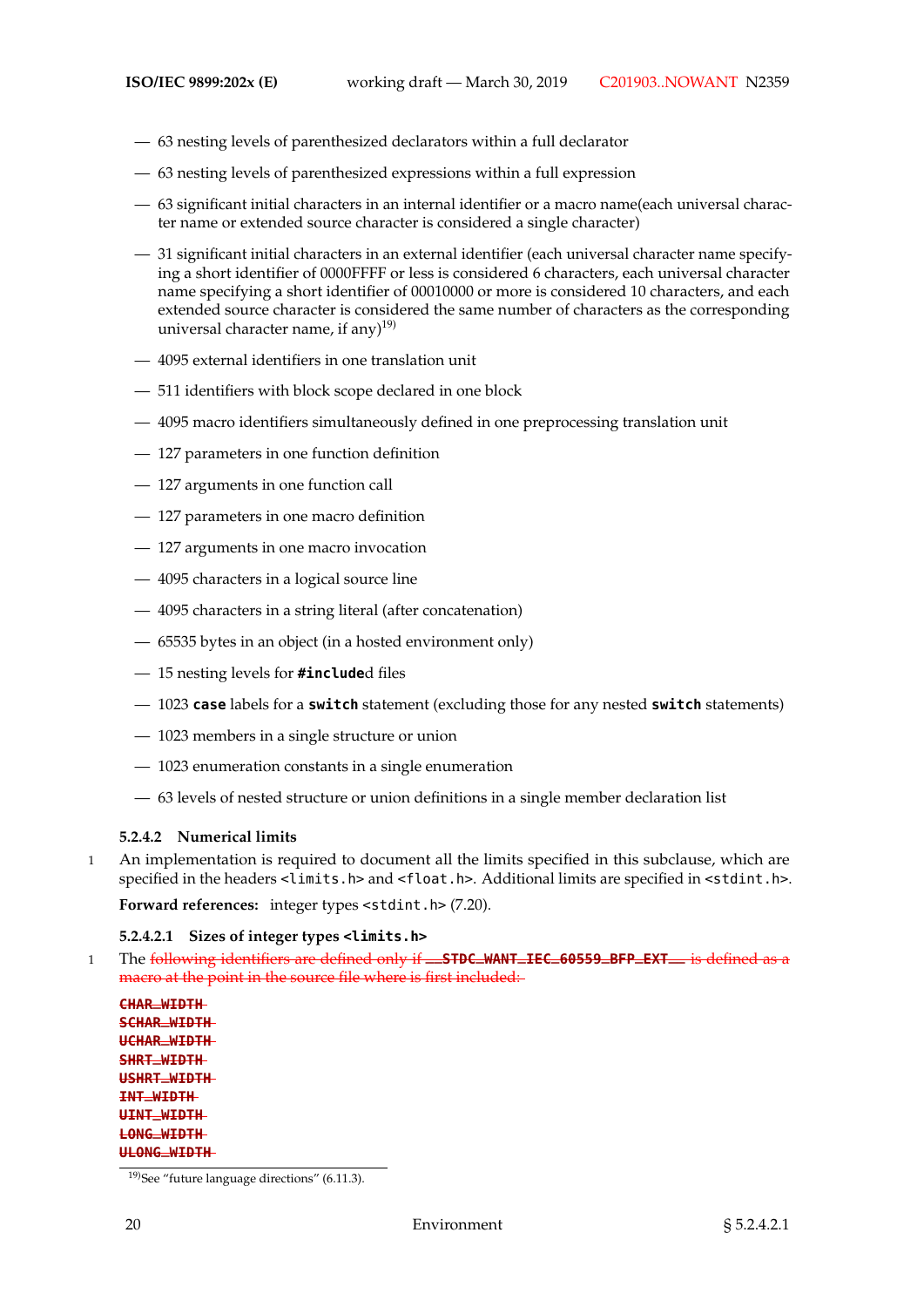- 63 nesting levels of parenthesized declarators within a full declarator
- 63 nesting levels of parenthesized expressions within a full expression
- 63 significant initial characters in an internal identifier or a macro name(each universal character name or extended source character is considered a single character)
- 31 significant initial characters in an external identifier (each universal character name specifying a short identifier of 0000FFFF or less is considered 6 characters, each universal character name specifying a short identifier of 00010000 or more is considered 10 characters, and each extended source character is considered the same number of characters as the corresponding universal character name, if any $)^{19)}$
- 4095 external identifiers in one translation unit
- 511 identifiers with block scope declared in one block
- 4095 macro identifiers simultaneously defined in one preprocessing translation unit
- 127 parameters in one function definition
- 127 arguments in one function call
- 127 parameters in one macro definition
- 127 arguments in one macro invocation
- 4095 characters in a logical source line
- 4095 characters in a string literal (after concatenation)
- 65535 bytes in an object (in a hosted environment only)
- 15 nesting levels for **#include**d files
- 1023 **case** labels for a **switch** statement (excluding those for any nested **switch** statements)
- 1023 members in a single structure or union
- 1023 enumeration constants in a single enumeration
- 63 levels of nested structure or union definitions in a single member declaration list

#### **5.2.4.2 Numerical limits**

1 An implementation is required to document all the limits specified in this subclause, which are specified in the headers <limits.h> and <float.h>. Additional limits are specified in <stdint.h>.

Forward references: integer types <stdint.h>  $(7.20)$ .

#### **5.2.4.2.1 Sizes of integer types <limits.h>**

<sup>1</sup> The following identifiers are defined only if **\_\_STDC\_WANT\_IEC\_60559\_BFP\_EXT\_\_** is defined as a macro at the point in the source file where is first included:

**CHAR\_WIDTH SCHAR\_WIDTH UCHAR\_WIDTH SHRT\_WIDTH USHRT\_WIDTH INT\_WIDTH UINT\_WIDTH LONG\_WIDTH ULONG\_WIDTH**

<sup>19)</sup>See "future language directions" (6.11.3).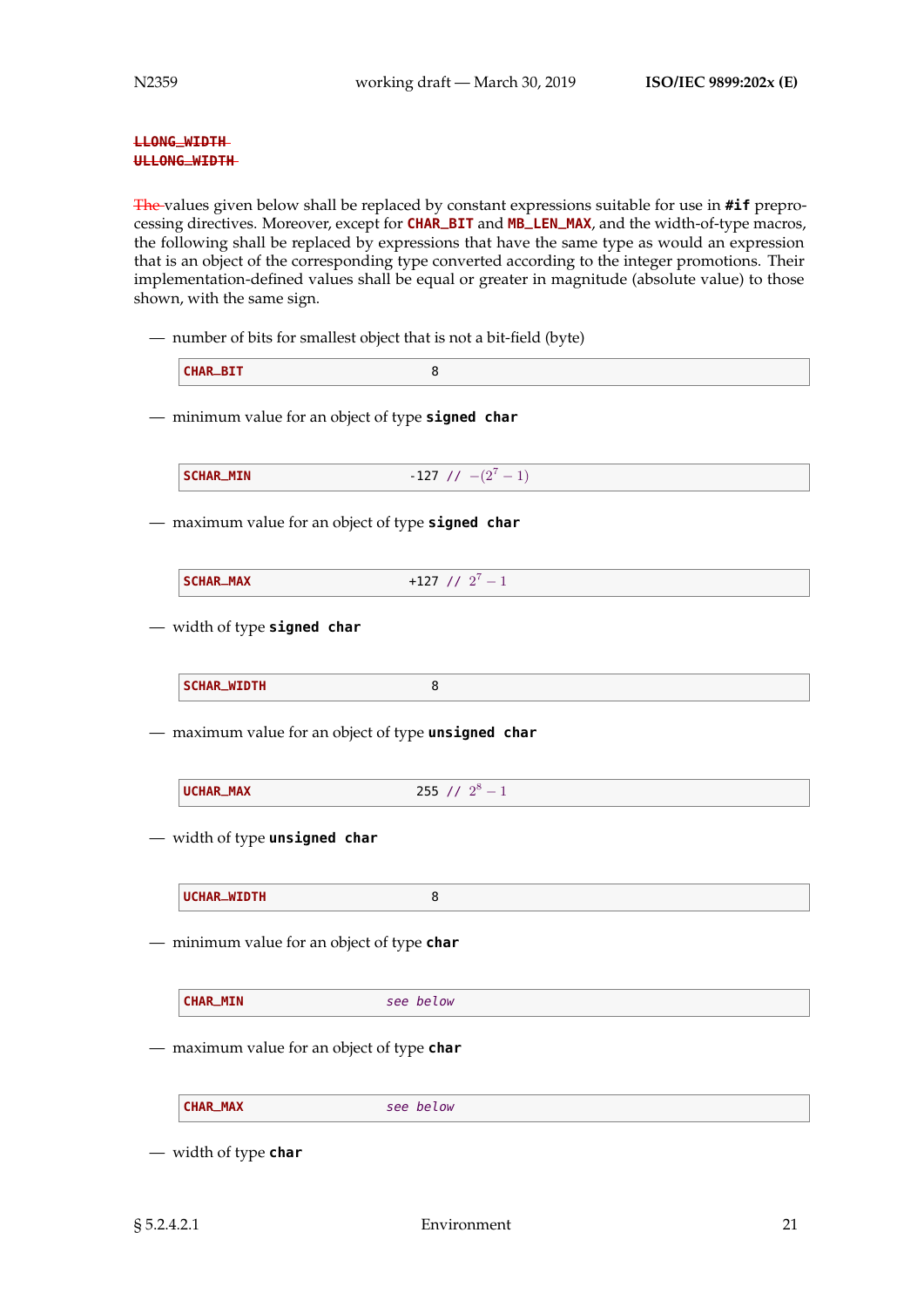#### **LLONG\_WIDTH ULLONG\_WIDTH**

The values given below shall be replaced by constant expressions suitable for use in **#if** preprocessing directives. Moreover, except for **CHAR\_BIT** and **MB\_LEN\_MAX**, and the width-of-type macros, the following shall be replaced by expressions that have the same type as would an expression that is an object of the corresponding type converted according to the integer promotions. Their implementation-defined values shall be equal or greater in magnitude (absolute value) to those shown, with the same sign.

— number of bits for smallest object that is not a bit-field (byte)

— minimum value for an object of type **signed char**

| $-127$ // $-(2^7-1)$<br><b>SCHAR_MIN</b> |
|------------------------------------------|
|------------------------------------------|

— maximum value for an object of type **signed char**

— width of type **signed char**

|  | SCHAR_WIDTH |  |  |  |
|--|-------------|--|--|--|
|--|-------------|--|--|--|

— maximum value for an object of type **unsigned char**

| 255 // $2^8$<br>UCHAR_MAX<br>$\overline{\phantom{a}}$ |
|-------------------------------------------------------|
|-------------------------------------------------------|

— width of type **unsigned char**

| UCHAR_WIDTH |
|-------------|
|-------------|

— minimum value for an object of type **char**

**CHAR\_MIN** see below

— maximum value for an object of type **char**

**CHAR\_MAX** see below

— width of type **char**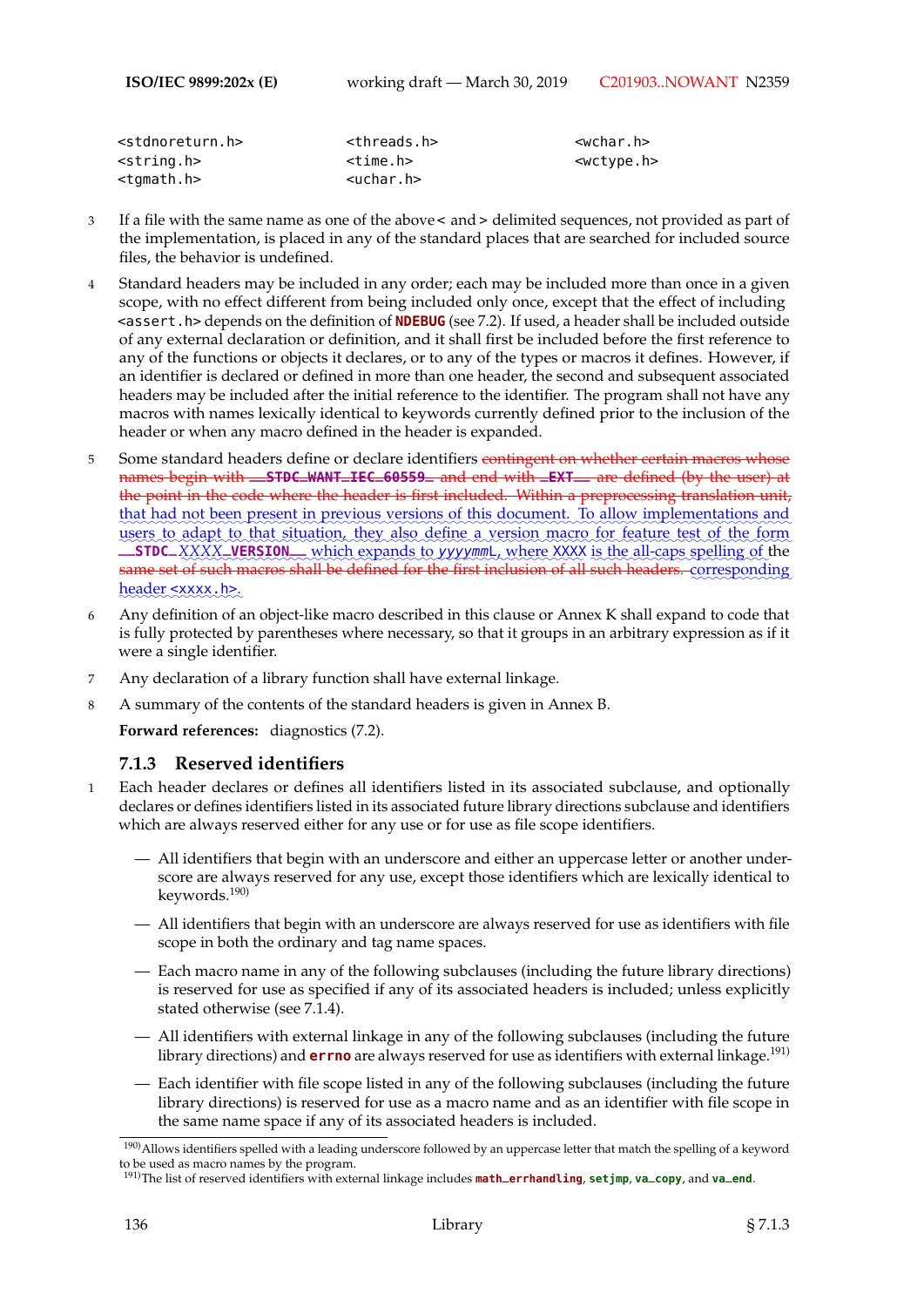| <stdnoreturn.h></stdnoreturn.h> | <threads.h></threads.h> | /wchar.h>             |
|---------------------------------|-------------------------|-----------------------|
| $<$ string.h $>$                | <time.h></time.h>       | <wctype.h></wctype.h> |
| <tqmath.h></tqmath.h>           | <uchar.h></uchar.h>     |                       |

- 3 If a file with the same name as one of the above< and > delimited sequences, not provided as part of the implementation, is placed in any of the standard places that are searched for included source files, the behavior is undefined.
- 4 Standard headers may be included in any order; each may be included more than once in a given scope, with no effect different from being included only once, except that the effect of including <assert.h> depends on the definition of **NDEBUG** (see 7.2). If used, a header shall be included outside of any external declaration or definition, and it shall first be included before the first reference to any of the functions or objects it declares, or to any of the types or macros it defines. However, if an identifier is declared or defined in more than one header, the second and subsequent associated headers may be included after the initial reference to the identifier. The program shall not have any macros with names lexically identical to keywords currently defined prior to the inclusion of the header or when any macro defined in the header is expanded.
- 5 Some standard headers define or declare identifiers contingent on whether certain macros whose names begin with **\_\_STDC\_WANT\_IEC\_60559\_** and end with **\_EXT\_\_** are defined (by the user) at the point in the code where the header is first included. Within a preprocessing translation unit, that had not been present in previous versions of this document. To allow implementations and users to adapt to that situation, they also define a version macro for feature test of the form **\_STDC\_XXXX\_VERSION\_\_** which expands to yyyymmL, where XXXX is the all-caps spelling of the same set of such macros shall be defined for the first inclusion of all such headers.  $\rm{corresponding}$ header <xxxx.h>.
- 6 Any definition of an object-like macro described in this clause or Annex K shall expand to code that is fully protected by parentheses where necessary, so that it groups in an arbitrary expression as if it were a single identifier.
- 7 Any declaration of a library function shall have external linkage.
- 8 A summary of the contents of the standard headers is given in Annex B.

**Forward references:** diagnostics (7.2).

## **7.1.3 Reserved identifiers**

- 1 Each header declares or defines all identifiers listed in its associated subclause, and optionally declares or defines identifiers listed in its associated future library directions subclause and identifiers which are always reserved either for any use or for use as file scope identifiers.
	- All identifiers that begin with an underscore and either an uppercase letter or another underscore are always reserved for any use, except those identifiers which are lexically identical to keywords.190)
	- All identifiers that begin with an underscore are always reserved for use as identifiers with file scope in both the ordinary and tag name spaces.
	- Each macro name in any of the following subclauses (including the future library directions) is reserved for use as specified if any of its associated headers is included; unless explicitly stated otherwise (see 7.1.4).
	- All identifiers with external linkage in any of the following subclauses (including the future library directions) and **errno** are always reserved for use as identifiers with external linkage.191)
	- Each identifier with file scope listed in any of the following subclauses (including the future library directions) is reserved for use as a macro name and as an identifier with file scope in the same name space if any of its associated headers is included.

 $\frac{190}{190}$ Allows identifiers spelled with a leading underscore followed by an uppercase letter that match the spelling of a keyword to be used as macro names by the program.

<sup>191)</sup>The list of reserved identifiers with external linkage includes **math\_errhandling**, **setjmp**, **va\_copy**, and **va\_end**.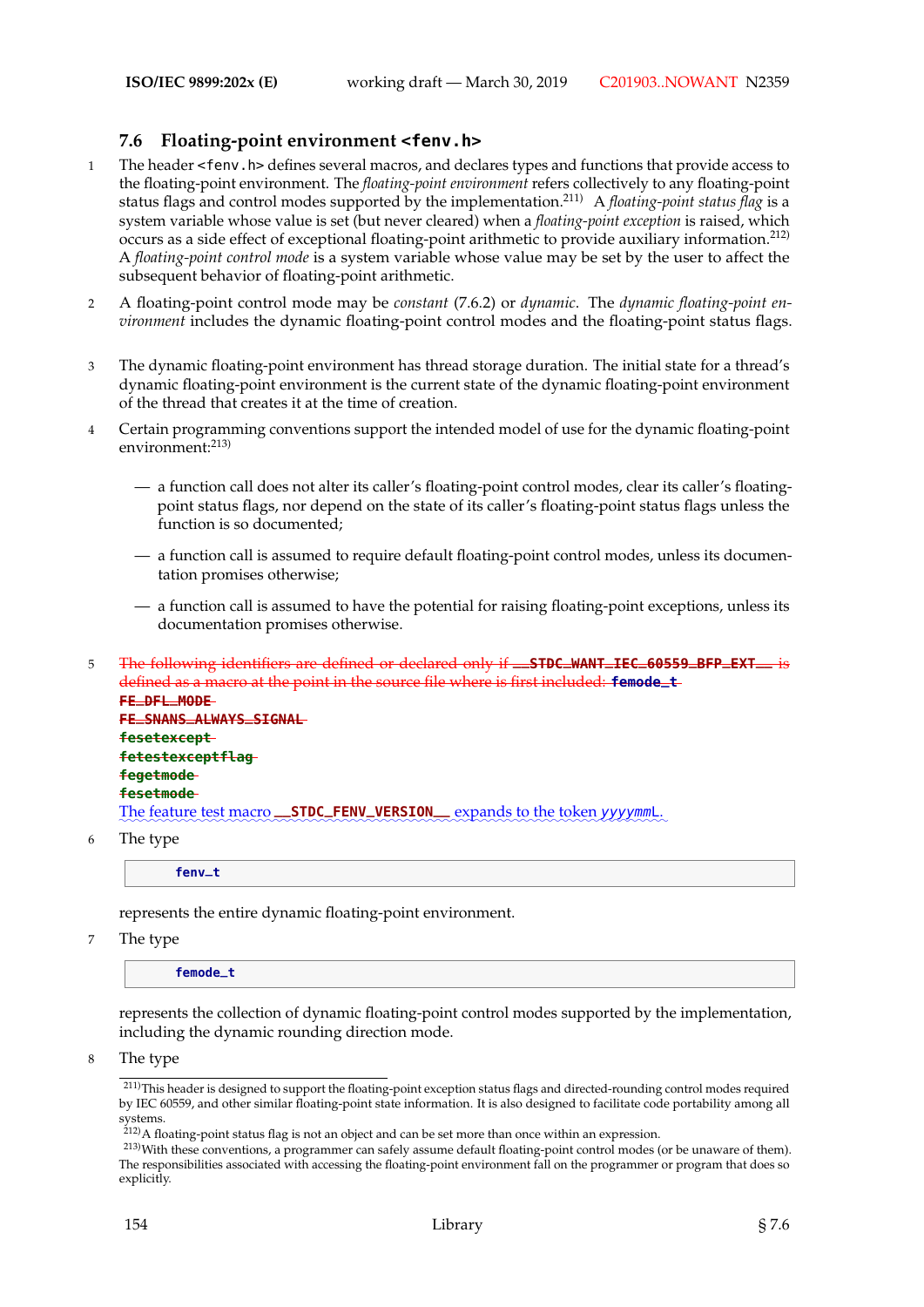## **7.6 Floating-point environment <fenv.h>**

- 1 The header <fenv.h> defines several macros, and declares types and functions that provide access to the floating-point environment. The *floating-point environment* refers collectively to any floating-point status flags and control modes supported by the implementation.211) A *floating-point status flag* is a system variable whose value is set (but never cleared) when a *floating-point exception* is raised, which occurs as a side effect of exceptional floating-point arithmetic to provide auxiliary information.212) A *floating-point control mode* is a system variable whose value may be set by the user to affect the subsequent behavior of floating-point arithmetic.
- 2 A floating-point control mode may be *constant* (7.6.2) or *dynamic*. The *dynamic floating-point environment* includes the dynamic floating-point control modes and the floating-point status flags.
- 3 The dynamic floating-point environment has thread storage duration. The initial state for a thread's dynamic floating-point environment is the current state of the dynamic floating-point environment of the thread that creates it at the time of creation.
- 4 Certain programming conventions support the intended model of use for the dynamic floating-point environment:<sup>213)</sup>
	- a function call does not alter its caller's floating-point control modes, clear its caller's floatingpoint status flags, nor depend on the state of its caller's floating-point status flags unless the function is so documented;
	- a function call is assumed to require default floating-point control modes, unless its documentation promises otherwise;
	- a function call is assumed to have the potential for raising floating-point exceptions, unless its documentation promises otherwise.
- <sup>5</sup> The following identifiers are defined or declared only if **\_\_STDC\_WANT\_IEC\_60559\_BFP\_EXT\_\_** is defined as a macro at the point in the source file where is first included: **femode\_t FE\_DFL\_MODE FE\_SNANS\_ALWAYS\_SIGNAL fesetexcept fetestexceptflag**

**fegetmode fesetmode** The feature test macro **\_\_STDC\_FENV\_VERSION** expands to the token yyyymmL.

6 The type

**fenv\_t**

represents the entire dynamic floating-point environment.

7 The type

**femode\_t**

represents the collection of dynamic floating-point control modes supported by the implementation, including the dynamic rounding direction mode.

8 The type

<sup>211)</sup>This header is designed to support the floating-point exception status flags and directed-rounding control modes required by IEC 60559, and other similar floating-point state information. It is also designed to facilitate code portability among all systems.

 $2^{212}$ A floating-point status flag is not an object and can be set more than once within an expression.

<sup>213)</sup>With these conventions, a programmer can safely assume default floating-point control modes (or be unaware of them). The responsibilities associated with accessing the floating-point environment fall on the programmer or program that does so explicitly.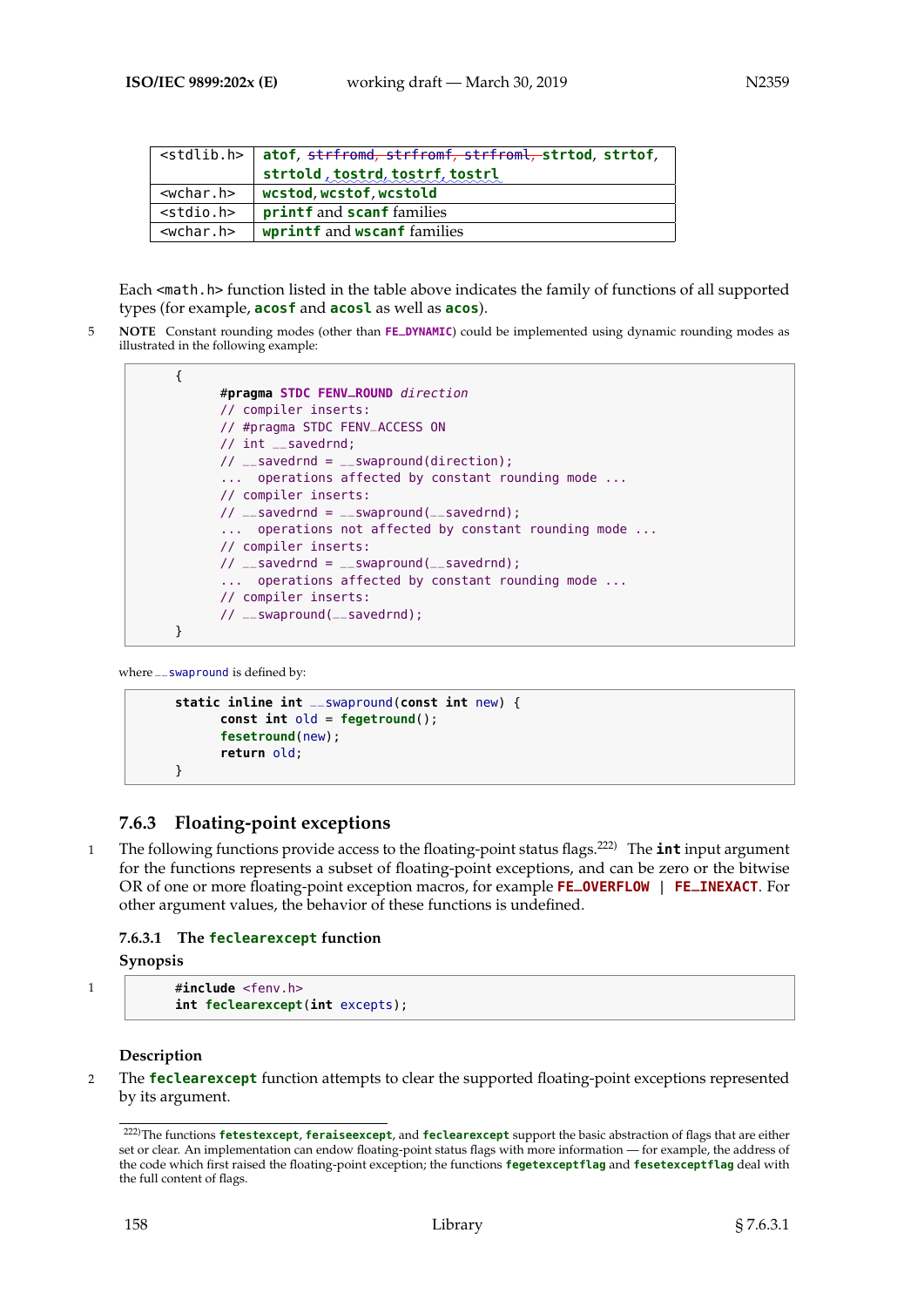|                 | <stdlib.h>   atof, <del>strfromd, strfromf, strfroml, s</del>trtod, strtof,</stdlib.h> |
|-----------------|----------------------------------------------------------------------------------------|
|                 | strtold, tostrd, tostrf, tostrl                                                        |
| $<$ wchar.h $>$ | wcstod, wcstof, wcstold                                                                |
| $<$ stdio.h>    | <b>printf</b> and <b>scanf</b> families                                                |
| $<$ wchar.h $>$ | wprintf and wscanf families                                                            |

Each <math.h> function listed in the table above indicates the family of functions of all supported types (for example, **acosf** and **acosl** as well as **acos**).

5 **NOTE** Constant rounding modes (other than **FE\_DYNAMIC**) could be implemented using dynamic rounding modes as illustrated in the following example:

```
{
      #pragma STDC FENV_ROUND direction
      // compiler inserts:
      // #pragma STDC FENV_ACCESS ON
      // int __savedrnd;
      // __savedrnd = \angleswapround(direction);
      ... operations affected by constant rounding mode ...
      // compiler inserts:
      // __savedrnd = __swapround(__savedrnd);
      ... operations not affected by constant rounding mode ...
      // compiler inserts:
      // __savedrnd = \angleswapround(\anglesavedrnd);
      ... operations affected by constant rounding mode ...
      // compiler inserts:
      // __swapround(__savedrnd);
}
```
where \_\_ swapround is defined by:

```
static inline int __swapround(const int new) {
      const int old = fegetround();
      fesetround(new);
      return old;
}
```
# **7.6.3 Floating-point exceptions**

1 The following functions provide access to the floating-point status flags.222) The **int** input argument for the functions represents a subset of floating-point exceptions, and can be zero or the bitwise OR of one or more floating-point exception macros, for example **FE\_OVERFLOW** | **FE\_INEXACT**. For other argument values, the behavior of these functions is undefined.

## **7.6.3.1 The feclearexcept function**

**Synopsis**

```
1 #include <fenv.h>
          int feclearexcept(int excepts);
```
## **Description**

2 The **feclearexcept** function attempts to clear the supported floating-point exceptions represented by its argument.

<sup>222)</sup>The functions **fetestexcept**, **feraiseexcept**, and **feclearexcept** support the basic abstraction of flags that are either set or clear. An implementation can endow floating-point status flags with more information — for example, the address of the code which first raised the floating-point exception; the functions **fegetexceptflag** and **fesetexceptflag** deal with the full content of flags.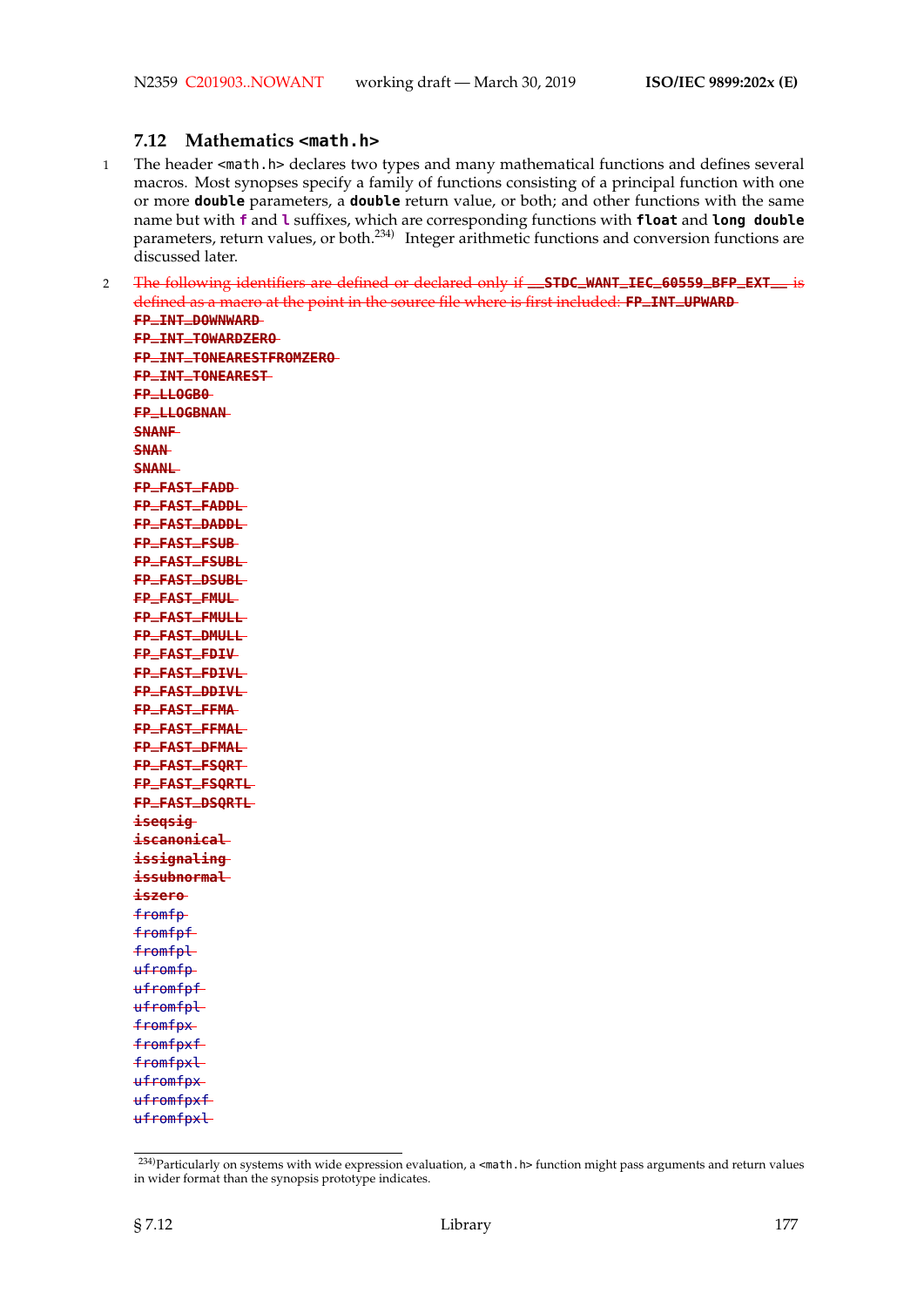#### **7.12 Mathematics <math.h>**

- 1 The header <math.h> declares two types and many mathematical functions and defines several macros. Most synopses specify a family of functions consisting of a principal function with one or more **double** parameters, a **double** return value, or both; and other functions with the same name but with **f** and **l** suffixes, which are corresponding functions with **float** and **long double** parameters, return values, or both.234) Integer arithmetic functions and conversion functions are discussed later.
- <sup>2</sup> The following identifiers are defined or declared only if **\_\_STDC\_WANT\_IEC\_60559\_BFP\_EXT\_\_** is defined as a macro at the point in the source file where is first included: **FP\_INT\_UPWARD**

**FP\_INT\_DOWNWARD FP\_INT\_TOWARDZERO FP\_INT\_TONEARESTFROMZERO FP\_INT\_TONEAREST FP\_LLOGB0 FP\_LLOGBNAN SNANF SNAN SNANL FP\_FAST\_FADD FP\_FAST\_FADDL FP\_FAST\_DADDL FP\_FAST\_FSUB FP\_FAST\_FSUBL FP\_FAST\_DSUBL FP\_FAST\_FMUL FP\_FAST\_FMULL FP\_FAST\_DMULL FP\_FAST\_FDIV FP\_FAST\_FDIVL FP\_FAST\_DDIVL FP\_FAST\_FFMA FP\_FAST\_FFMAL FP\_FAST\_DFMAL FP\_FAST\_FSQRT FP\_FAST\_FSQRTL FP\_FAST\_DSQRTL iseqsig iscanonical issignaling issubnormal iszero** fromfp fromfpf fromfpl ufromfp ufromfpf ufromfpl fromfpx fromfpxf fromfpxl ufromfpx ufromfpxf ufromfpxl

 $\sqrt{234}$ Particularly on systems with wide expression evaluation, a <math.h> function might pass arguments and return values in wider format than the synopsis prototype indicates.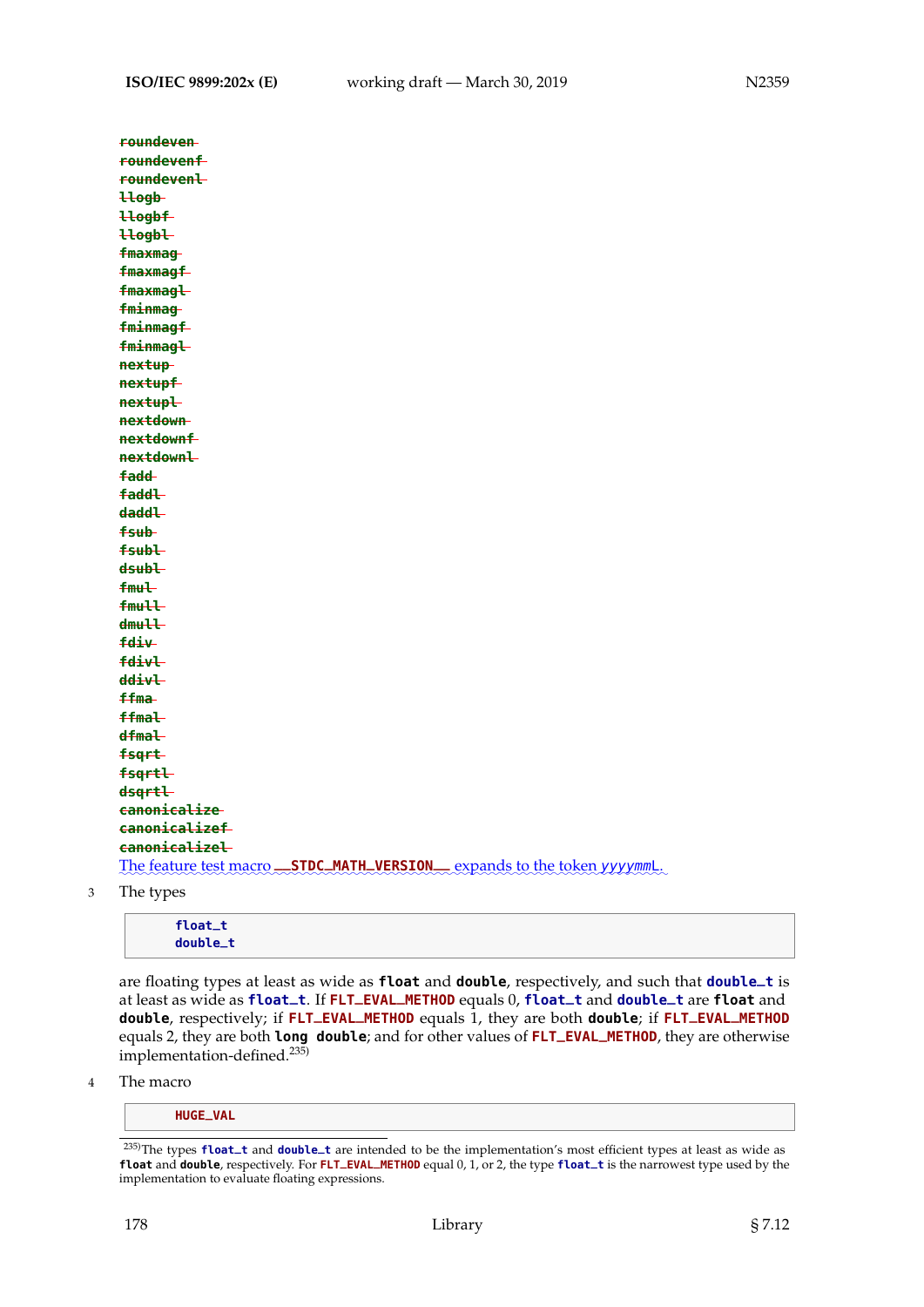| roundeven                                                                |
|--------------------------------------------------------------------------|
| roundevenf                                                               |
| roundevenl                                                               |
| Hogb-                                                                    |
| <b>Hogbf</b>                                                             |
| Hogbl                                                                    |
| fmaxmag                                                                  |
| fmaxmagf                                                                 |
| fmaxmagl                                                                 |
| fminmag                                                                  |
| fminmagf                                                                 |
| fminmagl                                                                 |
| nextup                                                                   |
| nextupf                                                                  |
| nextupl                                                                  |
| nextdown                                                                 |
| nextdownf                                                                |
| nextdownl                                                                |
| fadd-                                                                    |
| faddl-                                                                   |
| <del>daddl</del>                                                         |
| fsub-                                                                    |
| fsubl-                                                                   |
| dsubl-                                                                   |
| <b>fmul</b>                                                              |
| <b>fmull</b>                                                             |
| <del>dmull</del>                                                         |
| <b>fdiv</b>                                                              |
| fdivl                                                                    |
| ddivl                                                                    |
| ffma-                                                                    |
| <b>ffmal</b>                                                             |
| dfmaL                                                                    |
| fsqrt                                                                    |
| fsqrtl                                                                   |
| dsqrtl                                                                   |
| canonicalize                                                             |
| canonicalizef                                                            |
| canonicalizel                                                            |
| The feature test macro STDC_MATH_VERSION__ expands to the token yyyymmL. |
|                                                                          |

3 The types

| float_t<br>double_t |  |  |  |
|---------------------|--|--|--|
|                     |  |  |  |

are floating types at least as wide as **float** and **double**, respectively, and such that **double\_t** is at least as wide as **float\_t**. If **FLT\_EVAL\_METHOD** equals 0, **float\_t** and **double\_t** are **float** and **double**, respectively; if **FLT\_EVAL\_METHOD** equals 1, they are both **double**; if **FLT\_EVAL\_METHOD** equals 2, they are both **long double**; and for other values of **FLT\_EVAL\_METHOD**, they are otherwise implementation-defined.235)

4 The macro

**HUGE\_VAL**

<sup>235)</sup>The types **float\_t** and **double\_t** are intended to be the implementation's most efficient types at least as wide as **float** and **double**, respectively. For **FLT\_EVAL\_METHOD** equal 0, 1, or 2, the type **float\_t** is the narrowest type used by the implementation to evaluate floating expressions.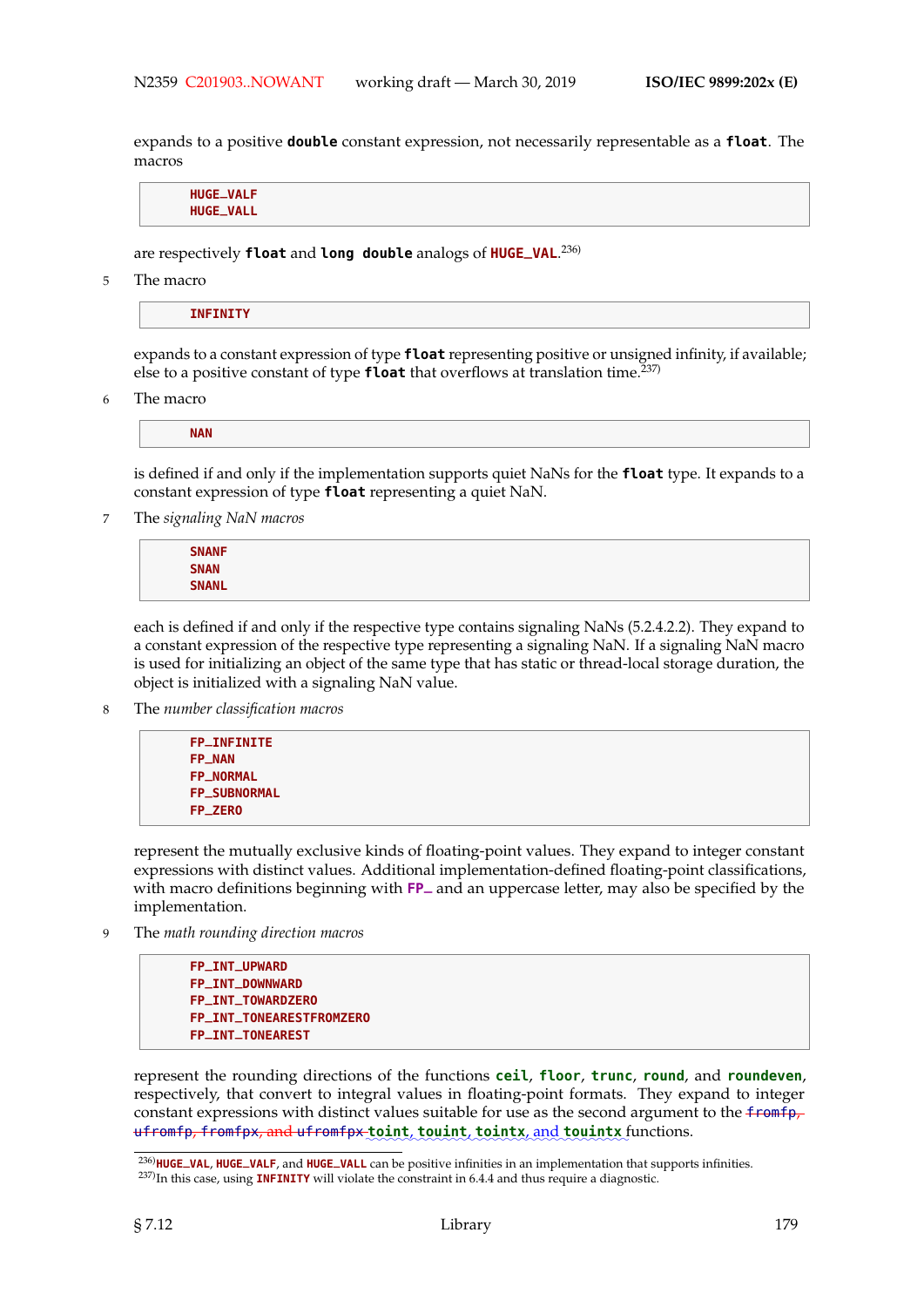expands to a positive **double** constant expression, not necessarily representable as a **float**. The macros

**HUGE\_VALF HUGE\_VALL**

are respectively **float** and **long double** analogs of **HUGE\_VAL**. 236)

5 The macro

**INFINITY**

expands to a constant expression of type **float** representing positive or unsigned infinity, if available; else to a positive constant of type **float** that overflows at translation time.237)

6 The macro

**NAN**

is defined if and only if the implementation supports quiet NaNs for the **float** type. It expands to a constant expression of type **float** representing a quiet NaN.

7 The *signaling NaN macros*

**SNANF SNAN SNANL**

each is defined if and only if the respective type contains signaling NaNs (5.2.4.2.2). They expand to a constant expression of the respective type representing a signaling NaN. If a signaling NaN macro is used for initializing an object of the same type that has static or thread-local storage duration, the object is initialized with a signaling NaN value.

8 The *number classification macros*

```
FP_INFINITE
FP_NAN
FP_NORMAL
FP_SUBNORMAL
FP_ZERO
```
represent the mutually exclusive kinds of floating-point values. They expand to integer constant expressions with distinct values. Additional implementation-defined floating-point classifications, with macro definitions beginning with **FP\_** and an uppercase letter, may also be specified by the implementation.

9 The *math rounding direction macros*

**FP\_INT\_UPWARD FP\_INT\_DOWNWARD FP\_INT\_TOWARDZERO FP\_INT\_TONEARESTFROMZERO FP\_INT\_TONEAREST**

represent the rounding directions of the functions **ceil**, **floor**, **trunc**, **round**, and **roundeven**, respectively, that convert to integral values in floating-point formats. They expand to integer constant expressions with distinct values suitable for use as the second argument to the  $f$ romfp,  $\texttt{ufromfp}, \texttt{fromfpx}, \texttt{and ufromfpx\_toint}, \texttt{toint}, \texttt{tointx}, \texttt{and touintx} \texttt{functions}.$ 

<sup>236)</sup>**HUGE\_VAL**, **HUGE\_VALF**, and **HUGE\_VALL** can be positive infinities in an implementation that supports infinities. 237)In this case, using **INFINITY** will violate the constraint in 6.4.4 and thus require a diagnostic.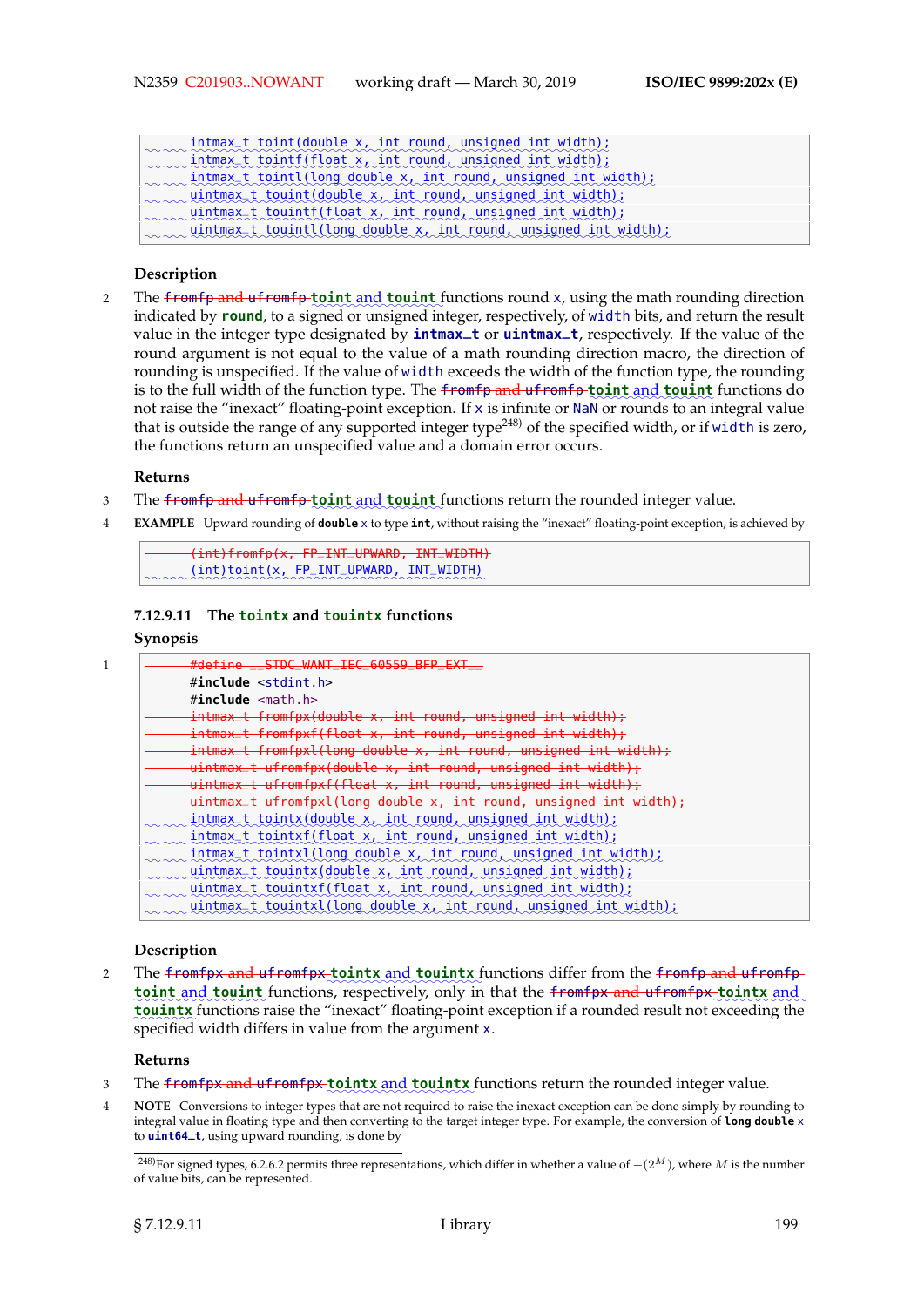| mtmax_t_toint(double x, int_round, unsigned int_width);                              |
|--------------------------------------------------------------------------------------|
| www.intmax_t_tointf(float x, int_round, unsigned int_width);                         |
| $\sim$ intmax_t tointl(long double x, int round, unsigned int width);                |
| www.uintmax_t_touint(double x, int round, unsigned int width);                       |
| uintmax <sub>_</sub> t_touintf(float x, int round, unsigned int width);              |
| $uintmax_t_{countl}(\text{long double } x, int_{round} \text{ unsigned int width});$ |
|                                                                                      |

#### **Description**

2 The <del>fromfp and ufromfp to int and touint</del> functions round x, using the math rounding direction indicated by **round**, to a signed or unsigned integer, respectively, of width bits, and return the result value in the integer type designated by **intmax\_t** or **uintmax\_t**, respectively. If the value of the round argument is not equal to the value of a math rounding direction macro, the direction of rounding is unspecified. If the value of width exceeds the width of the function type, the rounding is to the full width of the function type. The <del>fromfp and ufromfp to int and <mark>touint</mark> functions</del> do not raise the "inexact" floating-point exception. If x is infinite or NaN or rounds to an integral value that is outside the range of any supported integer type<sup>248)</sup> of the specified width, or if width is zero, the functions return an unspecified value and a domain error occurs.

#### **Returns**

- 3 The <del>fromfp and ufromfp to int and touint</del> functions return the rounded integer value.
- 4 **EXAMPLE** Upward rounding of **double** x to type **int**, without raising the "inexact" floating-point exception, is achieved by

```
(int)fromfp(x, FP_INT_UPWARD, INT_WIDTH)
\sim and \lambda(int)toint(x, FP_INT_UPWARD, INT_WIDTH)
```
#### **7.12.9.11 The tointx and touintx functions**

## **Synopsis**

| #define STDC WANT TEC 60559 REP                                        |
|------------------------------------------------------------------------|
| $\#$ include $\le$ stdint.h>                                           |
| $\#$ include $\leq$ math.h>                                            |
| <u>intmax_t fromfpx(double x, int round, unsigned int width);</u>      |
| intmax_t fromfpxf(float x, int round, unsigned int width) :            |
| intmax_t fromfpxl(long double x, int round, unsigned int width);       |
| uintmax_t ufromfpx(double x, int round, unsigned int width);           |
| uintmax_t ufromfpxf(float x, int round, unsigned int width);           |
| uintmax_t ufromfpxl(long double x, int round, unsigned int width);     |
| intmax <sub>-</sub> t tointx(double x, int round, unsigned int width); |
| intmax <sub>_</sub> t tointxf(float x, int round, unsigned int width); |
| intmax_t_tointxl(long_double_x,_int_round,_unsigned_int_width);        |
| $uintmax_t \t{t}$ touintx(double x, int round, unsigned int width);    |
| uintmax_t_touintxf(float_x,_int_round,_unsigned_int_width);            |
| uintmax_t_touintxl(long_double_x,_int_round,_unsigned_int_width);      |
|                                                                        |

#### **Description**

2 The <del>fromfpx and ufromfpx to intx and touintx</del> functions differ from the <del>fromfp and ufromf</del>p **toint** and **touint** functions, respectively, only in that the fromfpx and ufromfpx tointx and **touintx** functions raise the "inexact" floating-point exception if a rounded result not exceeding the specified width differs in value from the argument x.

## **Returns**

- 3 The <del>fromfpx and ufromfpx to intx and touintx</del> functions return the rounded integer value.
- 4 **NOTE** Conversions to integer types that are not required to raise the inexact exception can be done simply by rounding to integral value in floating type and then converting to the target integer type. For example, the conversion of **long double** x to **uint64\_t**, using upward rounding, is done by

<sup>&</sup>lt;sup>248)</sup>For signed types, 6.2.6.2 permits three representations, which differ in whether a value of  $-(2^M)$ , where M is the number of value bits, can be represented.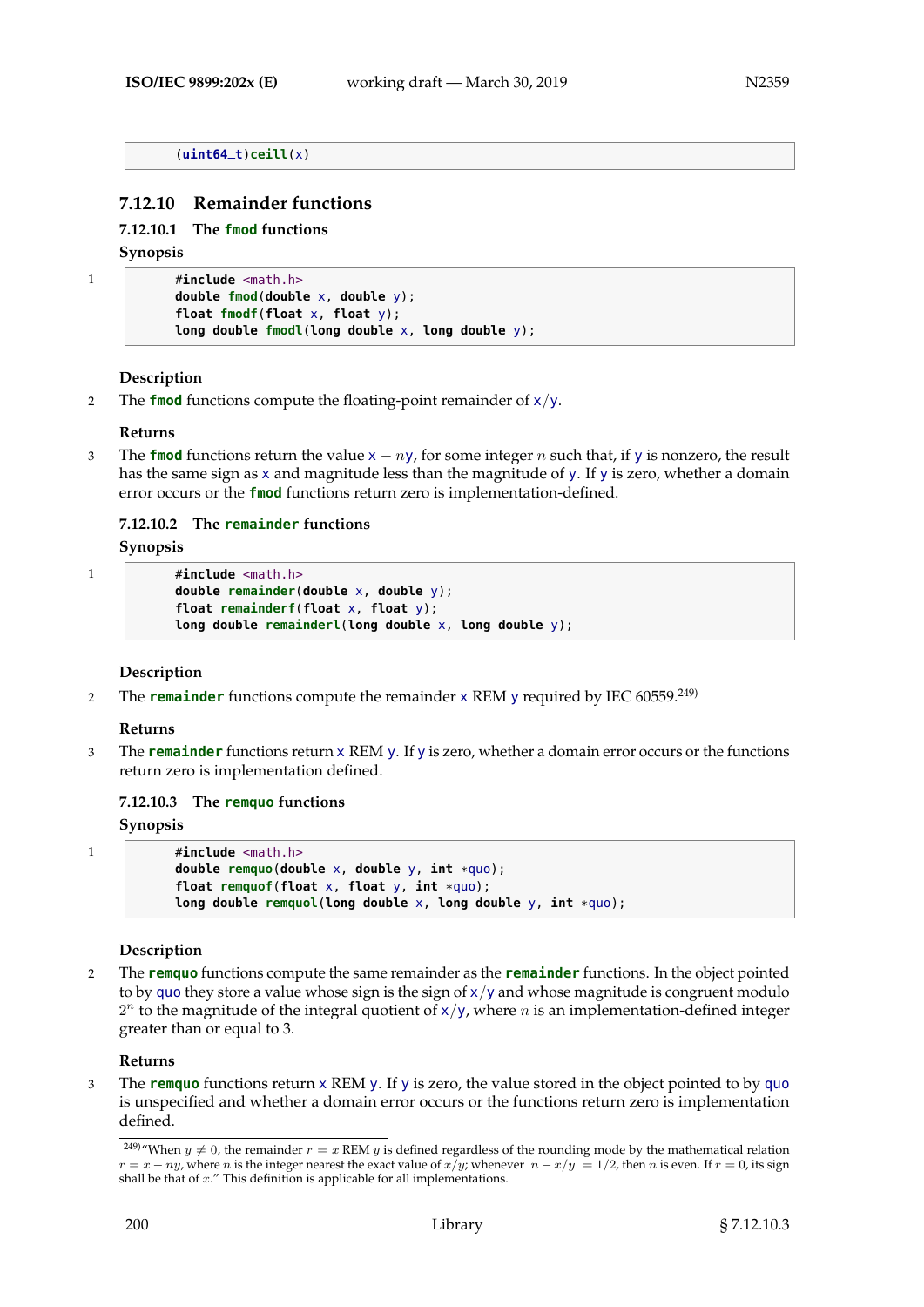#### (**uint64\_t**)**ceill**(x)

## **7.12.10 Remainder functions**

#### **7.12.10.1 The fmod functions**

#### **Synopsis**

```
1 #include <math.h>
           double fmod(double x, double y);
           float fmodf(float x, float y);
           long double fmodl(long double x, long double y);
```
#### **Description**

2 The **fmod** functions compute the floating-point remainder of x/y.

#### **Returns**

<sup>3</sup> The **fmod** functions return the value <sup>x</sup> − ny, for some integer n such that, if <sup>y</sup> is nonzero, the result has the same sign as x and magnitude less than the magnitude of y. If y is zero, whether a domain error occurs or the **fmod** functions return zero is implementation-defined.

## **7.12.10.2 The remainder functions**

#### **Synopsis**

```
1 #include <math.h>
           double remainder(double x, double y);
           float remainderf(float x, float y);
           long double remainderl(long double x, long double y);
```
#### **Description**

2 The **remainder** functions compute the remainder x REM y required by IEC 60559.249)

#### **Returns**

3 The **remainder** functions return x REM y. If y is zero, whether a domain error occurs or the functions return zero is implementation defined.

#### **7.12.10.3 The remquo functions**

#### **Synopsis**

```
1 #include <math.h>
           double remquo(double x, double y, int *quo);
           float remquof(float x, float y, int *quo);
           long double remquol(long double x, long double y, int *quo);
```
#### **Description**

2 The **remquo** functions compute the same remainder as the **remainder** functions. In the object pointed to by quo they store a value whose sign is the sign of  $x/y$  and whose magnitude is congruent modulo  $2^n$  to the magnitude of the integral quotient of  $x/y$ , where n is an implementation-defined integer greater than or equal to 3.

#### **Returns**

3 The **remquo** functions return x REM y. If y is zero, the value stored in the object pointed to by quo is unspecified and whether a domain error occurs or the functions return zero is implementation defined.

<sup>&</sup>lt;sup>249)</sup>"When  $y \neq 0$ , the remainder  $r = x$  REM y is defined regardless of the rounding mode by the mathematical relation  $r = x - ny$ , where n is the integer nearest the exact value of  $x/y$ ; whenever  $|n - x/y| = 1/2$ , then n is even. If  $r = 0$ , its sign shall be that of  $x$ ." This definition is applicable for all implementations.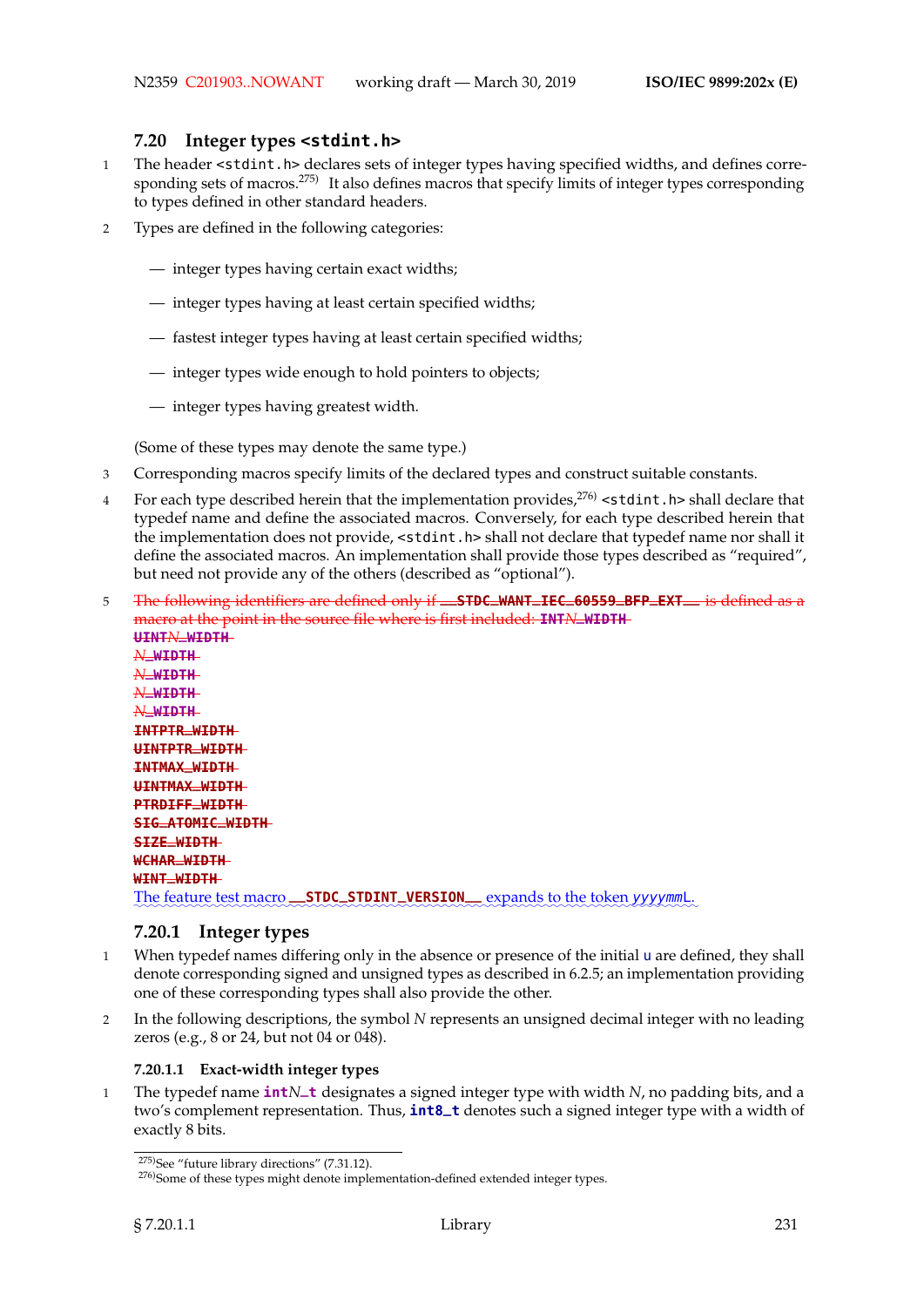## **7.20 Integer types <stdint.h>**

- 1 The header <stdint.h> declares sets of integer types having specified widths, and defines corresponding sets of macros.<sup>275)</sup> It also defines macros that specify limits of integer types corresponding to types defined in other standard headers.
- 2 Types are defined in the following categories:
	- integer types having certain exact widths;
	- integer types having at least certain specified widths;
	- fastest integer types having at least certain specified widths;
	- integer types wide enough to hold pointers to objects;
	- integer types having greatest width.

(Some of these types may denote the same type.)

- 3 Corresponding macros specify limits of the declared types and construct suitable constants.
- 4 For each type described herein that the implementation provides,  $276$  < stdint. h> shall declare that typedef name and define the associated macros. Conversely, for each type described herein that the implementation does not provide, <stdint.h> shall not declare that typedef name nor shall it define the associated macros. An implementation shall provide those types described as "required", but need not provide any of the others (described as "optional").
- <sup>5</sup> The following identifiers are defined only if **\_\_STDC\_WANT\_IEC\_60559\_BFP\_EXT\_\_** is defined as a macro at the point in the source file where is first included: **INT***N***\_WIDTH UINT***N***\_WIDTH** *N***\_WIDTH** *N***\_WIDTH** *N***\_WIDTH** *N***\_WIDTH INTPTR\_WIDTH UINTPTR\_WIDTH INTMAX\_WIDTH UINTMAX\_WIDTH PTRDIFF\_WIDTH SIG\_ATOMIC\_WIDTH SIZE\_WIDTH WCHAR\_WIDTH WINT\_WIDTH** The feature test macro **\_\_STDC\_STDINT\_VERSION** \_\_ expands to the token yyyymmL.

## **7.20.1 Integer types**

- 1 When typedef names differing only in the absence or presence of the initial u are defined, they shall denote corresponding signed and unsigned types as described in 6.2.5; an implementation providing one of these corresponding types shall also provide the other.
- 2 In the following descriptions, the symbol *N* represents an unsigned decimal integer with no leading zeros (e.g., 8 or 24, but not 04 or 048).

## **7.20.1.1 Exact-width integer types**

<sup>1</sup> The typedef name **int***N***\_t** designates a signed integer type with width *N*, no padding bits, and a two's complement representation. Thus, **int8\_t** denotes such a signed integer type with a width of exactly 8 bits.

<sup>275)</sup>See "future library directions" (7.31.12).

<sup>&</sup>lt;sup>276)</sup>Some of these types might denote implementation-defined extended integer types.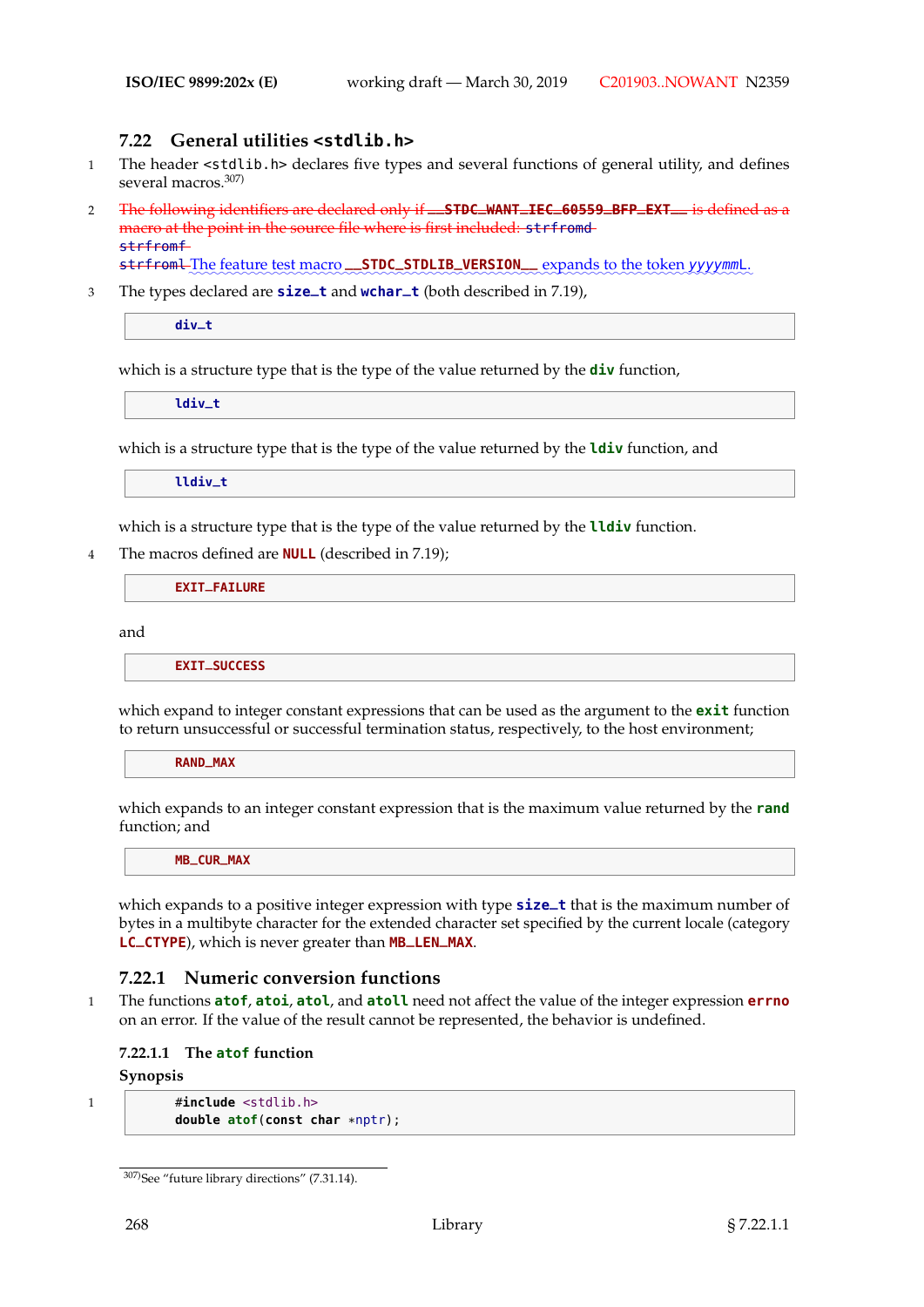# **7.22 General utilities <stdlib.h>**

- 1 The header <stdlib.h> declares five types and several functions of general utility, and defines several macros.<sup>307)</sup>
- <sup>2</sup> The following identifiers are declared only if **\_\_STDC\_WANT\_IEC\_60559\_BFP\_EXT\_\_** is defined as a macro at the point in the source file where is first included: strfromd strfromf

strfroml-The feature test macro **\_\_STDC\_STDLIB\_VERSION** expands to the token yyyymmL.

<sup>3</sup> The types declared are **size\_t** and **wchar\_t** (both described in 7.19),

**div\_t**

which is a structure type that is the type of the value returned by the **div** function,

**ldiv\_t**

which is a structure type that is the type of the value returned by the **ldiv** function, and

**lldiv\_t**

which is a structure type that is the type of the value returned by the **lldiv** function.

4 The macros defined are **NULL** (described in 7.19);

**EXIT\_FAILURE**

and

**EXIT\_SUCCESS**

which expand to integer constant expressions that can be used as the argument to the **exit** function to return unsuccessful or successful termination status, respectively, to the host environment;

**RAND\_MAX**

which expands to an integer constant expression that is the maximum value returned by the **rand** function; and

**MB\_CUR\_MAX**

which expands to a positive integer expression with type **size\_t** that is the maximum number of bytes in a multibyte character for the extended character set specified by the current locale (category **LC\_CTYPE**), which is never greater than **MB\_LEN\_MAX**.

## **7.22.1 Numeric conversion functions**

1 The functions **atof**, **atoi**, **atol**, and **atoll** need not affect the value of the integer expression **errno** on an error. If the value of the result cannot be represented, the behavior is undefined.

#### **7.22.1.1 The atof function**

**Synopsis**

1 **#include** <stdlib.h> **double atof**(**const char** \*nptr);

<sup>307)</sup>See "future library directions" (7.31.14).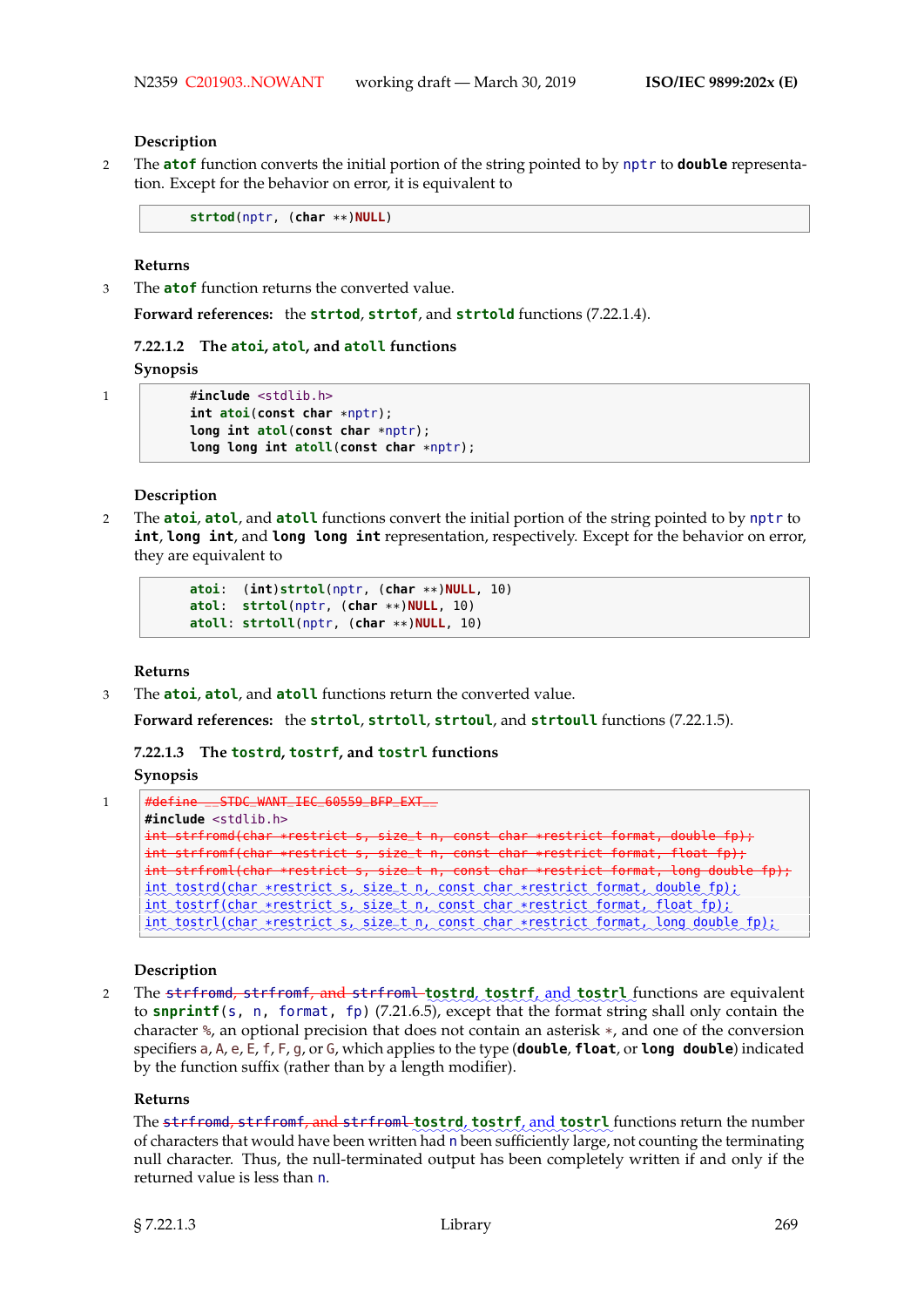#### **Description**

2 The **atof** function converts the initial portion of the string pointed to by nptr to **double** representation. Except for the behavior on error, it is equivalent to

**strtod**(nptr, (**char** \*\*)**NULL**)

#### **Returns**

3 The **atof** function returns the converted value.

**Forward references:** the **strtod**, **strtof**, and **strtold** functions (7.22.1.4).

#### **7.22.1.2 The atoi, atol, and atoll functions**

**Synopsis**

```
1 #include <stdlib.h>
          int atoi(const char *nptr);
          long int atol(const char *nptr);
          long long int atoll(const char *nptr);
```
**Description**

2 The **atoi**, **atol**, and **atoll** functions convert the initial portion of the string pointed to by nptr to **int**, **long int**, and **long long int** representation, respectively. Except for the behavior on error, they are equivalent to

```
atoi: (int)strtol(nptr, (char **)NULL, 10)
atol: strtol(nptr, (char **)NULL, 10)
atoll: strtoll(nptr, (char **)NULL, 10)
```
**Returns**

3 The **atoi**, **atol**, and **atoll** functions return the converted value.

**Forward references:** the **strtol**, **strtoll**, **strtoul**, and **strtoull** functions (7.22.1.5).

**7.22.1.3 The tostrd, tostrf, and tostrl functions**

**Synopsis**

```
1 #define __STDC_WANT_IEC_60559_BFP_EXT__
     #include <stdlib.h>
     int strfromd(char *restrict s, size_t n, const char *restrict format, double fp);
     int strfromf(char *restrict s, size_t n, const char *restrict format, float fp);
     int strfroml(char *restrict s, size_t n, const char *restrict format, long double fp);
     int_tostrd(char *restrict s, size_t n, const char *restrict format, double fp);
     int tostrf (char *restrict s, size_t n, const char *restrict format, float fp);
     int tostrl (char *restrict s, size_t n, const char *restrict format, long double fp);
```
#### **Description**

2 The <del>strfromd, strfromf, and strfroml tostrd</del>, tostrf, and tostrl functions are equivalent to **snprintf**(s, n, format, fp) (7.21.6.5), except that the format string shall only contain the character %, an optional precision that does not contain an asterisk \*, and one of the conversion specifiers a, A, e, E, f, F, g, or G, which applies to the type (**double**, **float**, or **long double**) indicated by the function suffix (rather than by a length modifier).

#### **Returns**

 $\Gamma$ he <del>strfromd, strfromf, and strfroml-tostrd</del>, tostrf, and tostrl functions return the number of characters that would have been written had n been sufficiently large, not counting the terminating null character. Thus, the null-terminated output has been completely written if and only if the returned value is less than n.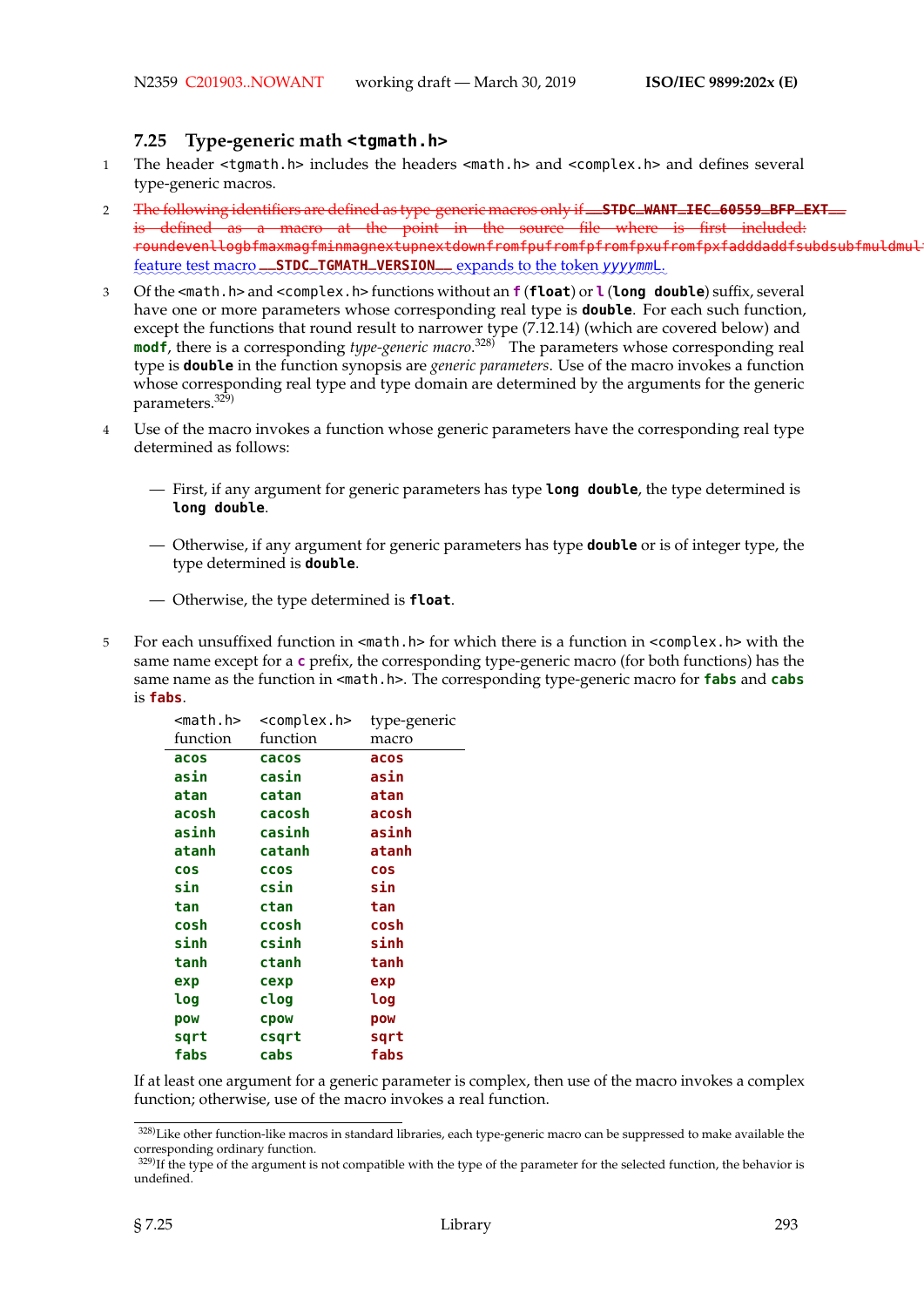## **7.25 Type-generic math <tgmath.h>**

- 1 The header <tgmath.h> includes the headers <math.h> and <complex.h> and defines several type-generic macros.
- <sup>2</sup> The following identifiers are defined as type-generic macros only if **\_\_STDC\_WANT\_IEC\_60559\_BFP\_EXT\_\_** is defined as a macro at the point in the source file where is first included: roundevenllogbfmaxmagfminmagnextupnextdownfromfpufromfpfromfpxufromfpxfadddaddfsubdsubfmuldmul feature test macro **\_\_STDC\_TGMATH\_VERSION\_\_** expands to the token yyyymmL.
- 3 Of the <math.h> and <complex.h> functions without an **f** (**float**) or **l** (**long double**) suffix, several have one or more parameters whose corresponding real type is **double**. For each such function, except the functions that round result to narrower type (7.12.14) (which are covered below) and **modf**, there is a corresponding *type-generic macro*. 328) The parameters whose corresponding real type is **double** in the function synopsis are *generic parameters*. Use of the macro invokes a function whose corresponding real type and type domain are determined by the arguments for the generic parameters.<sup>329)</sup>
- 4 Use of the macro invokes a function whose generic parameters have the corresponding real type determined as follows:
	- First, if any argument for generic parameters has type **long double**, the type determined is **long double**.
	- Otherwise, if any argument for generic parameters has type **double** or is of integer type, the type determined is **double**.
	- Otherwise, the type determined is **float**.
- 5 For each unsuffixed function in <math.h> for which there is a function in <complex.h> with the same name except for a **c** prefix, the corresponding type-generic macro (for both functions) has the same name as the function in <math.h>. The corresponding type-generic macro for **fabs** and **cabs** is **fabs**.

| <math.h></math.h> | <complex.h></complex.h> | type-generic |
|-------------------|-------------------------|--------------|
| function          | function                | macro        |
| acos              | cacos                   | acos         |
| asin              | casin                   | asin         |
| atan              | catan                   | atan         |
| acosh             | cacosh                  | acosh        |
| asinh             | casinh                  | asinh        |
| atanh             | catanh                  | atanh        |
| <b>COS</b>        | <b>CCOS</b>             | <b>COS</b>   |
| sin               | csin                    | sin          |
| tan               | ctan                    | tan          |
| cosh              | ccosh                   | cosh         |
| sinh              | csinh                   | sinh         |
| tanh              | ctanh                   | tanh         |
| exp               | cexp                    | exp          |
| log               | clog                    | log          |
| pow               | cpow                    | pow          |
| sqrt              | csgrt                   | sqrt         |
| fabs              | cabs                    | fabs         |
|                   |                         |              |

If at least one argument for a generic parameter is complex, then use of the macro invokes a complex function; otherwise, use of the macro invokes a real function.

<sup>328)</sup>Like other function-like macros in standard libraries, each type-generic macro can be suppressed to make available the corresponding ordinary function.

<sup>&</sup>lt;sup>329)</sup>If the type of the argument is not compatible with the type of the parameter for the selected function, the behavior is undefined.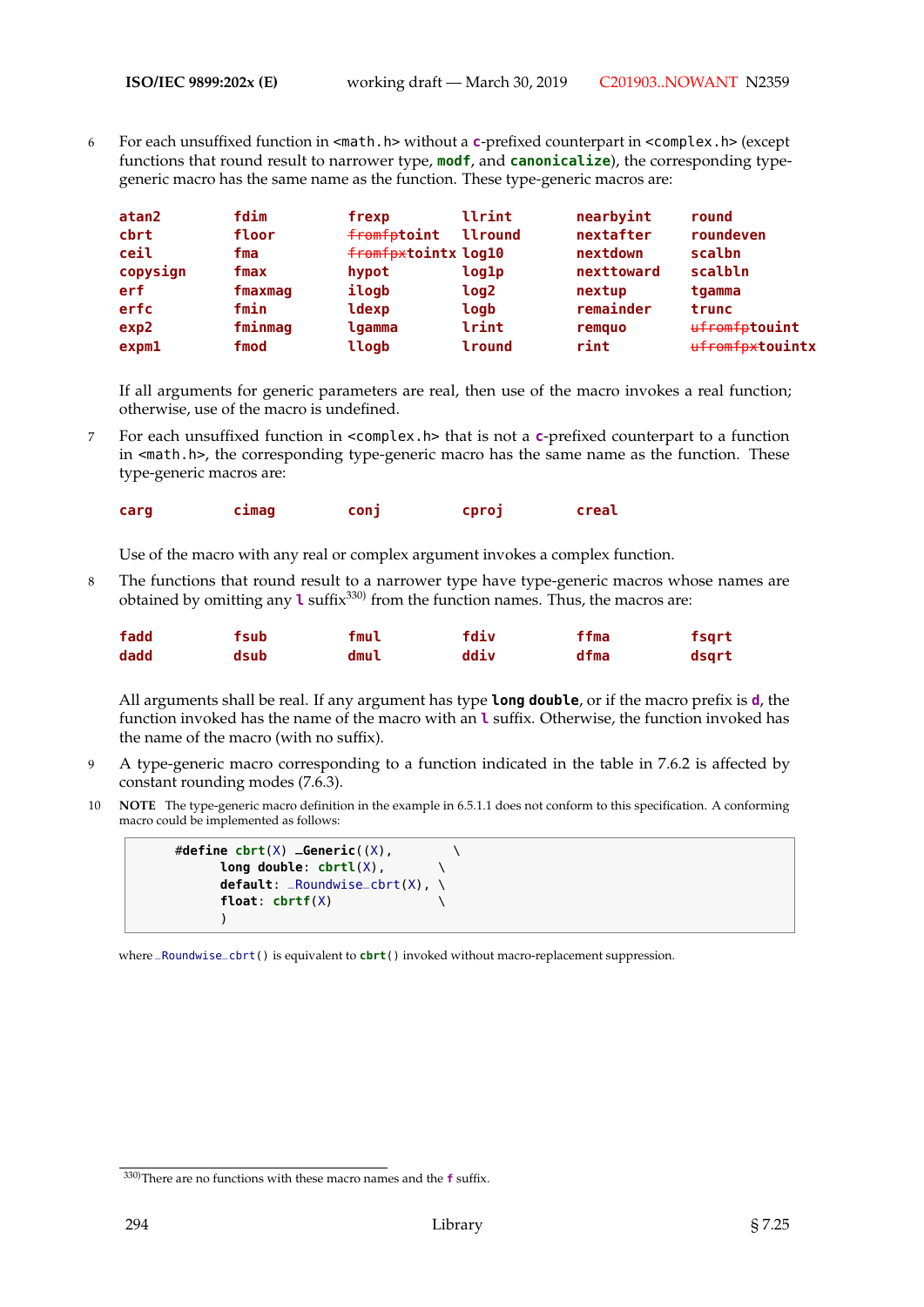6 For each unsuffixed function in <math.h> without a **c**-prefixed counterpart in <complex.h> (except functions that round result to narrower type, **modf**, and **canonicalize**), the corresponding typegeneric macro has the same name as the function. These type-generic macros are:

| atan2             | fdim    | frexp               | llrint      | nearbyint  | round           |
|-------------------|---------|---------------------|-------------|------------|-----------------|
| cbrt              | floor   | fromfptoint         | llround     | nextafter  | roundeven       |
| ceil              | fma     | fromfpxtointx log10 |             | nextdown   | scalbn          |
| copysign          | fmax    | hypot               | log1p       | nexttoward | scalbln         |
| erf               | fmaxmaq | ilogb               | <b>log2</b> | nextup     | tgamma          |
| erfc              | fmin    | ldexp               | logb        | remainder  | trunc           |
| exp2              | fminmag | lgamma              | lrint       | remquo     | ufromfptouint   |
| exp <sub>m1</sub> | fmod    | llogb               | lround      | rint       | ufromfpxtouintx |

If all arguments for generic parameters are real, then use of the macro invokes a real function; otherwise, use of the macro is undefined.

7 For each unsuffixed function in <complex.h> that is not a **c**-prefixed counterpart to a function in <math.h>, the corresponding type-generic macro has the same name as the function. These type-generic macros are:

| carg | <b>Clmag</b> | conj | cproj | creal |
|------|--------------|------|-------|-------|
|      |              |      |       |       |

Use of the macro with any real or complex argument invokes a complex function.

8 The functions that round result to a narrower type have type-generic macros whose names are obtained by omitting any **l** suffix<sup>330)</sup> from the function names. Thus, the macros are:

| fadd | fsub | fmul | fdiv | ffma | fsqrt |
|------|------|------|------|------|-------|
| dadd | dsub | dmul | ddiv | dfma | dsart |

All arguments shall be real. If any argument has type **long double**, or if the macro prefix is **d**, the function invoked has the name of the macro with an **l** suffix. Otherwise, the function invoked has the name of the macro (with no suffix).

- 9 A type-generic macro corresponding to a function indicated in the table in 7.6.2 is affected by constant rounding modes (7.6.3).
- 10 **NOTE** The type-generic macro definition in the example in 6.5.1.1 does not conform to this specification. A conforming macro could be implemented as follows:

```
#define cbrt(X) _Generic((X), \
     long double: cbrtl(X), \
     default: _Roundwise_cbrt(X), \
     float: cbrtf(X) \
     )
```
where \_Roundwise\_cbrt() is equivalent to **cbrt**() invoked without macro-replacement suppression.

<sup>330)</sup>There are no functions with these macro names and the **f** suffix.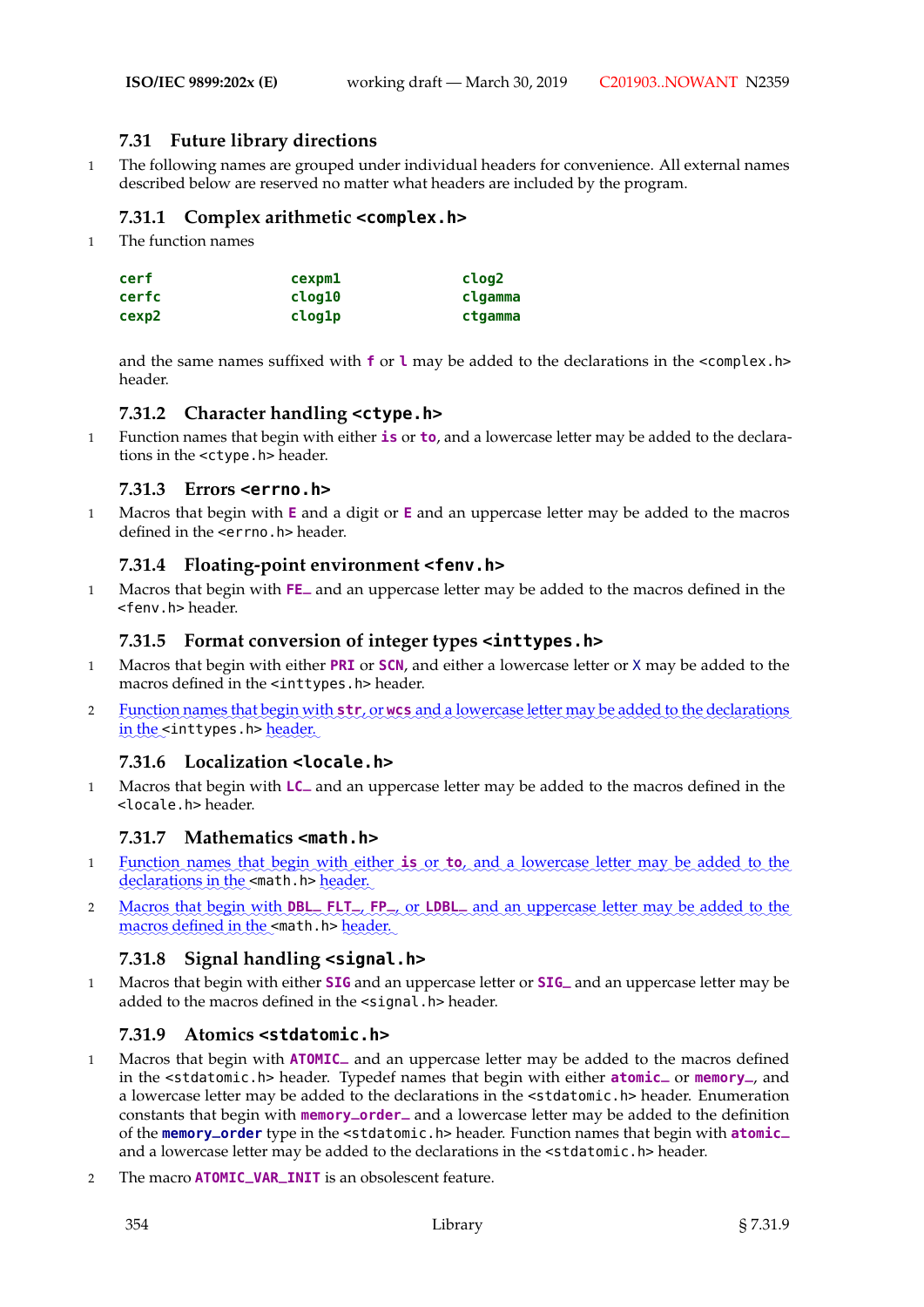# **7.31 Future library directions**

1 The following names are grouped under individual headers for convenience. All external names described below are reserved no matter what headers are included by the program.

## **7.31.1 Complex arithmetic <complex.h>**

1 The function names

| cerf  | cexpm1 | clog2   |
|-------|--------|---------|
| cerfc | clog10 | clgamma |
| cexp2 | clog1p | ctgamma |

and the same names suffixed with **f** or **l** may be added to the declarations in the <complex.h> header.

## **7.31.2 Character handling <ctype.h>**

1 Function names that begin with either **is** or **to**, and a lowercase letter may be added to the declarations in the <ctype.h> header.

## **7.31.3 Errors <errno.h>**

1 Macros that begin with **E** and a digit or **E** and an uppercase letter may be added to the macros defined in the <errno.h> header.

## **7.31.4 Floating-point environment <fenv.h>**

<sup>1</sup> Macros that begin with **FE\_** and an uppercase letter may be added to the macros defined in the <fenv.h> header.

## **7.31.5 Format conversion of integer types <inttypes.h>**

- 1 Macros that begin with either **PRI** or **SCN**, and either a lowercase letter or X may be added to the macros defined in the <inttypes.h> header.
- a Eunction names that begin with str, or wcs and a lowercase letter may be added to the declarations in the <inttypes.h> <u>header.</u>

## **7.31.6 Localization <locale.h>**

<sup>1</sup> Macros that begin with **LC\_** and an uppercase letter may be added to the macros defined in the <locale.h> header.

## **7.31.7 Mathematics <math.h>**

- 1 Eunction names that begin with either **is** or **to**, and a lowercase letter may be added to the declarations in the <math.h> header.
- 2 **Macros** that begin with **DBL** FLT<sub>-</sub>, FP<sub>-,</sub> or **LDBL** and an uppercase letter may be added to the macros defined in the <math.h> header.

## **7.31.8 Signal handling <signal.h>**

<sup>1</sup> Macros that begin with either **SIG** and an uppercase letter or **SIG\_** and an uppercase letter may be added to the macros defined in the <signal.h> header.

## **7.31.9 Atomics <stdatomic.h>**

- <sup>1</sup> Macros that begin with **ATOMIC\_** and an uppercase letter may be added to the macros defined in the <stdatomic.h> header. Typedef names that begin with either **atomic\_** or **memory\_**, and a lowercase letter may be added to the declarations in the <stdatomic.h> header. Enumeration constants that begin with **memory\_order\_** and a lowercase letter may be added to the definition of the **memory\_order** type in the <stdatomic.h> header. Function names that begin with **atomic\_** and a lowercase letter may be added to the declarations in the <stdatomic.h> header.
- <sup>2</sup> The macro **ATOMIC\_VAR\_INIT** is an obsolescent feature.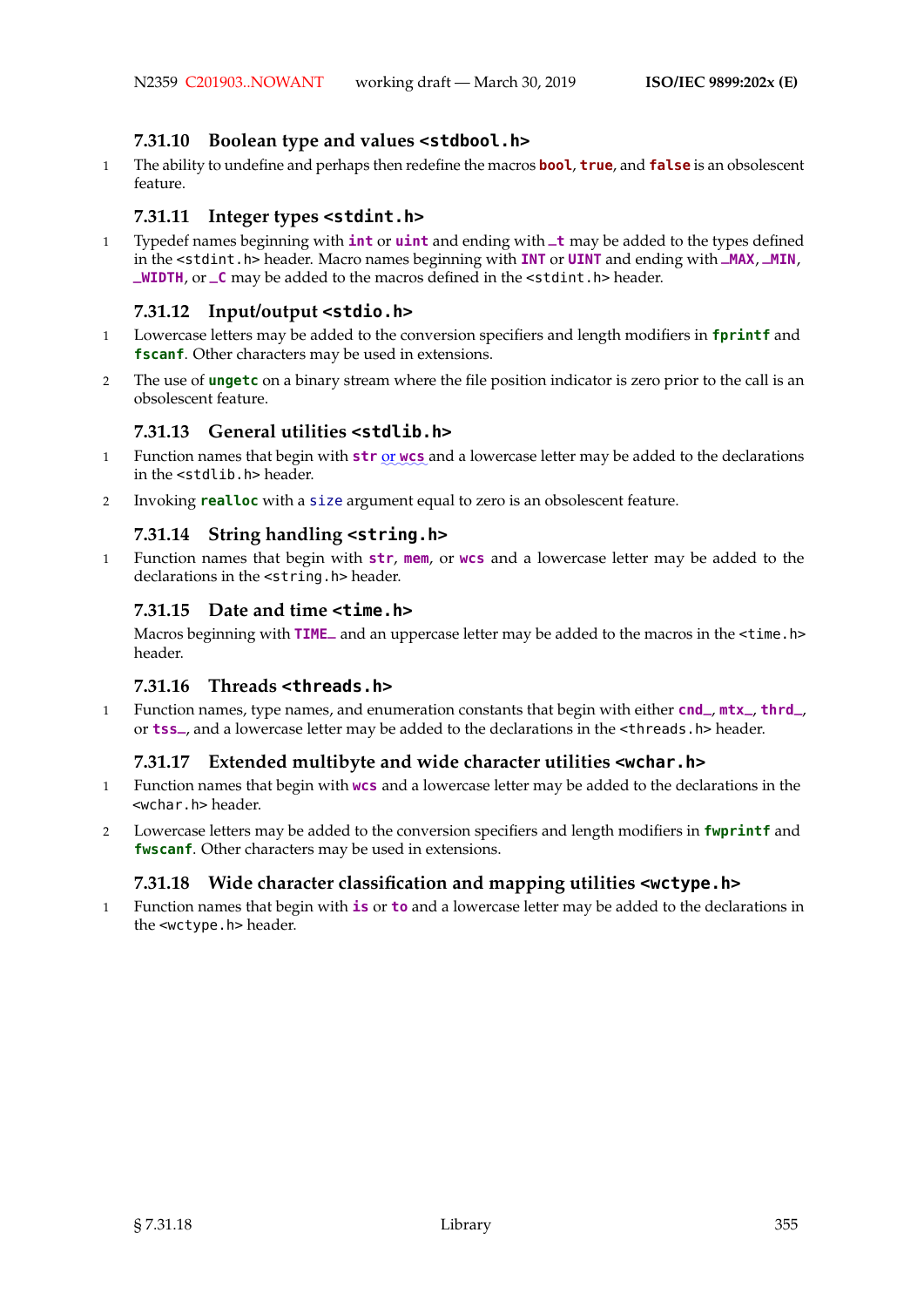## **7.31.10 Boolean type and values <stdbool.h>**

1 The ability to undefine and perhaps then redefine the macros **bool**, **true**, and **false** is an obsolescent feature.

## **7.31.11 Integer types <stdint.h>**

<sup>1</sup> Typedef names beginning with **int** or **uint** and ending with **\_t** may be added to the types defined in the <stdint.h> header. Macro names beginning with **INT** or **UINT** and ending with **\_MAX**, **\_MIN**, **\_WIDTH**, or **\_C** may be added to the macros defined in the <stdint.h> header.

## **7.31.12 Input/output <stdio.h>**

- 1 Lowercase letters may be added to the conversion specifiers and length modifiers in **fprintf** and **fscanf**. Other characters may be used in extensions.
- 2 The use of **ungetc** on a binary stream where the file position indicator is zero prior to the call is an obsolescent feature.

# **7.31.13 General utilities <stdlib.h>**

- 1 Function names that begin with **str** <u>or</u> wcs and a lowercase letter may be added to the declarations in the <stdlib.h> header.
- 2 Invoking **realloc** with a size argument equal to zero is an obsolescent feature.

## **7.31.14 String handling <string.h>**

1 Function names that begin with **str**, **mem**, or **wcs** and a lowercase letter may be added to the declarations in the <string.h> header.

## **7.31.15 Date and time <time.h>**

Macros beginning with **TIME\_** and an uppercase letter may be added to the macros in the <time.h> header.

## **7.31.16 Threads <threads.h>**

<sup>1</sup> Function names, type names, and enumeration constants that begin with either **cnd\_**, **mtx\_**, **thrd\_**, or **tss\_**, and a lowercase letter may be added to the declarations in the <threads.h> header.

## **7.31.17 Extended multibyte and wide character utilities <wchar.h>**

- 1 Function names that begin with **wcs** and a lowercase letter may be added to the declarations in the <wchar.h> header.
- 2 Lowercase letters may be added to the conversion specifiers and length modifiers in **fwprintf** and **fwscanf**. Other characters may be used in extensions.

# **7.31.18 Wide character classification and mapping utilities <wctype.h>**

1 Function names that begin with **is** or **to** and a lowercase letter may be added to the declarations in the <wctype.h> header.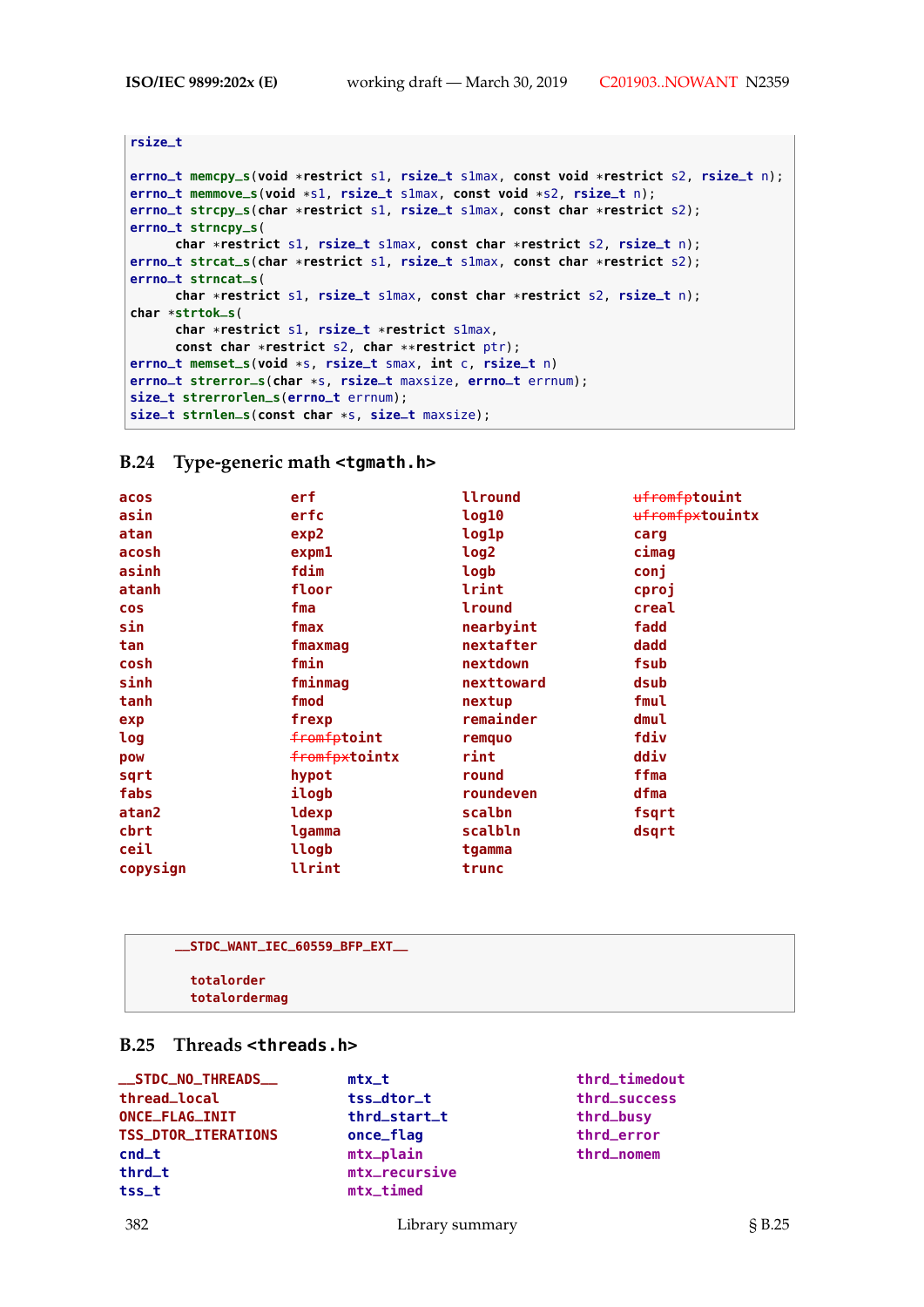```
rsize_t
errno_t memcpy_s(void *restrict s1, rsize_t s1max, const void *restrict s2, rsize_t n);
errno_t memmove_s(void *s1, rsize_t s1max, const void *s2, rsize_t n);
errno_t strcpy_s(char *restrict s1, rsize_t s1max, const char *restrict s2);
errno_t strncpy_s(
     char *restrict s1, rsize_t s1max, const char *restrict s2, rsize_t n);
errno_t strcat_s(char *restrict s1, rsize_t s1max, const char *restrict s2);
errno_t strncat_s(
     char *restrict s1, rsize_t s1max, const char *restrict s2, rsize_t n);
char *strtok_s(
     char *restrict s1, rsize_t *restrict s1max,
     const char *restrict s2, char **restrict ptr);
errno_t memset_s(void *s, rsize_t smax, int c, rsize_t n)
errno_t strerror_s(char *s, rsize_t maxsize, errno_t errnum);
size_t strerrorlen_s(errno_t errnum);
size_t strnlen_s(const char *s, size_t maxsize);
```
#### **B.24 Type-generic math <tgmath.h>**

| acos       | erf               | llround    | <del>ufromfp</del> touint |
|------------|-------------------|------------|---------------------------|
| asin       | erfc              | log10      | ufromfpxtouintx           |
| atan       | exp2              | log1p      | carg                      |
| acosh      | exp <sub>m1</sub> | log2       | cimag                     |
| asinh      | fdim              | logb       | conj                      |
| atanh      | floor             | lrint      | cproj                     |
| <b>COS</b> | fma               | lround     | creal                     |
| sin        | fmax              | nearbyint  | fadd                      |
| tan        | fmaxmag           | nextafter  | dadd                      |
| cosh       | fmin              | nextdown   | fsub                      |
| sinh       | fminmag           | nexttoward | dsub                      |
| tanh       | fmod              | nextup     | fmul                      |
| exp        | frexp             | remainder  | dmul                      |
| log        | fromfptoint       | remquo     | fdiv                      |
| pow        | fromfpxtointx     | rint       | ddiv                      |
| sqrt       | hypot             | round      | ffma                      |
| fabs       | ilogb             | roundeven  | dfma                      |
| atan2      | ldexp             | scalbn     | fsqrt                     |
| cbrt       | lgamma            | scalbln    | dsqrt                     |
| ceil       | llogb             | tgamma     |                           |
| copysign   | llrint            | trunc      |                           |

| __STDC_WANT_IEC_60559_BFP_EXT__ |  |
|---------------------------------|--|
| totalorder<br>totalordermag     |  |

## **B.25 Threads <threads.h>**

| __STDC_NO_THREADS__ | $mtx_t$       | thrd_timedout |
|---------------------|---------------|---------------|
| thread_local        | tss_dtor_t    | thrd_success  |
| ONCE_FLAG_INIT      | thrd_start_t  | thrd_busy     |
| TSS_DTOR_ITERATIONS | once_flag     | thrd_error    |
| $cnd_t$             | mtx_plain     | thrd_nomem    |
| thrd_t              | mtx_recursive |               |
| tss_t               | $mtx_time$    |               |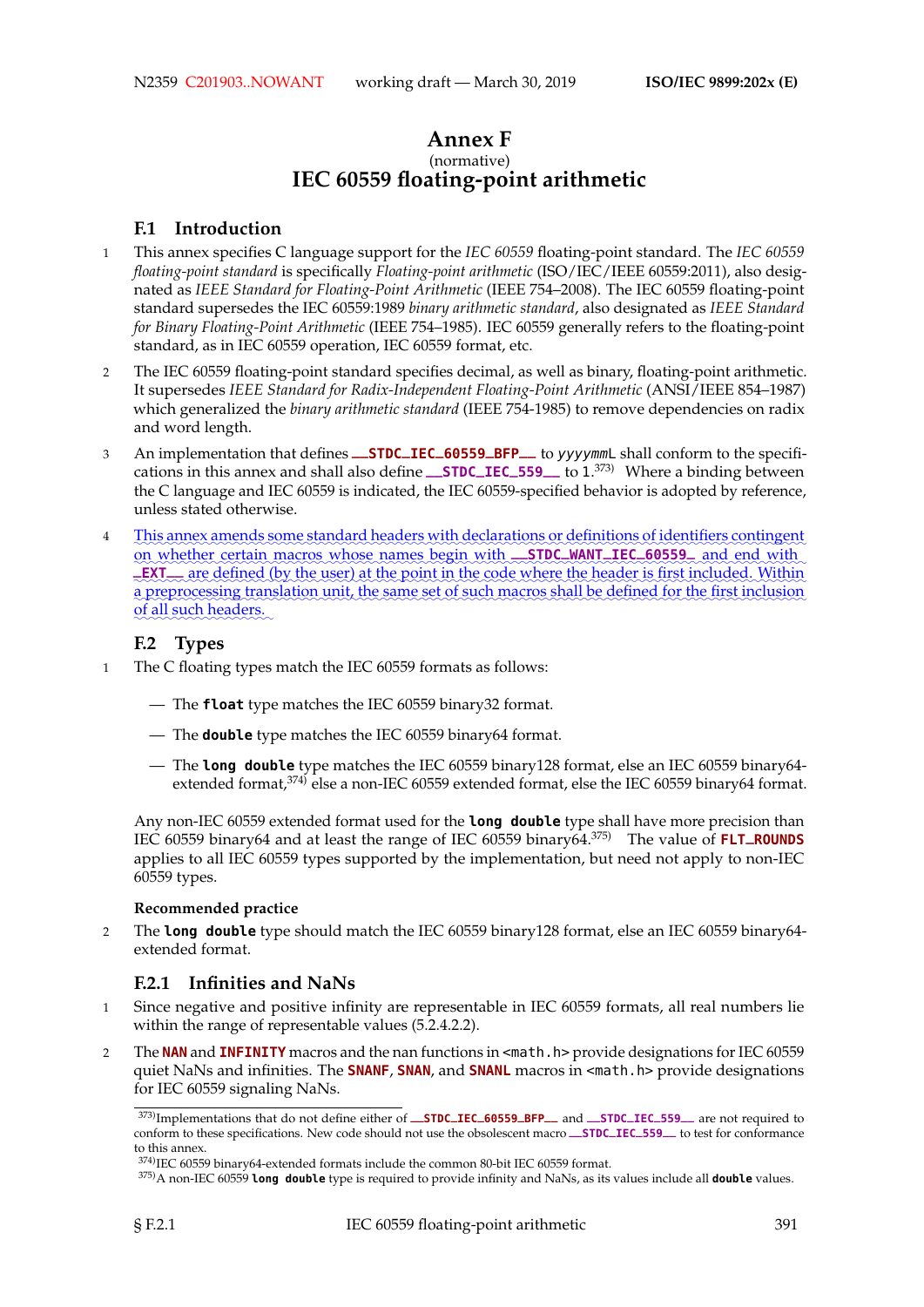# **Annex F** (normative) **IEC 60559 floating-point arithmetic**

## **F.1 Introduction**

- 1 This annex specifies C language support for the *IEC 60559* floating-point standard. The *IEC 60559 floating-point standard* is specifically *Floating-point arithmetic* (ISO/IEC/IEEE 60559:2011), also designated as *IEEE Standard for Floating-Point Arithmetic* (IEEE 754–2008). The IEC 60559 floating-point standard supersedes the IEC 60559:1989 *binary arithmetic standard*, also designated as *IEEE Standard for Binary Floating-Point Arithmetic* (IEEE 754–1985). IEC 60559 generally refers to the floating-point standard, as in IEC 60559 operation, IEC 60559 format, etc.
- 2 The IEC 60559 floating-point standard specifies decimal, as well as binary, floating-point arithmetic. It supersedes *IEEE Standard for Radix-Independent Floating-Point Arithmetic* (ANSI/IEEE 854–1987) which generalized the *binary arithmetic standard* (IEEE 754-1985) to remove dependencies on radix and word length.
- <sup>3</sup> An implementation that defines **\_\_STDC\_IEC\_60559\_BFP\_\_** to yyyymmL shall conform to the specifications in this annex and shall also define **\_\_STDC\_IEC\_559\_\_** to 1. 373) Where a binding between the C language and IEC 60559 is indicated, the IEC 60559-specified behavior is adopted by reference, unless stated otherwise.
- 4 This annex amends some standard headers with declarations or definitions of identifiers contingent on whether certain macros whose names begin with **\_\_STDC\_WANT\_IEC\_60559\_** and end with LEXT<sub>-are</sub> defined (by the user) at the point in the code where the header is first included. Within a preprocessing translation unit, the same set of such macros shall be defined for the first inclusion of all such headers.

## **F.2 Types**

- 1 The C floating types match the IEC 60559 formats as follows:
	- The **float** type matches the IEC 60559 binary32 format.
	- The **double** type matches the IEC 60559 binary64 format.
	- The **long double** type matches the IEC 60559 binary128 format, else an IEC 60559 binary64 extended format,<sup>374)</sup> else a non-IEC 60559 extended format, else the IEC 60559 binary64 format.

Any non-IEC 60559 extended format used for the **long double** type shall have more precision than IEC 60559 binary64 and at least the range of IEC 60559 binary64.375) The value of **FLT\_ROUNDS** applies to all IEC 60559 types supported by the implementation, but need not apply to non-IEC 60559 types.

#### **Recommended practice**

2 The **long double** type should match the IEC 60559 binary128 format, else an IEC 60559 binary64 extended format.

## **F.2.1 Infinities and NaNs**

- 1 Since negative and positive infinity are representable in IEC 60559 formats, all real numbers lie within the range of representable values (5.2.4.2.2).
- 2 The **NAN** and **INFINITY** macros and the nan functions in <math.h> provide designations for IEC 60559 quiet NaNs and infinities. The **SNANF**, **SNAN**, and **SNANL** macros in <math.h> provide designations for IEC 60559 signaling NaNs.

<sup>373)</sup>Implementations that do not define either of **\_\_STDC\_IEC\_60559\_BFP\_\_** and **\_\_STDC\_IEC\_559\_\_** are not required to conform to these specifications. New code should not use the obsolescent macro **\_\_STDC\_IEC\_559\_\_** to test for conformance to this annex.

<sup>374)</sup>IEC 60559 binary64-extended formats include the common 80-bit IEC 60559 format.

<sup>375)</sup>A non-IEC 60559 **long double** type is required to provide infinity and NaNs, as its values include all **double** values.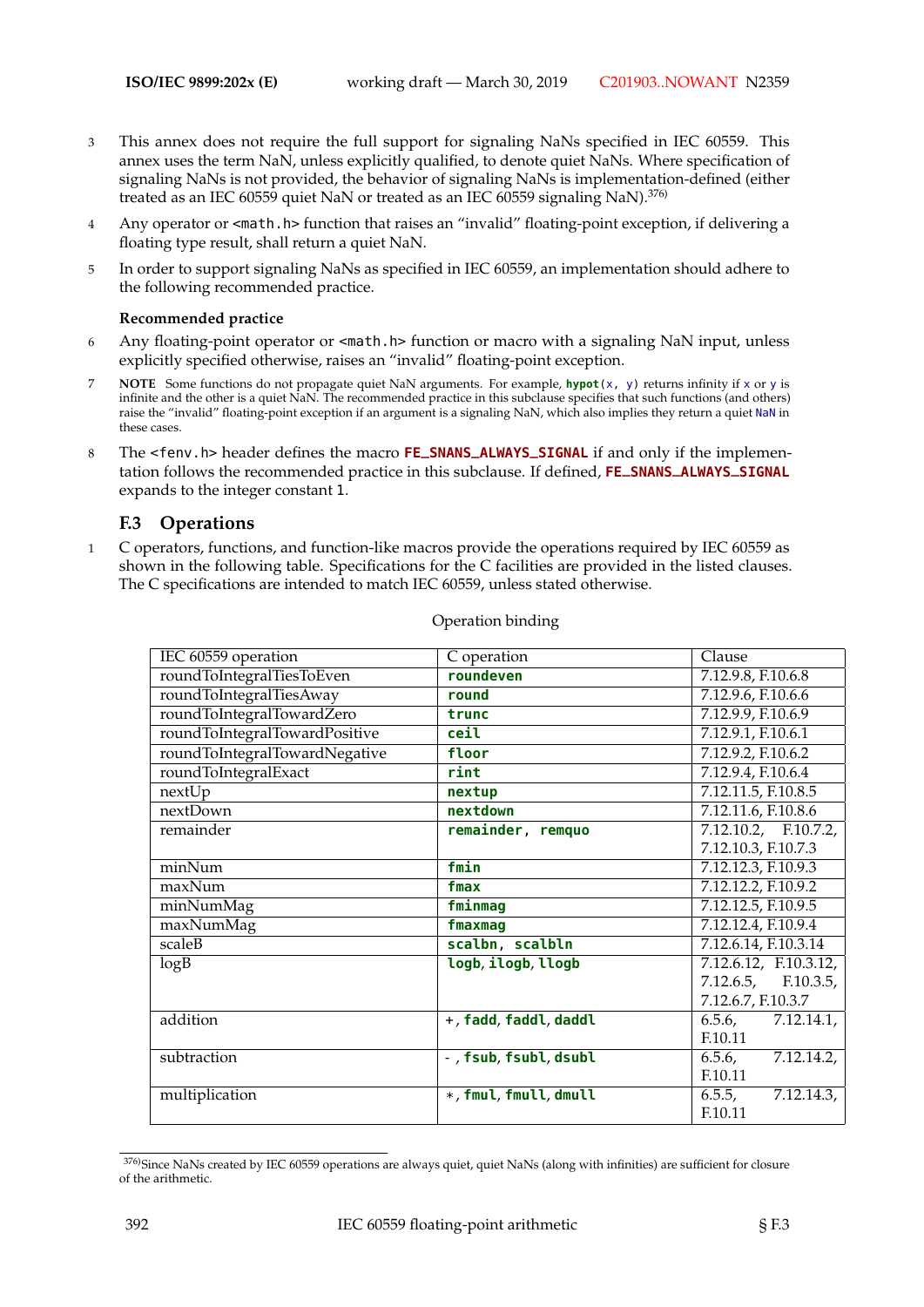- 3 This annex does not require the full support for signaling NaNs specified in IEC 60559. This annex uses the term NaN, unless explicitly qualified, to denote quiet NaNs. Where specification of signaling NaNs is not provided, the behavior of signaling NaNs is implementation-defined (either treated as an IEC 60559 quiet NaN or treated as an IEC 60559 signaling NaN).<sup>376)</sup>
- 4 Any operator or <math.h> function that raises an "invalid" floating-point exception, if delivering a floating type result, shall return a quiet NaN.
- 5 In order to support signaling NaNs as specified in IEC 60559, an implementation should adhere to the following recommended practice.

#### **Recommended practice**

- 6 Any floating-point operator or <math.h> function or macro with a signaling NaN input, unless explicitly specified otherwise, raises an "invalid" floating-point exception.
- 7 **NOTE** Some functions do not propagate quiet NaN arguments. For example, **hypot**(x, y) returns infinity if x or y is infinite and the other is a quiet NaN. The recommended practice in this subclause specifies that such functions (and others) raise the "invalid" floating-point exception if an argument is a signaling NaN, which also implies they return a quiet NaN in these cases.
- <sup>8</sup> The <fenv.h> header defines the macro **FE\_SNANS\_ALWAYS\_SIGNAL** if and only if the implementation follows the recommended practice in this subclause. If defined, **FE\_SNANS\_ALWAYS\_SIGNAL** expands to the integer constant 1.

## **F.3 Operations**

1 C operators, functions, and function-like macros provide the operations required by IEC 60559 as shown in the following table. Specifications for the C facilities are provided in the listed clauses. The C specifications are intended to match IEC 60559, unless stated otherwise.

| IEC 60559 operation           | C operation            | Clause                          |
|-------------------------------|------------------------|---------------------------------|
| roundToIntegralTiesToEven     | roundeven              | $7.12.9.8$ , F.10.6.8           |
| roundToIntegralTiesAway       | round                  | 7.12.9.6, F.10.6.6              |
| roundToIntegralTowardZero     | trunc                  | 7.12.9.9, F.10.6.9              |
| roundToIntegralTowardPositive | ceil                   | 7.12.9.1, F.10.6.1              |
| roundToIntegralTowardNegative | floor                  | 7.12.9.2, F.10.6.2              |
| roundToIntegralExact          | rint                   | 7.12.9.4, F.10.6.4              |
| nextUp                        | nextup                 | 7.12.11.5, F.10.8.5             |
| nextDown                      | nextdown               | 7.12.11.6, F.10.8.6             |
| remainder                     | remainder, remquo      | 7.12.10.2, F.10.7.2,            |
|                               |                        | 7.12.10.3, F.10.7.3             |
| minNum                        | fmin                   | 7.12.12.3, F.10.9.3             |
| maxNum                        | fmax                   | 7.12.12.2, F.10.9.2             |
| minNumMag                     | fminmag                | 7.12.12.5, F.10.9.5             |
| maxNumMag                     | fmaxmag                | 7.12.12.4, F.10.9.4             |
| scaleB                        | scalbn, scalbln        | 7.12.6.14, F.10.3.14            |
| log B                         | logb, ilogb, llogb     | 7.12.6.12, F.10.3.12,           |
|                               |                        | $7.12.6.5$ , F.10.3.5,          |
|                               |                        | 7.12.6.7, F.10.3.7              |
| addition                      | +, fadd, faddl, daddl  | 6.5.6<br>$\overline{7.12.14.1}$ |
|                               |                        | F.10.11                         |
| subtraction                   | - , fsub, fsubl, dsubl | 6.5.6,<br>7.12.14.2,            |
|                               |                        | F.10.11                         |
| multiplication                | *, fmul, fmull, dmull  | 7.12.14.3,<br>6.5.5,            |
|                               |                        | F.10.11                         |

Operation binding

<sup>376)</sup>Since NaNs created by IEC 60559 operations are always quiet, quiet NaNs (along with infinities) are sufficient for closure of the arithmetic.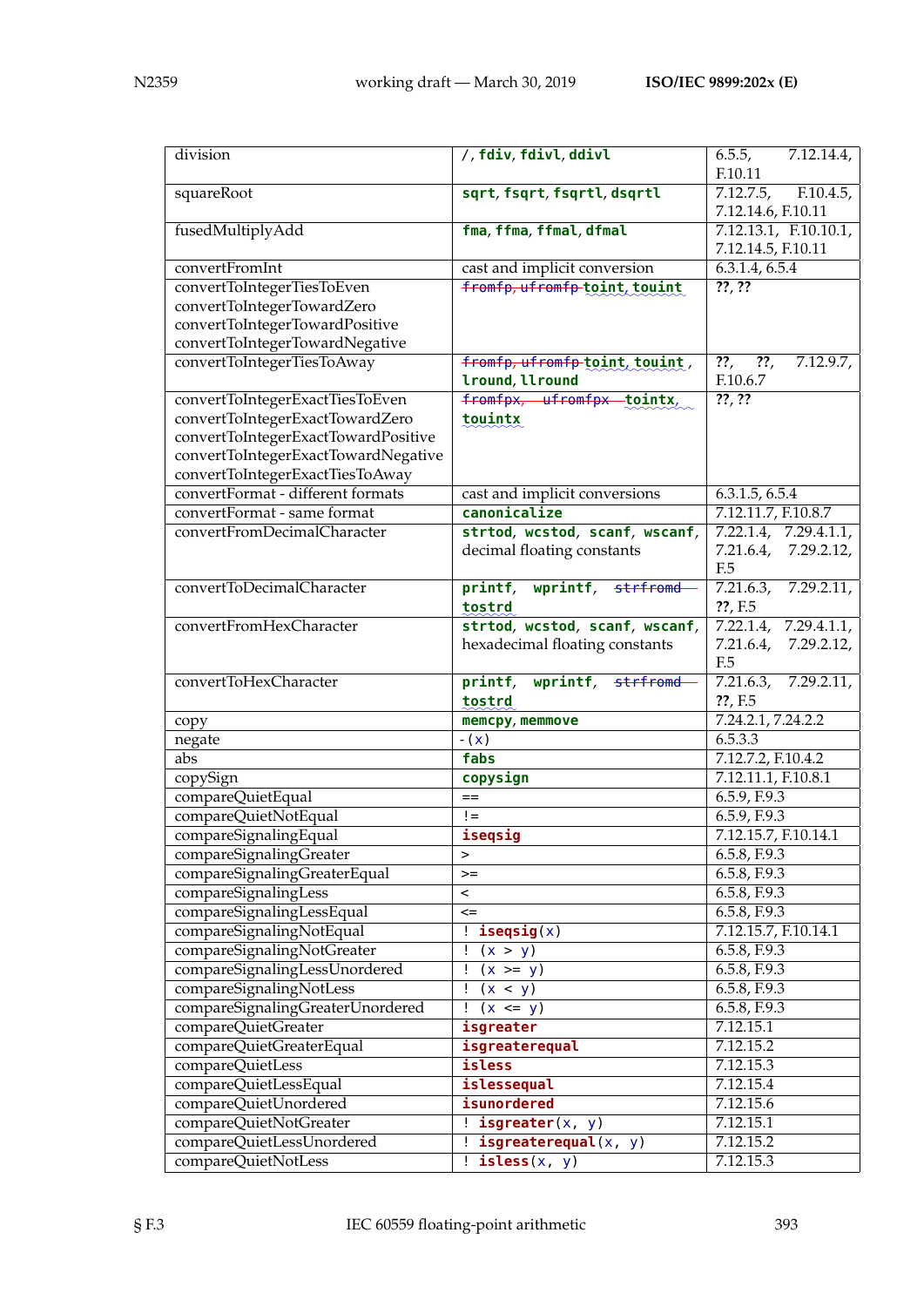| division                            | /, fdiv, fdivl, ddivl          | 6.5.5,<br>7.12.14.4,<br>F.10.11   |
|-------------------------------------|--------------------------------|-----------------------------------|
| squareRoot                          | sqrt, fsqrt, fsqrtl, dsqrtl    | $\overline{F.10.4.5}$<br>7.12.7.5 |
|                                     |                                | 7.12.14.6, F.10.11                |
| fusedMultiplyAdd                    | fma, ffma, ffmal, dfmal        | 7.12.13.1, F.10.10.1,             |
|                                     |                                | 7.12.14.5, F.10.11                |
| convertFromInt                      | cast and implicit conversion   | 6.3.1.4, 6.5.4                    |
| convertToIntegerTiesToEven          | fromfp, ufromfp-toint, touint  | $\overline{?????}$                |
| convertToIntegerTowardZero          |                                |                                   |
| convertToIntegerTowardPositive      |                                |                                   |
| convertToIntegerTowardNegative      |                                |                                   |
| convertToIntegerTiesToAway          | fromfp, ufromfp-toint, touint, | $??$ ,<br>??,<br>$7.12.9.7$ ,     |
|                                     | lround, llround                | F.10.6.7                          |
| convertToIntegerExactTiesToEven     | fromfpx, ufromfpx tointx,      | $\overline{?????}$                |
| convertToIntegerExactTowardZero     | touintx                        |                                   |
| convertToIntegerExactTowardPositive |                                |                                   |
| convertToIntegerExactTowardNegative |                                |                                   |
| convertToIntegerExactTiesToAway     |                                |                                   |
| convertFormat - different formats   | cast and implicit conversions  | 6.3.1.5, 6.5.4                    |
| convertFormat - same format         | canonicalize                   | 7.12.11.7, F.10.8.7               |
| convertFromDecimalCharacter         | strtod, wcstod, scanf, wscanf, | 7.22.1.4, 7.29.4.1.1,             |
|                                     | decimal floating constants     | 7.21.6.4,<br>7.29.2.12,           |
|                                     |                                | F.5                               |
| convertToDecimalCharacter           | printf, wprintf, strfromd      | 7.21.6.3,<br>7.29.2.11,           |
|                                     | tostrd                         | ??, F.5                           |
| convertFromHexCharacter             | strtod, wcstod, scanf, wscanf, | 7.22.1.4, 7.29.4.1.1,             |
|                                     | hexadecimal floating constants | 7.21.6.4,<br>7.29.2.12,           |
|                                     |                                | F.5                               |
| convertToHexCharacter               | wprintf, strfromd<br>printf,   | 7.21.6.3,<br>7.29.2.11,           |
|                                     | tostrd                         | ??, F.5                           |
| copy                                | memcpy, memmove                | 7.24.2.1, 7.24.2.2                |
| negate                              | $-(x)$                         | 6.5.3.3                           |
| abs                                 | fabs                           | 7.12.7.2, F.10.4.2                |
| copySign                            | copysign                       | 7.12.11.1, F.10.8.1               |
| compareQuietEqual                   | $==$                           | 6.5.9, F.9.3                      |
| compareQuietNotEqual                | $!=$                           | 6.5.9, F.9.3                      |
| compareSignalingEqual               | iseqsig                        | 7.12.15.7, F.10.14.1              |
| compareSignalingGreater             | >                              | 6.5.8, F.9.3                      |
| compareSignalingGreaterEqual        | $>=$                           | 6.5.8, F.9.3                      |
| compareSignalingLess                | $\,<\,$                        | 6.5.8, F.9.3                      |
| compareSignalingLessEqual           | $\leq$                         | 6.5.8, F.9.3                      |
| compareSignalingNotEqual            | : <b>isegsig(x)</b>            | 7.12.15.7, F.10.14.1              |
| compareSignalingNotGreater          | $\frac{1}{2}$ (x > y)          | 6.5.8, F.9.3                      |
| compareSignalingLessUnordered       | $(x \ge y)$                    | 6.5.8, F.9.3                      |
| compareSignalingNotLess             | (x < y)<br>Ŧ                   | 6.5.8, F.9.3                      |
| compareSignalingGreaterUnordered    | $(x \leq y)$<br>Ţ              | 6.5.8, F.9.3                      |
| compareQuietGreater                 | isgreater                      | 7.12.15.1                         |
| compareQuietGreaterEqual            | isgreaterequal                 | 7.12.15.2                         |
| compareQuietLess                    | isless                         | 7.12.15.3                         |
| compareQuietLessEqual               | islessequal                    | 7.12.15.4                         |
| compareQuietUnordered               | isunordered                    | 7.12.15.6                         |
| compareQuietNotGreater              | $!\mathbf{isgreater}(x, y)$    | 7.12.15.1                         |
| compareQuietLessUnordered           | $!$ isgreaterequal $(x, y)$    | 7.12.15.2                         |
| compareQuietNotLess                 | $:$ isless $(x, y)$            | 7.12.15.3                         |
|                                     |                                |                                   |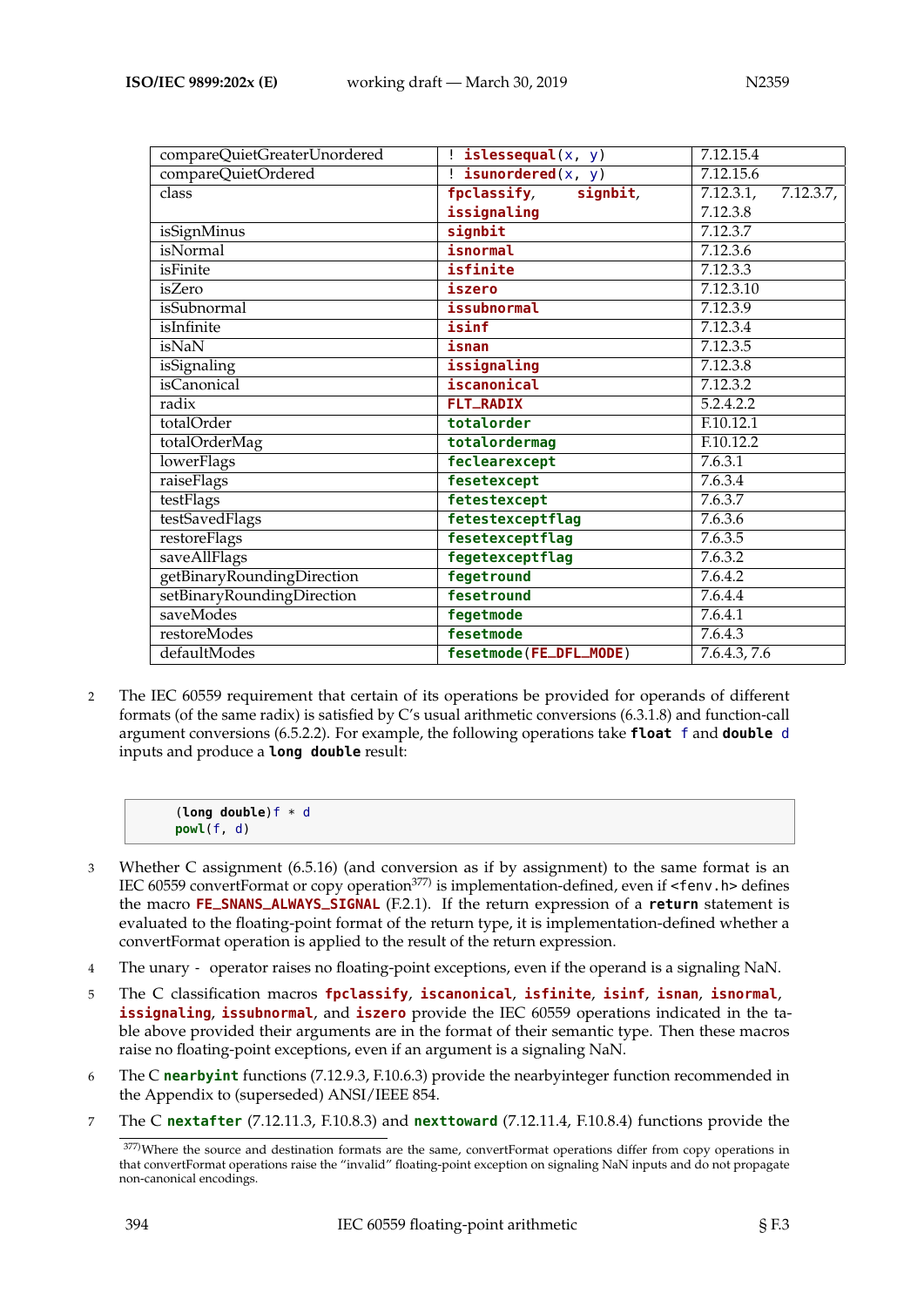| compareQuietGreaterUnordered | $!$ islessequal $(x, y)$       | 7.12.15.4              |
|------------------------------|--------------------------------|------------------------|
| compareQuietOrdered          | $!\mathbf{is unordered}(x, y)$ | 7.12.15.6              |
| class                        | fpclassify,<br>signbit,        | 7.12.3.1,<br>7.12.3.7, |
|                              | issignaling                    | 7.12.3.8               |
| isSignMinus                  | signbit                        | 7.12.3.7               |
| isNormal                     | isnormal                       | 7.12.3.6               |
| isFinite                     | isfinite                       | 7.12.3.3               |
| isZero                       | iszero                         | 7.12.3.10              |
| isSubnormal                  | issubnormal                    | 7.12.3.9               |
| isInfinite                   | isinf                          | 7.12.3.4               |
| isNaN                        | isnan                          | 7.12.3.5               |
| isSignaling                  | issignaling                    | 7.12.3.8               |
| <i>is</i> Canonical          | iscanonical                    | 7.12.3.2               |
| radix                        | <b>FLT_RADIX</b>               | $5.\overline{2.4.2.2}$ |
| totalOrder                   | totalorder                     | F.10.12.1              |
| totalOrderMag                | totalordermag                  | F.10.12.2              |
| <b>lowerFlags</b>            | feclearexcept                  | 7.6.3.1                |
| raiseFlags                   | fesetexcept                    | 7.6.3.4                |
| testFlags                    | fetestexcept                   | 7.6.3.7                |
| testSavedFlags               | fetestexceptflag               | 7.6.3.6                |
| restoreFlags                 | fesetexceptflag                | 7.6.3.5                |
| saveAllFlags                 | fegetexceptflag                | 7.6.3.2                |
| getBinaryRoundingDirection   | fegetround                     | 7.6.4.2                |
| setBinaryRoundingDirection   | fesetround                     | 7.6.4.4                |
| saveModes                    | fegetmode                      | 7.6.4.1                |
| restoreModes                 | fesetmode                      | 7.6.4.3                |
| defaultModes                 | fesetmode(FE_DFL_MODE)         | 7.6.4.3, 7.6           |

2 The IEC 60559 requirement that certain of its operations be provided for operands of different formats (of the same radix) is satisfied by C's usual arithmetic conversions (6.3.1.8) and function-call argument conversions (6.5.2.2). For example, the following operations take **float** f and **double** d inputs and produce a **long double** result:

| (long double) $f * d$ |  |
|-----------------------|--|
| powl(f, d)            |  |

- 3 Whether C assignment (6.5.16) (and conversion as if by assignment) to the same format is an IEC 60559 convertFormat or copy operation<sup>377)</sup> is implementation-defined, even if <fenv.h> defines the macro **FE\_SNANS\_ALWAYS\_SIGNAL** (F.2.1). If the return expression of a **return** statement is evaluated to the floating-point format of the return type, it is implementation-defined whether a convertFormat operation is applied to the result of the return expression.
- 4 The unary operator raises no floating-point exceptions, even if the operand is a signaling NaN.
- 5 The C classification macros **fpclassify**, **iscanonical**, **isfinite**, **isinf**, **isnan**, **isnormal**, **issignaling**, **issubnormal**, and **iszero** provide the IEC 60559 operations indicated in the table above provided their arguments are in the format of their semantic type. Then these macros raise no floating-point exceptions, even if an argument is a signaling NaN.
- 6 The C **nearbyint** functions (7.12.9.3, F.10.6.3) provide the nearbyinteger function recommended in the Appendix to (superseded) ANSI/IEEE 854.
- 7 The C **nextafter** (7.12.11.3, F.10.8.3) and **nexttoward** (7.12.11.4, F.10.8.4) functions provide the

<sup>377)</sup>Where the source and destination formats are the same, convertFormat operations differ from copy operations in that convertFormat operations raise the "invalid" floating-point exception on signaling NaN inputs and do not propagate non-canonical encodings.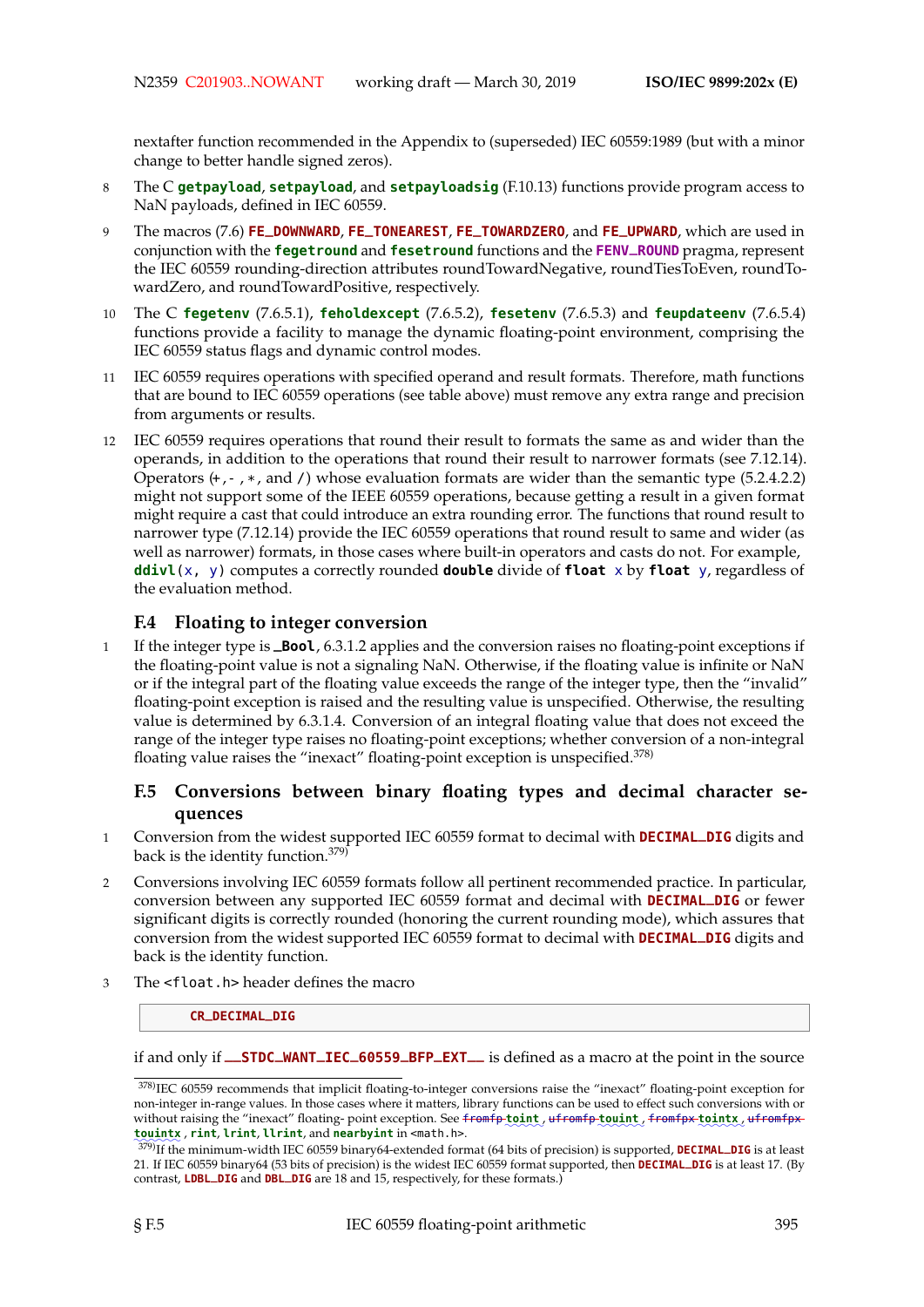nextafter function recommended in the Appendix to (superseded) IEC 60559:1989 (but with a minor change to better handle signed zeros).

- 8 The C **getpayload**, **setpayload**, and **setpayloadsig** (F.10.13) functions provide program access to NaN payloads, defined in IEC 60559.
- <sup>9</sup> The macros (7.6) **FE\_DOWNWARD**, **FE\_TONEAREST**, **FE\_TOWARDZERO**, and **FE\_UPWARD**, which are used in conjunction with the **fegetround** and **fesetround** functions and the **FENV\_ROUND** pragma, represent the IEC 60559 rounding-direction attributes roundTowardNegative, roundTiesToEven, roundTowardZero, and roundTowardPositive, respectively.
- 10 The C **fegetenv** (7.6.5.1), **feholdexcept** (7.6.5.2), **fesetenv** (7.6.5.3) and **feupdateenv** (7.6.5.4) functions provide a facility to manage the dynamic floating-point environment, comprising the IEC 60559 status flags and dynamic control modes.
- 11 IEC 60559 requires operations with specified operand and result formats. Therefore, math functions that are bound to IEC 60559 operations (see table above) must remove any extra range and precision from arguments or results.
- 12 IEC 60559 requires operations that round their result to formats the same as and wider than the operands, in addition to the operations that round their result to narrower formats (see 7.12.14). Operators  $(+,-,*, \text{ and } \prime)$  whose evaluation formats are wider than the semantic type (5.2.4.2.2) might not support some of the IEEE 60559 operations, because getting a result in a given format might require a cast that could introduce an extra rounding error. The functions that round result to narrower type (7.12.14) provide the IEC 60559 operations that round result to same and wider (as well as narrower) formats, in those cases where built-in operators and casts do not. For example, **ddivl**(x, y) computes a correctly rounded **double** divide of **float** x by **float** y, regardless of the evaluation method.

# **F.4 Floating to integer conversion**

<sup>1</sup> If the integer type is **\_Bool**, 6.3.1.2 applies and the conversion raises no floating-point exceptions if the floating-point value is not a signaling NaN. Otherwise, if the floating value is infinite or NaN or if the integral part of the floating value exceeds the range of the integer type, then the "invalid" floating-point exception is raised and the resulting value is unspecified. Otherwise, the resulting value is determined by 6.3.1.4. Conversion of an integral floating value that does not exceed the range of the integer type raises no floating-point exceptions; whether conversion of a non-integral floating value raises the "inexact" floating-point exception is unspecified.<sup>378)</sup>

## **F.5 Conversions between binary floating types and decimal character sequences**

- <sup>1</sup> Conversion from the widest supported IEC 60559 format to decimal with **DECIMAL\_DIG** digits and back is the identity function.379)
- 2 Conversions involving IEC 60559 formats follow all pertinent recommended practice. In particular, conversion between any supported IEC 60559 format and decimal with **DECIMAL\_DIG** or fewer significant digits is correctly rounded (honoring the current rounding mode), which assures that conversion from the widest supported IEC 60559 format to decimal with **DECIMAL\_DIG** digits and back is the identity function.
- 3 The <float.h> header defines the macro

#### **CR\_DECIMAL\_DIG**

if and only if **\_\_STDC\_WANT\_IEC\_60559\_BFP\_EXT\_\_** is defined as a macro at the point in the source

<sup>378)</sup>IEC 60559 recommends that implicit floating-to-integer conversions raise the "inexact" floating-point exception for non-integer in-range values. In those cases where it matters, library functions can be used to effect such conversions with or without raising the "inexact" floating-point exception. See <del>fromfp to int</del><sub>,</sub> uf<del>romfp touint</del>, f<del>romfpx to intx</del>, ufromfpx ✿✿✿✿✿✿ **touintx** , **rint**, **lrint**, **llrint**, and **nearbyint** in <math.h>.

<sup>379)</sup>If the minimum-width IEC 60559 binary64-extended format (64 bits of precision) is supported, **DECIMAL\_DIG** is at least 21. If IEC 60559 binary64 (53 bits of precision) is the widest IEC 60559 format supported, then **DECIMAL\_DIG** is at least 17. (By contrast, **LDBL\_DIG** and **DBL\_DIG** are 18 and 15, respectively, for these formats.)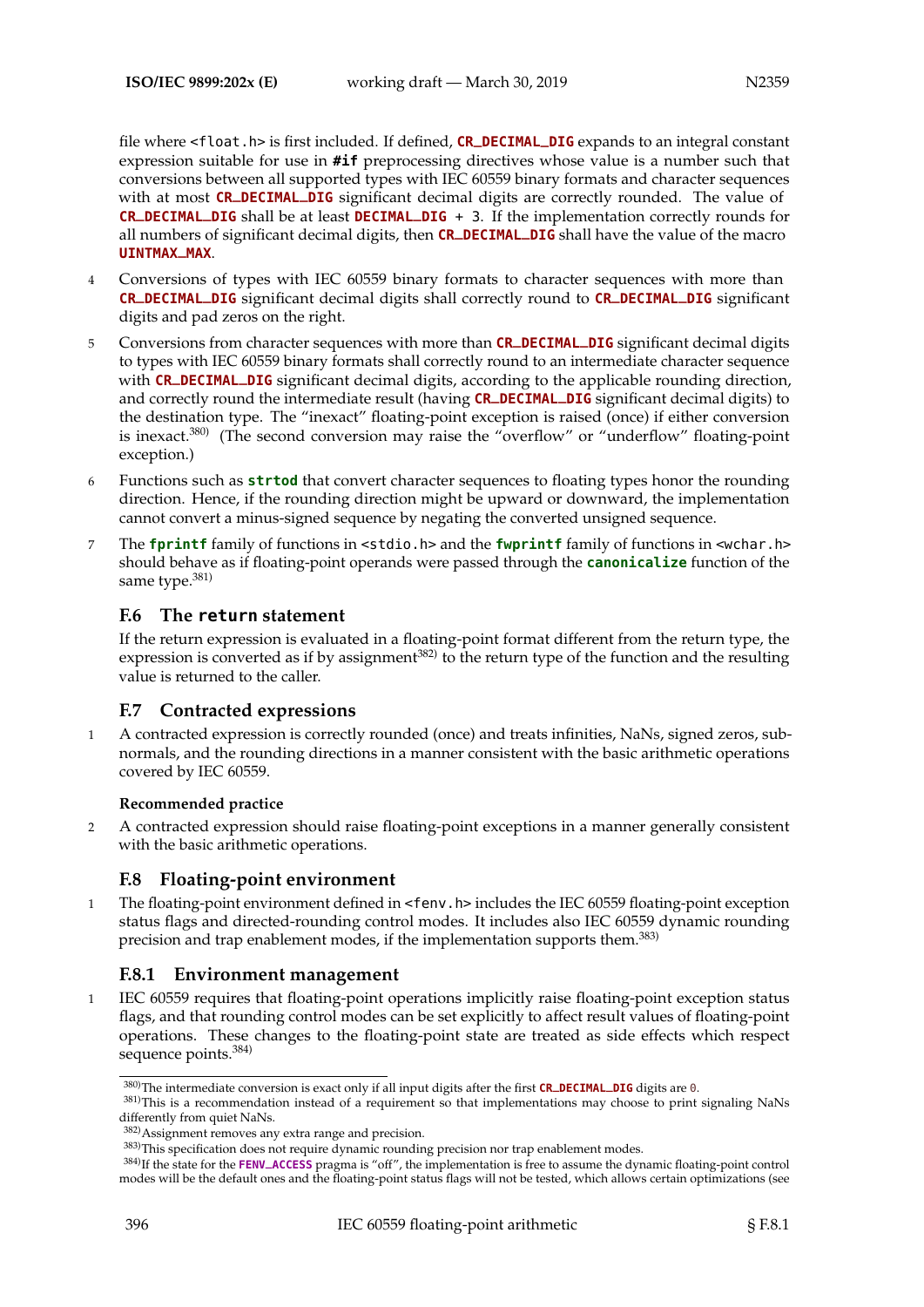file where <float.h> is first included. If defined, **CR\_DECIMAL\_DIG** expands to an integral constant expression suitable for use in **#if** preprocessing directives whose value is a number such that conversions between all supported types with IEC 60559 binary formats and character sequences with at most **CR\_DECIMAL\_DIG** significant decimal digits are correctly rounded. The value of **CR\_DECIMAL\_DIG** shall be at least **DECIMAL\_DIG** + 3. If the implementation correctly rounds for all numbers of significant decimal digits, then **CR\_DECIMAL\_DIG** shall have the value of the macro **UINTMAX\_MAX**.

- 4 Conversions of types with IEC 60559 binary formats to character sequences with more than **CR\_DECIMAL\_DIG** significant decimal digits shall correctly round to **CR\_DECIMAL\_DIG** significant digits and pad zeros on the right.
- <sup>5</sup> Conversions from character sequences with more than **CR\_DECIMAL\_DIG** significant decimal digits to types with IEC 60559 binary formats shall correctly round to an intermediate character sequence with **CR\_DECIMAL\_DIG** significant decimal digits, according to the applicable rounding direction, and correctly round the intermediate result (having **CR\_DECIMAL\_DIG** significant decimal digits) to the destination type. The "inexact" floating-point exception is raised (once) if either conversion is inexact.<sup>380</sup> (The second conversion may raise the "overflow" or "underflow" floating-point exception.)
- 6 Functions such as **strtod** that convert character sequences to floating types honor the rounding direction. Hence, if the rounding direction might be upward or downward, the implementation cannot convert a minus-signed sequence by negating the converted unsigned sequence.
- 7 The **fprintf** family of functions in <stdio.h> and the **fwprintf** family of functions in <wchar.h> should behave as if floating-point operands were passed through the **canonicalize** function of the same type.<sup>381)</sup>

## **F.6 The return statement**

If the return expression is evaluated in a floating-point format different from the return type, the expression is converted as if by assignment<sup>382)</sup> to the return type of the function and the resulting value is returned to the caller.

## **F.7 Contracted expressions**

1 A contracted expression is correctly rounded (once) and treats infinities, NaNs, signed zeros, subnormals, and the rounding directions in a manner consistent with the basic arithmetic operations covered by IEC 60559.

## **Recommended practice**

2 A contracted expression should raise floating-point exceptions in a manner generally consistent with the basic arithmetic operations.

# **F.8 Floating-point environment**

1 The floating-point environment defined in <fenv.h> includes the IEC 60559 floating-point exception status flags and directed-rounding control modes. It includes also IEC 60559 dynamic rounding precision and trap enablement modes, if the implementation supports them.<sup>383)</sup>

# **F.8.1 Environment management**

1 IEC 60559 requires that floating-point operations implicitly raise floating-point exception status flags, and that rounding control modes can be set explicitly to affect result values of floating-point operations. These changes to the floating-point state are treated as side effects which respect sequence points.<sup>384)</sup>

<sup>380)</sup>The intermediate conversion is exact only if all input digits after the first **CR\_DECIMAL\_DIG** digits are 0.

 $381$ )This is a recommendation instead of a requirement so that implementations may choose to print signaling NaNs differently from quiet NaNs.

<sup>382)</sup>Assignment removes any extra range and precision.

<sup>383)</sup>This specification does not require dynamic rounding precision nor trap enablement modes.

<sup>384)</sup>If the state for the **FENV\_ACCESS** pragma is "off", the implementation is free to assume the dynamic floating-point control modes will be the default ones and the floating-point status flags will not be tested, which allows certain optimizations (see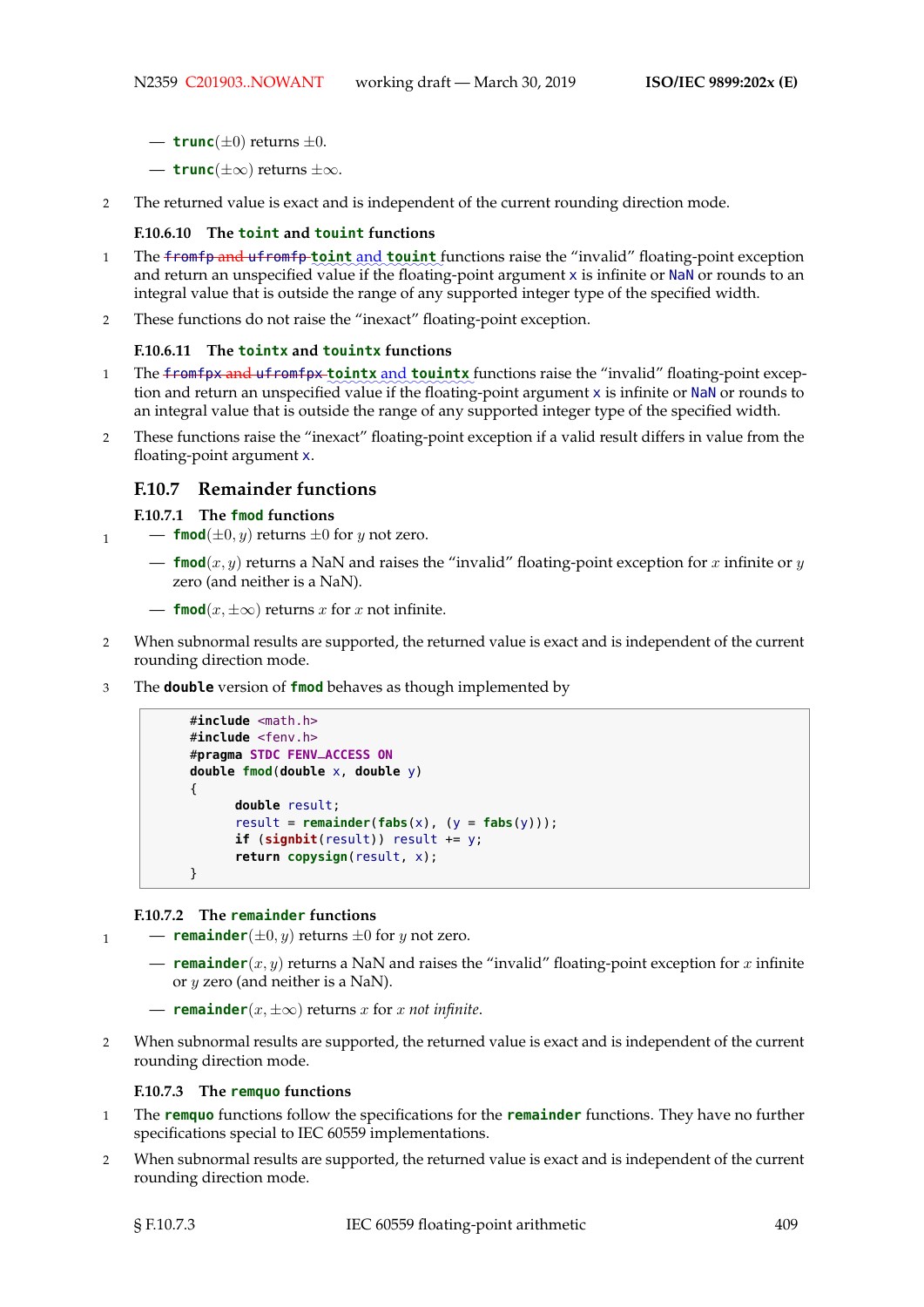- $-$  **trunc** $(\pm 0)$  returns  $\pm 0$ .
- **trunc**(±∞) returns ±∞.
- 2 The returned value is exact and is independent of the current rounding direction mode.

#### **F.10.6.10 The toint and touint functions**

- 1 The <del>fromfp and ufromfp to int and **touint** fun</del>ctions raise the "invalid" floating-point exception and return an unspecified value if the floating-point argument x is infinite or NaN or rounds to an integral value that is outside the range of any supported integer type of the specified width.
- 2 These functions do not raise the "inexact" floating-point exception.

#### **F.10.6.11 The tointx and touintx functions**

- 1 The <del>fromfpx and ufromfpx to intx and touintx</del> functions raise the "invalid" floating-point exception and return an unspecified value if the floating-point argument x is infinite or NaN or rounds to an integral value that is outside the range of any supported integer type of the specified width.
- 2 These functions raise the "inexact" floating-point exception if a valid result differs in value from the floating-point argument x.

## **F.10.7 Remainder functions**

**F.10.7.1 The fmod functions**

- $\mathbf{1}$  **fmod**( $\pm 0, y$ ) returns  $\pm 0$  for y not zero.
	- $\blacksquare$  **fmod** $(x, y)$  returns a NaN and raises the "invalid" floating-point exception for x infinite or y zero (and neither is a NaN).
	- **fmod**( $x, \pm \infty$ ) returns x for x not infinite.
- 2 When subnormal results are supported, the returned value is exact and is independent of the current rounding direction mode.
- 3 The **double** version of **fmod** behaves as though implemented by

```
#include <math.h>
#include <fenv.h>
#pragma STDC FENV_ACCESS ON
double fmod(double x, double y)
{
      double result;
      result = remainder(fabs(x), (y = fabs(y)));
      if (signbit(result)) result += y;
      return copysign(result, x);
}
```
#### **F.10.7.2 The remainder functions**

 $\mathbf{1}$  **— remainder**( $\pm 0, y$ ) returns  $\pm 0$  for y not zero.

- **remainder** $(x, y)$  returns a NaN and raises the "invalid" floating-point exception for x infinite or  $y$  zero (and neither is a NaN).
- $\text{■}$  **remainder**( $x, \pm \infty$ ) returns  $x$  for  $x$  *not infinite*.
- 2 When subnormal results are supported, the returned value is exact and is independent of the current rounding direction mode.

#### **F.10.7.3 The remquo functions**

- 1 The **remquo** functions follow the specifications for the **remainder** functions. They have no further specifications special to IEC 60559 implementations.
- 2 When subnormal results are supported, the returned value is exact and is independent of the current rounding direction mode.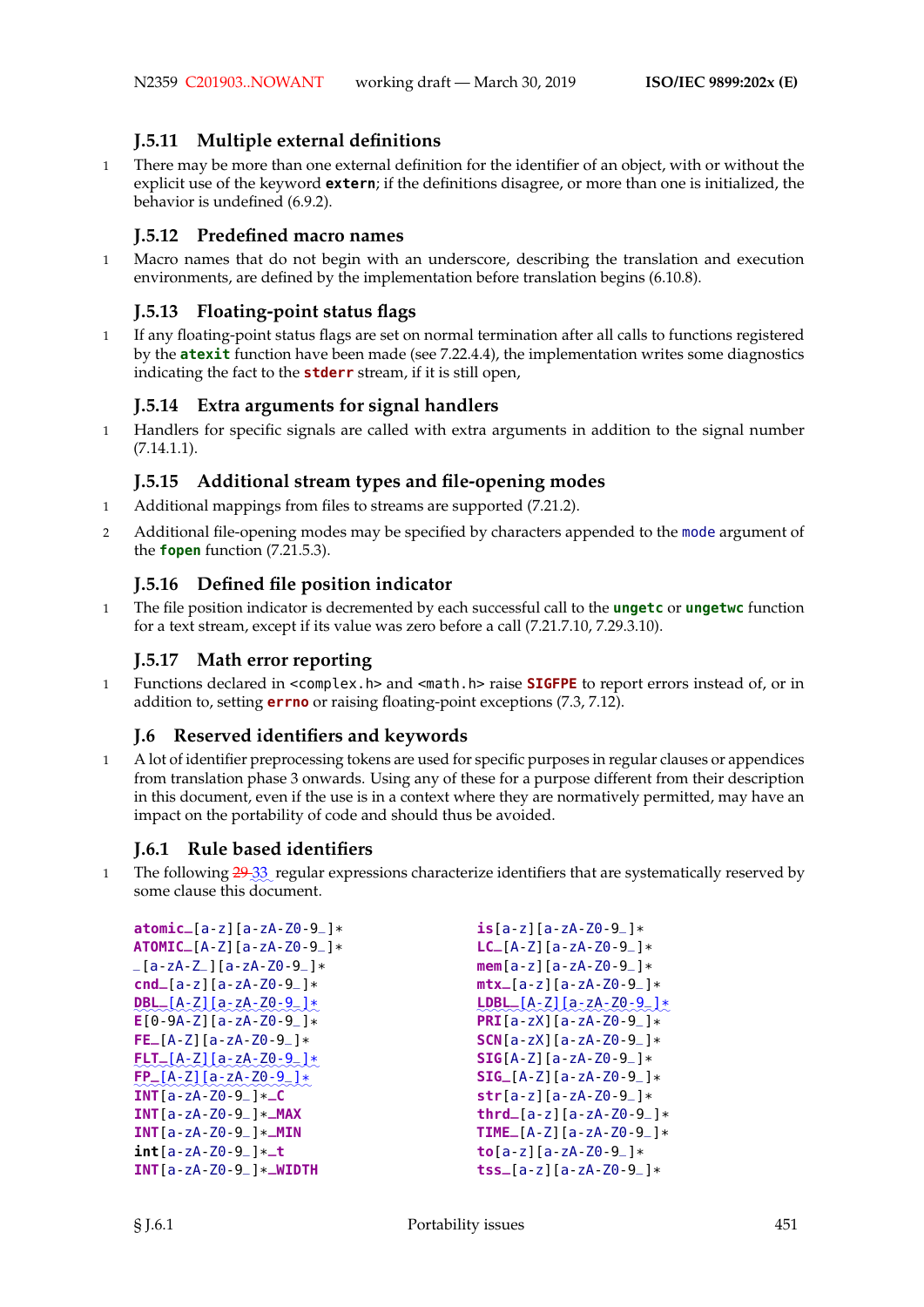# **J.5.11 Multiple external definitions**

1 There may be more than one external definition for the identifier of an object, with or without the explicit use of the keyword **extern**; if the definitions disagree, or more than one is initialized, the behavior is undefined (6.9.2).

# **J.5.12 Predefined macro names**

1 Macro names that do not begin with an underscore, describing the translation and execution environments, are defined by the implementation before translation begins (6.10.8).

# **J.5.13 Floating-point status flags**

1 If any floating-point status flags are set on normal termination after all calls to functions registered by the **atexit** function have been made (see 7.22.4.4), the implementation writes some diagnostics indicating the fact to the **stderr** stream, if it is still open,

# **J.5.14 Extra arguments for signal handlers**

1 Handlers for specific signals are called with extra arguments in addition to the signal number (7.14.1.1).

## **J.5.15 Additional stream types and file-opening modes**

- 1 Additional mappings from files to streams are supported (7.21.2).
- 2 Additional file-opening modes may be specified by characters appended to the mode argument of the **fopen** function (7.21.5.3).

# **J.5.16 Defined file position indicator**

1 The file position indicator is decremented by each successful call to the **ungetc** or **ungetwc** function for a text stream, except if its value was zero before a call (7.21.7.10, 7.29.3.10).

# **J.5.17 Math error reporting**

1 Functions declared in <complex.h> and <math.h> raise **SIGFPE** to report errors instead of, or in addition to, setting **errno** or raising floating-point exceptions (7.3, 7.12).

# **J.6 Reserved identifiers and keywords**

1 A lot of identifier preprocessing tokens are used for specific purposes in regular clauses or appendices from translation phase 3 onwards. Using any of these for a purpose different from their description in this document, even if the use is in a context where they are normatively permitted, may have an impact on the portability of code and should thus be avoided.

# **J.6.1 Rule based identifiers**

1 The following 29.33 regular expressions characterize identifiers that are systematically reserved by some clause this document.

```
atomic_[a-z][a-zA-Z0-9_]*
ATOMIC_[A-Z][a-zA-Z0-9_]*
_{-}[a-zA-Z<sub>-</sub>][a-zA-Z0-9<sub>-</sub>]*
cnd_[a-z][a-zA-Z0-9_]*
✿✿✿✿✿✿✿✿✿✿✿✿✿✿✿✿✿✿✿✿✿✿✿✿
DBL_[A-Z][a-zA-Z0-9_]*
E[0-9A-Z][a-zA-Z0-9_]*
FE_[A-Z][a-zA-Z0-9_]*
✿✿✿✿✿✿✿✿✿✿✿✿✿✿✿✿✿✿✿✿✿✿✿✿
FLT_[A-Z][a-zA-Z0-9_]*
✿✿✿✿✿✿✿✿✿✿✿✿✿✿✿✿✿✿✿✿✿✿✿
FP_[A-Z][a-zA-Z0-9_]*
INT[a-zA-Z0-9_]*
_C
INT[a-zA-Z0-9_]*
_MAX
INT[a-zA-Z0-9_]*
_MIN
int[a-zA-Z0-9_]*
_t
INT[a-zA-Z0-9_]*
_WIDTH
                                                  is[a-z][a-zA-Z0-9_]*
                                                  LC_[A-Z][a-zA-Z0-9_]*
                                                  mem[a-z][a-zA-Z0-9_]*
                                                  mtx_[a-z][a-zA-Z0-9_]*
                                                   ✿✿✿✿✿✿✿✿✿✿✿✿✿✿✿✿✿✿✿✿✿✿✿✿✿
LDBL_[A-Z][a-zA-Z0-9_]*
                                                  PRI[a-zX][a-zA-Z0-9_]*
                                                  SCN[a-zX][a-zA-Z0-9_]*
                                                  SIG[A-Z][a-zA-Z0-9_]*
                                                  SIG_[A-Z][a-zA-Z0-9_]*
                                                  str[a-z][a-zA-Z0-9_]*
                                                  thrd_[a-z][a-zA-Z0-9_]*
                                                  TIME_[A-Z][a-zA-Z0-9_]*
                                                  to[a-z][a-zA-Z0-9_]*
                                                  tss_[a-z][a-zA-Z0-9_]*
```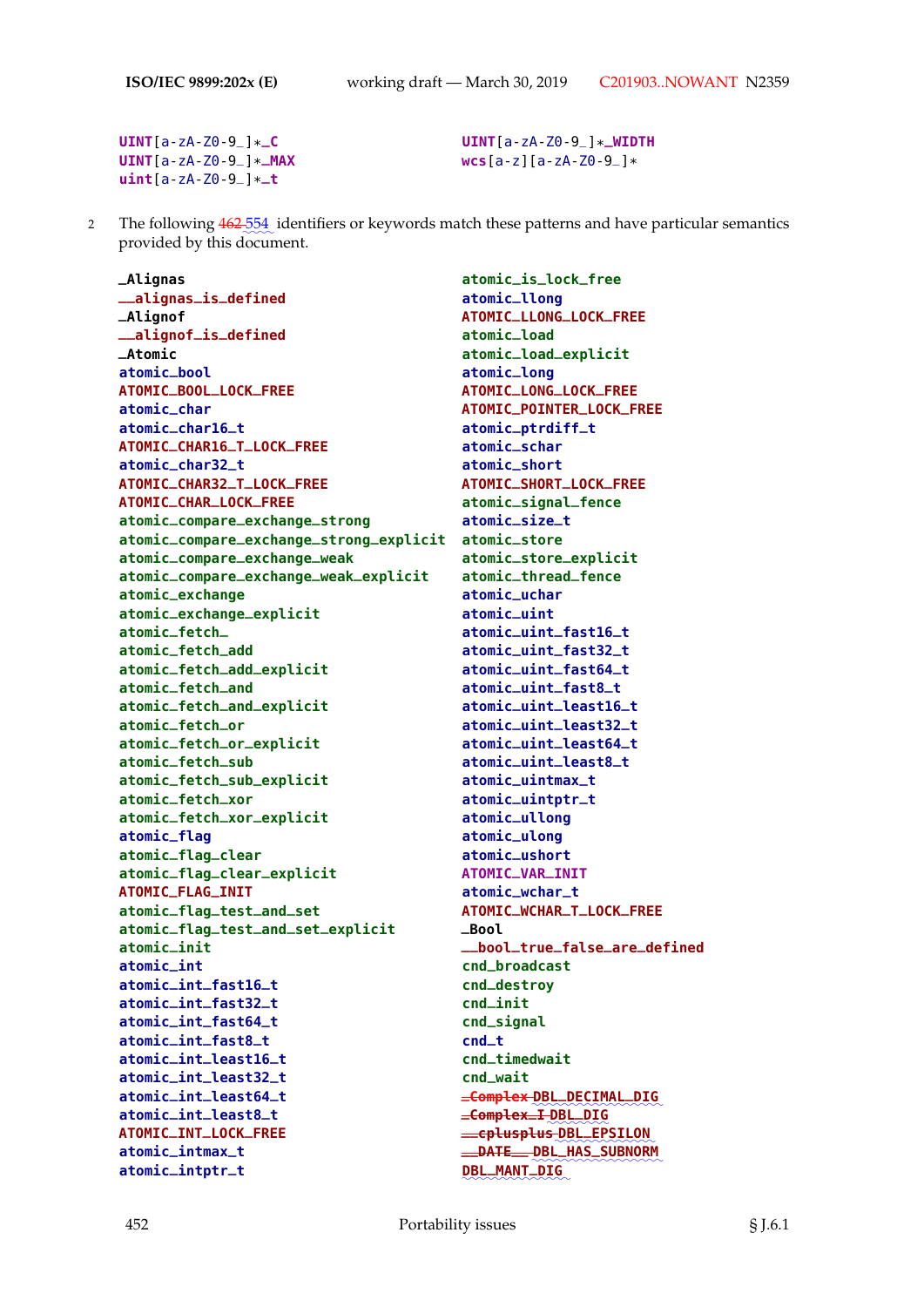**UINT**[a-zA-Z0-9\_]\* **\_C UINT**[a-zA-Z0-9\_]\* **\_MAX uint**[a-zA-Z0-9\_]\* **\_t**

**UINT**[a-zA-Z0-9\_]\* **\_WIDTH wcs**[a-z][a-zA-Z0-9\_]\*

2 The following  $462\frac{554}{2}$  identifiers or keywords match these patterns and have particular semantics provided by this document.

**\_Alignas \_\_alignas\_is\_defined \_Alignof \_\_alignof\_is\_defined \_Atomic atomic\_bool ATOMIC\_BOOL\_LOCK\_FREE atomic\_char atomic\_char16\_t ATOMIC\_CHAR16\_T\_LOCK\_FREE atomic\_char32\_t ATOMIC\_CHAR32\_T\_LOCK\_FREE ATOMIC\_CHAR\_LOCK\_FREE atomic\_compare\_exchange\_strong atomic\_compare\_exchange\_strong\_explicit atomic\_store atomic\_compare\_exchange\_weak atomic\_compare\_exchange\_weak\_explicit atomic\_exchange atomic\_exchange\_explicit atomic\_fetch\_ atomic\_fetch\_add atomic\_fetch\_add\_explicit atomic\_fetch\_and atomic\_fetch\_and\_explicit atomic\_fetch\_or atomic\_fetch\_or\_explicit atomic\_fetch\_sub atomic\_fetch\_sub\_explicit atomic\_fetch\_xor atomic\_fetch\_xor\_explicit atomic\_flag atomic\_flag\_clear atomic\_flag\_clear\_explicit ATOMIC\_FLAG\_INIT atomic\_flag\_test\_and\_set atomic\_flag\_test\_and\_set\_explicit atomic\_init atomic\_int atomic\_int\_fast16\_t atomic\_int\_fast32\_t atomic\_int\_fast64\_t atomic\_int\_fast8\_t atomic\_int\_least16\_t atomic\_int\_least32\_t atomic\_int\_least64\_t atomic\_int\_least8\_t ATOMIC\_INT\_LOCK\_FREE atomic\_intmax\_t atomic\_intptr\_t**

**atomic\_is\_lock\_free atomic\_llong ATOMIC\_LLONG\_LOCK\_FREE atomic\_load atomic\_load\_explicit atomic\_long ATOMIC\_LONG\_LOCK\_FREE ATOMIC\_POINTER\_LOCK\_FREE atomic\_ptrdiff\_t atomic\_schar atomic\_short ATOMIC\_SHORT\_LOCK\_FREE atomic\_signal\_fence atomic\_size\_t atomic\_store\_explicit atomic\_thread\_fence atomic\_uchar atomic\_uint atomic\_uint\_fast16\_t atomic\_uint\_fast32\_t atomic\_uint\_fast64\_t atomic\_uint\_fast8\_t atomic\_uint\_least16\_t atomic\_uint\_least32\_t atomic\_uint\_least64\_t atomic\_uint\_least8\_t atomic\_uintmax\_t atomic\_uintptr\_t atomic\_ullong atomic\_ulong atomic\_ushort ATOMIC\_VAR\_INIT atomic\_wchar\_t ATOMIC\_WCHAR\_T\_LOCK\_FREE \_Bool \_\_bool\_true\_false\_are\_defined cnd\_broadcast cnd\_destroy cnd\_init cnd\_signal cnd\_t cnd\_timedwait cnd\_wait**  $\equiv$  C<del>omplex</del> DBL\_DECIMAL\_DIG **\_Complex\_I** ✿✿✿✿✿✿✿✿ **DBL\_DIG \_\_cplusplus** ✿✿✿✿✿✿✿✿✿✿✿✿✿ **DBL\_EPSILON \_\_DATE\_\_** ✿✿✿✿✿✿✿✿✿✿✿✿✿✿✿✿✿ **DBL\_HAS\_SUBNORM** ✿✿✿✿✿✿✿✿✿✿✿✿✿✿ **DBL\_MANT\_DIG**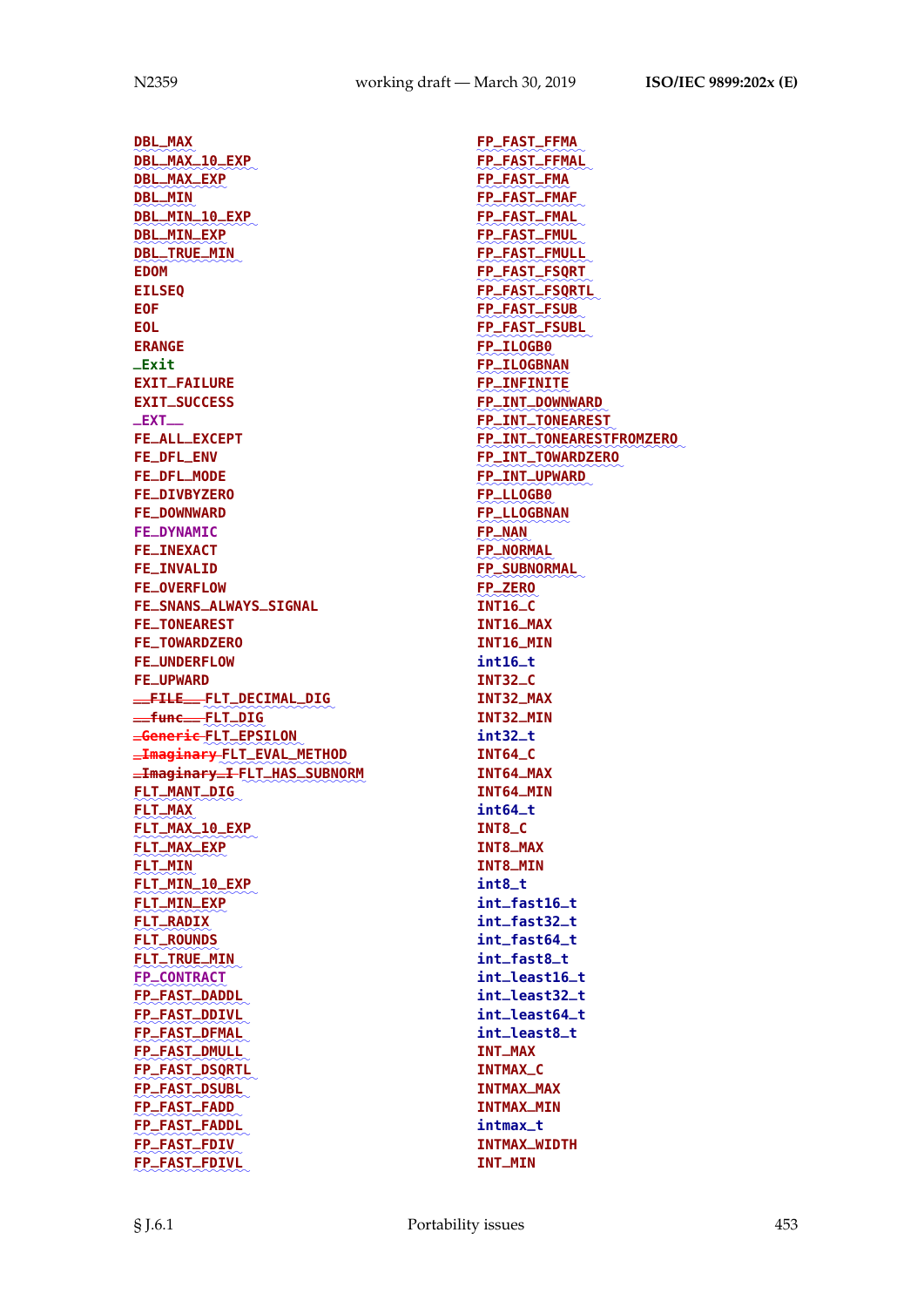✿✿✿✿✿✿✿✿ **DBL\_MAX** ✿✿✿✿✿✿✿✿✿✿✿✿✿✿✿✿ **DBL\_MAX\_10\_EXP** ✿✿✿✿✿✿✿✿✿✿✿✿ **DBL\_MAX\_EXP** ✿✿✿✿✿✿✿✿ **DBL\_MIN** ✿✿✿✿✿✿✿✿✿✿✿✿✿✿✿✿ **DBL\_MIN\_10\_EXP** ✿✿✿✿✿✿✿✿✿✿✿✿ **DBL\_MIN\_EXP** ✿✿✿✿✿✿✿✿✿✿✿✿✿✿ **DBL\_TRUE\_MIN EDOM EILSEQ EOF EOL ERANGE \_Exit EXIT\_FAILURE EXIT\_SUCCESS \_EXT\_\_ FE\_ALL\_EXCEPT FE\_DFL\_ENV FE\_DFL\_MODE FE\_DIVBYZERO FE\_DOWNWARD FE\_DYNAMIC FE\_INEXACT FE\_INVALID FE\_OVERFLOW FE\_SNANS\_ALWAYS\_SIGNAL FE\_TONEAREST FE\_TOWARDZERO FE\_UNDERFLOW FE\_UPWARD \_\_FILE\_\_** ✿✿✿✿✿✿✿✿✿✿✿✿✿✿✿✿✿ **FLT\_DECIMAL\_DIG \_\_func\_\_** ✿✿✿✿✿✿✿✿ **FLT\_DIG \_Generic** ✿✿✿✿✿✿✿✿✿✿✿✿✿ **FLT\_EPSILON**  $\equiv$ **Imaginary <code>FLT** $\equiv$ **EVAL** $\equiv$ **METHOD</code>**  $\equiv$ **Imaginary** $\equiv$ **I** <code>FLT $\equiv$ HAS $\equiv$ SUBNORM</code> ✿✿✿✿✿✿✿✿✿✿✿✿✿✿ **FLT\_MANT\_DIG** ✿✿✿✿✿✿✿✿ **FLT\_MAX** ✿✿✿✿✿✿✿✿✿✿✿✿✿✿✿✿ **FLT\_MAX\_10\_EXP** ✿✿✿✿✿✿✿✿✿✿✿✿ **FLT\_MAX\_EXP** ✿✿✿✿✿✿✿✿ **FLT\_MIN** ✿✿✿✿✿✿✿✿✿✿✿✿✿✿✿✿ **FLT\_MIN\_10\_EXP** ✿✿✿✿✿✿✿✿✿✿✿✿ **FLT\_MIN\_EXP** ✿✿✿✿✿✿✿✿✿✿ **FLT\_RADIX** ✿✿✿✿✿✿✿✿✿✿✿ **FLT\_TRUE\_MIN FLT\_ROUNDS** ✿✿✿✿✿✿✿✿✿✿✿✿✿✿ ✿✿✿✿✿✿✿✿✿✿✿✿ **FP\_CONTRACT** ✿✿✿✿✿✿✿✿✿✿✿✿✿✿✿ **FP\_FAST\_DADDL** ✿✿✿✿✿✿✿✿✿✿✿✿✿✿✿ **FP\_FAST\_DDIVL** ✿✿✿✿✿✿✿✿✿✿✿✿✿✿✿ **FP\_FAST\_DFMAL** ✿✿✿✿✿✿✿✿✿✿✿✿✿✿✿ **FP\_FAST\_DMULL** ✿✿✿✿✿✿✿✿✿✿✿✿✿✿✿✿ **FP\_FAST\_DSQRTL** ✿✿✿✿✿✿✿✿✿✿✿✿✿✿✿ **FP\_FAST\_DSUBL** ✿✿✿✿✿✿✿✿✿✿✿✿✿✿ **FP\_FAST\_FADD** ✿✿✿✿✿✿✿✿✿✿✿✿✿✿✿ **FP\_FAST\_FADDL** ✿✿✿✿✿✿✿✿✿✿✿✿✿✿ **FP\_FAST\_FDIV** ✿✿✿✿✿✿✿✿✿✿✿✿✿✿✿ **FP\_FAST\_FDIVL**

✿✿✿✿✿✿✿✿✿✿✿✿✿✿ **FP\_FAST\_FFMA** ✿✿✿✿✿✿✿✿✿✿✿✿✿✿✿ **FP\_FAST\_FFMAL** ✿✿✿✿✿✿✿✿✿✿✿✿ **FP\_FAST\_FMAF FP\_FAST\_FMA** ፟<del>፟</del>፟፟ ✿✿✿✿✿✿✿✿✿✿✿✿✿✿ **FP\_FAST\_FMAL** ✿✿✿✿✿✿✿✿✿✿✿✿✿✿ **FP\_FAST\_FMUL** ✿✿✿✿✿✿✿✿✿✿✿✿✿✿✿ **FP\_FAST\_FMULL** ✿✿✿✿✿✿✿✿✿✿✿✿✿✿✿ **FP\_FAST\_FSQRT** ✿✿✿✿✿✿✿✿✿✿✿✿✿✿✿✿ **FP\_FAST\_FSQRTL** ✿✿✿✿✿✿✿✿✿✿✿✿✿✿ **FP\_FAST\_FSUB** ✿✿✿✿✿✿✿✿✿✿✿✿✿✿✿ **FP\_FAST\_FSUBL** ✿✿✿✿✿✿✿✿✿✿ **FP\_ILOGB0** ✿✿✿✿✿✿✿✿✿✿✿✿ **FP\_ILOGBNAN** ✿✿✿✿✿✿✿✿✿✿✿✿ **FP\_INFINITE** ✿✿✿✿✿✿✿✿✿✿✿✿✿✿✿✿✿ **FP\_INT\_DOWNWARD** ✿✿✿✿✿✿✿✿✿✿✿✿✿✿✿✿✿✿ **FP\_INT\_TONEAREST** ✿✿✿✿✿✿✿✿✿✿✿✿✿✿✿✿✿✿✿✿✿✿✿✿✿✿✿ **FP\_INT\_TONEARESTFROMZERO** ✿✿✿✿✿✿✿✿✿✿✿✿✿✿✿✿✿✿✿ **FP\_INT\_TOWARDZERO** ✿✿✿✿✿✿✿✿✿✿✿✿✿✿✿ **FP\_INT\_UPWARD** ✿✿✿✿✿✿✿✿✿✿ **FP\_LLOGB0** ✿✿✿✿✿✿✿✿✿✿✿✿ **FP\_LLOGBNAN** ✿✿✿✿✿✿✿ **FP\_NAN** ✿✿✿✿✿✿✿✿✿✿ **FP\_NORMAL** ✿✿✿✿✿✿✿✿✿✿✿✿✿✿ **FP\_SUBNORMAL** ✿✿✿✿✿✿✿✿ **INT16\_C FP\_ZERO INT16\_MAX INT16\_MIN int16\_t INT32\_C INT32\_MAX INT32\_MIN int32\_t INT64\_C INT64\_MAX INT64\_MIN int64\_t INT8\_C INT8\_MAX INT8\_MIN int8\_t int\_fast16\_t int\_fast32\_t int\_fast64\_t int\_fast8\_t int\_least16\_t int\_least32\_t int\_least64\_t int\_least8\_t INT\_MAX INTMAX\_C INTMAX\_MAX INTMAX\_MIN intmax\_t INTMAX\_WIDTH INT\_MIN**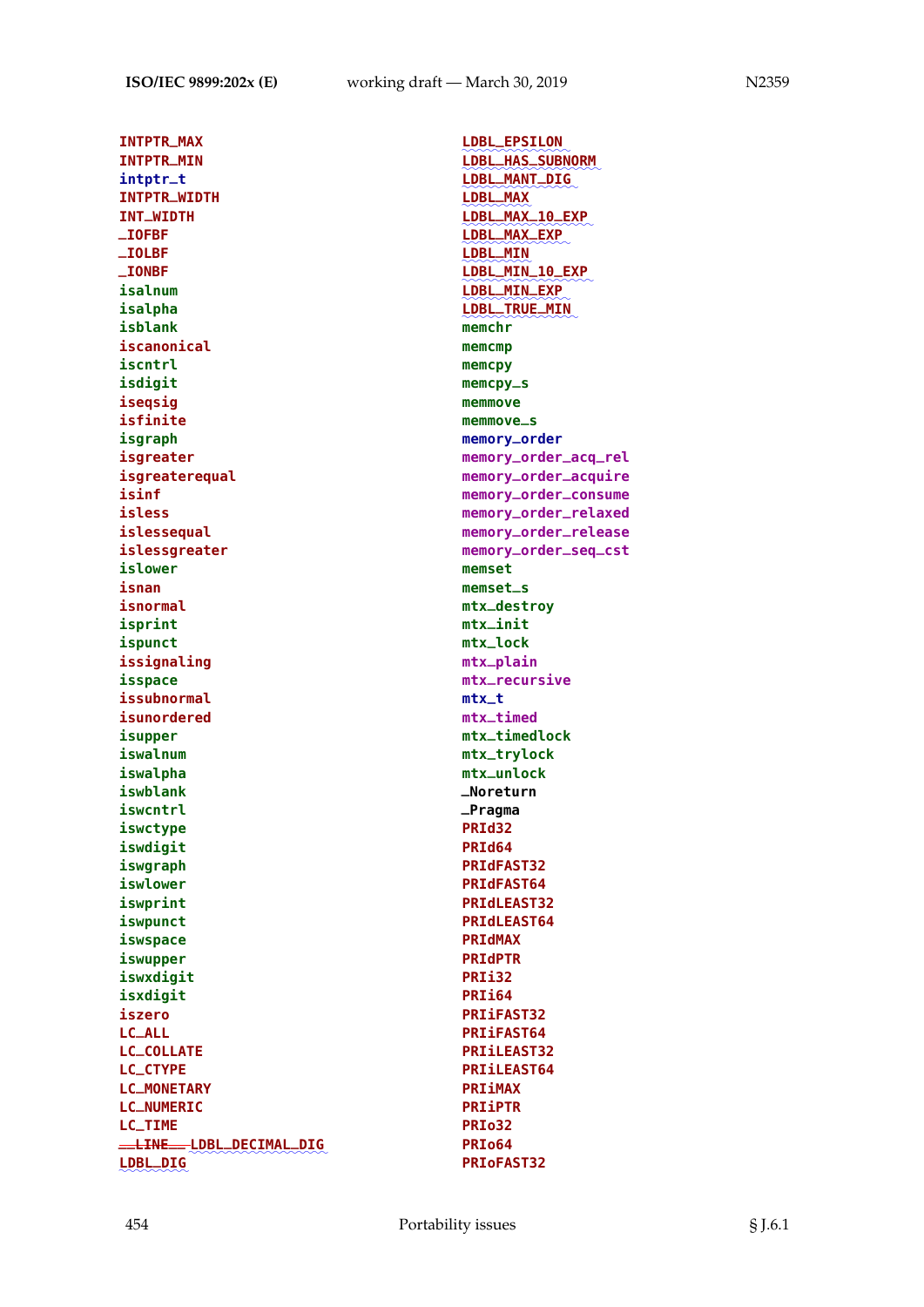**INTPTR\_MAX INTPTR\_MIN intptr\_t INTPTR\_WIDTH INT\_WIDTH \_IOFBF \_IOLBF \_IONBF isalnum isalpha isblank iscanonical iscntrl isdigit iseqsig isfinite isgraph isgreater isgreaterequal isinf isless islessequal islessgreater islower isnan isnormal isprint ispunct issignaling isspace issubnormal isunordered isupper iswalnum iswalpha iswblank iswcntrl iswctype iswdigit iswgraph iswlower iswprint iswpunct iswspace iswupper iswxdigit isxdigit iszero LC\_ALL LC\_COLLATE LC\_CTYPE LC\_MONETARY LC\_NUMERIC LC\_TIME \_\_LINE\_\_** ✿✿✿✿✿✿✿✿✿✿✿✿✿✿✿✿✿✿ **LDBL\_DECIMAL\_DIG** ✿✿✿✿✿✿✿✿✿ **LDBL\_DIG**

✿✿✿✿✿✿✿✿✿✿✿✿✿✿ **LDBL\_EPSILON** ✿✿✿✿✿✿✿✿✿✿✿✿✿✿✿✿✿✿ **LDBL\_HAS\_SUBNORM** LDBL\_MANT\_DIG ✿✿✿✿✿✿✿✿✿ **LDBL\_MAX\_10\_EXP LDBL\_MAX** ✿✿✿✿✿✿✿✿✿✿✿✿✿✿✿✿✿ ✿✿✿✿✿✿✿✿✿✿✿✿✿✿ **LDBL\_MAX\_EXP** ✿✿✿✿✿✿✿✿✿ **LDBL\_MIN** ✿✿✿✿✿✿✿✿✿✿✿✿✿✿✿✿✿ **LDBL\_MIN\_10\_EXP** ✿✿✿✿✿✿✿✿✿✿✿✿✿✿ **LDBL\_MIN\_EXP** LDBL\_TRUE\_MIN **memchr memcmp memcpy memcpy\_s memmove memmove\_s memory\_order memory\_order\_acq\_rel memory\_order\_acquire memory\_order\_consume memory\_order\_relaxed memory\_order\_release memory\_order\_seq\_cst memset memset\_s mtx\_destroy mtx\_init mtx\_lock mtx\_plain mtx\_recursive mtx\_t mtx\_timed mtx\_timedlock mtx\_trylock mtx\_unlock \_Noreturn \_Pragma PRId32 PRId64 PRIdFAST32 PRIdFAST64 PRIdLEAST32 PRIdLEAST64 PRIdMAX PRIdPTR PRIi32 PRIi64 PRIiFAST32 PRIiFAST64 PRIiLEAST32 PRIiLEAST64 PRIiMAX PRIiPTR PRIo32 PRIo64 PRIoFAST32**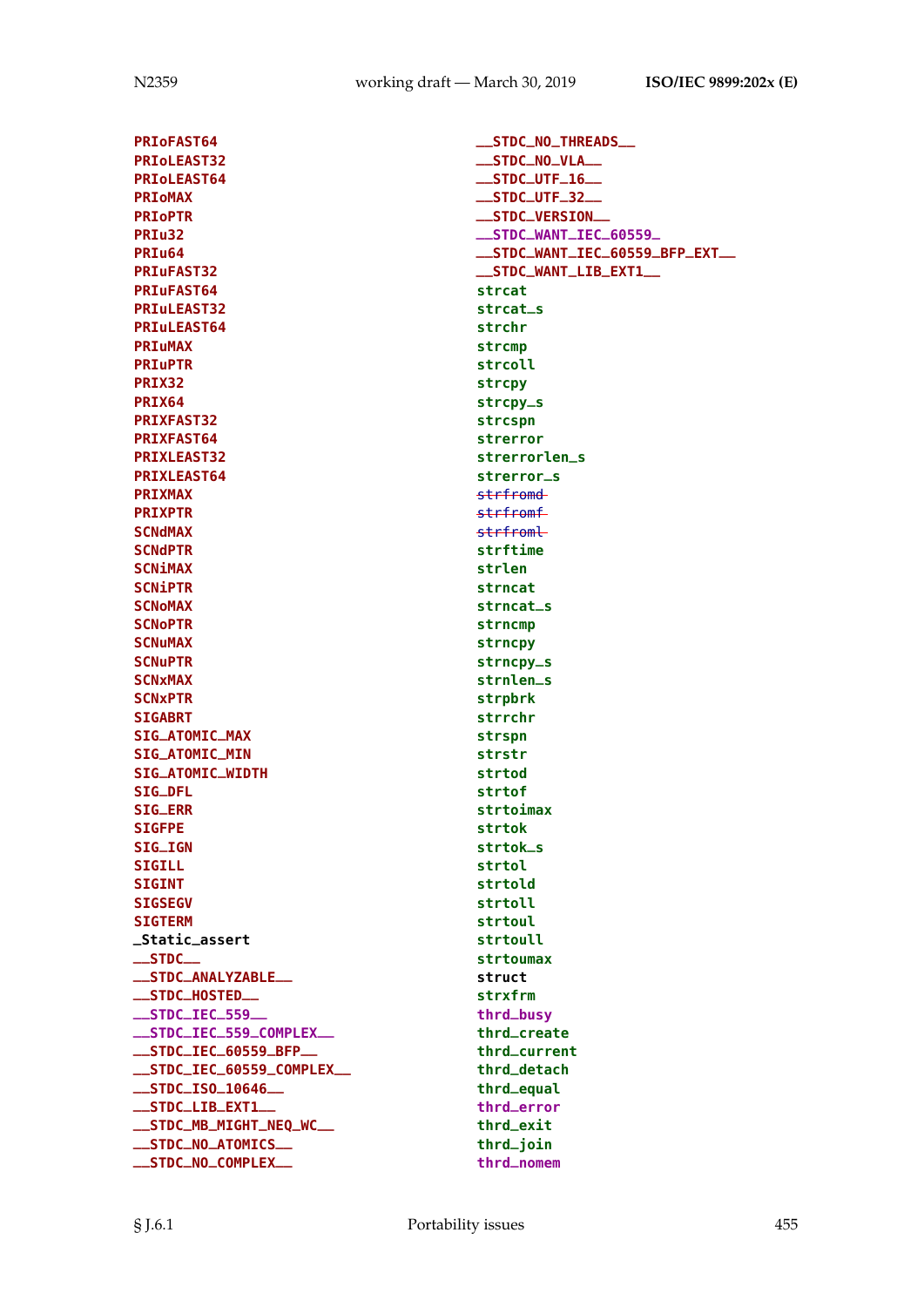**PRIoFAST64 PRIoLEAST32 PRIoLEAST64 PRIoMAX PRIoPTR PRIu32 PRIu64 PRIuFAST32 PRIuFAST64 PRIuLEAST32 PRIuLEAST64 PRIuMAX PRIuPTR PRIX32 PRIX64 PRIXFAST32 PRIXFAST64 PRIXLEAST32 PRIXLEAST64 PRIXMAX PRIXPTR SCNdMAX SCNdPTR SCNiMAX SCNiPTR SCNoMAX SCNoPTR SCNuMAX SCNuPTR SCNxMAX SCNxPTR SIGABRT SIG\_ATOMIC\_MAX SIG\_ATOMIC\_MIN SIG\_ATOMIC\_WIDTH SIG\_DFL SIG\_ERR SIGFPE SIG\_IGN SIGILL SIGINT SIGSEGV SIGTERM \_Static\_assert \_\_STDC\_\_ \_\_STDC\_ANALYZABLE\_\_ \_\_STDC\_HOSTED\_\_ \_\_STDC\_IEC\_559\_\_ \_\_STDC\_IEC\_559\_COMPLEX\_\_ \_\_STDC\_IEC\_60559\_BFP\_\_ \_\_STDC\_IEC\_60559\_COMPLEX\_\_ \_\_STDC\_ISO\_10646\_\_ \_\_STDC\_LIB\_EXT1\_\_ \_\_STDC\_MB\_MIGHT\_NEQ\_WC\_\_ \_\_STDC\_NO\_ATOMICS\_\_ \_\_STDC\_NO\_COMPLEX\_\_**

**\_\_STDC\_NO\_THREADS\_\_ \_\_STDC\_NO\_VLA\_\_ \_\_STDC\_UTF\_16\_\_ \_\_STDC\_UTF\_32\_\_ \_\_STDC\_VERSION\_\_ \_\_STDC\_WANT\_IEC\_60559\_ \_\_STDC\_WANT\_IEC\_60559\_BFP\_EXT\_\_ \_\_STDC\_WANT\_LIB\_EXT1\_\_ strcat strcat\_s strchr strcmp strcoll strcpy strcpy\_s strcspn strerror strerrorlen\_s strerror\_s** strfromd strfromf strfroml **strftime strlen strncat strncat\_s strncmp strncpy strncpy\_s strnlen\_s strpbrk strrchr strspn strstr strtod strtof strtoimax strtok strtok\_s strtol strtold strtoll strtoul strtoull strtoumax struct strxfrm thrd\_busy thrd\_create thrd\_current thrd\_detach thrd\_equal thrd\_error thrd\_exit thrd\_join thrd\_nomem**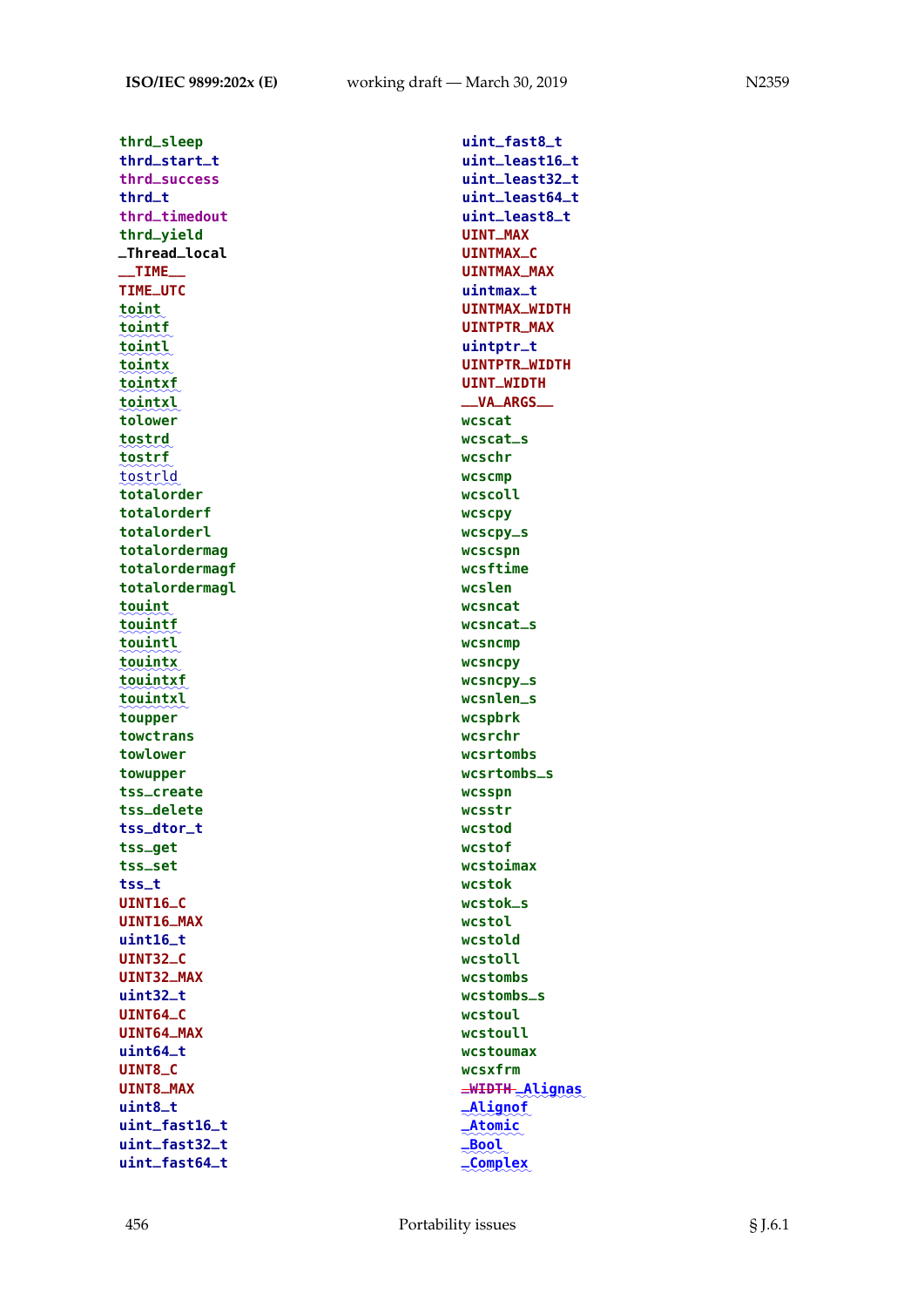**thrd\_sleep thrd\_start\_t thrd\_success thrd\_t thrd\_timedout thrd\_yield \_Thread\_local \_\_TIME\_\_ TIME\_UTC** ✿✿✿✿✿✿ **toint** ✿✿✿✿✿✿✿ **tointf** <u>tointl</u> ✿✿✿✿✿✿✿ **tointx** ✿✿✿✿✿✿✿✿ **tointxf** ✿✿✿✿✿✿✿✿ **tointxl tolower** ✿✿✿✿✿✿✿ **tostrd** ፟፟፟፟፟፟፟፟<br>tostrld **tostrf** ✿✿✿✿✿✿✿✿ **totalorder totalorderf totalorderl totalordermag totalordermagf totalordermagl** ✿✿✿✿✿✿✿ **touint** ✿✿✿✿✿✿✿✿ **touintf** <u>touintl</u> ✿✿✿✿✿✿✿✿ **touintx** <u>touintxf</u> <u>touintxl</u> **toupper towctrans towlower towupper tss\_create tss\_delete tss\_dtor\_t tss\_get tss\_set tss\_t UINT16\_C UINT16\_MAX uint16\_t UINT32\_C UINT32\_MAX uint32\_t UINT64\_C UINT64\_MAX uint64\_t UINT8\_C UINT8\_MAX uint8\_t uint\_fast16\_t uint\_fast32\_t uint\_fast64\_t**

**uint\_fast8\_t uint\_least16\_t uint\_least32\_t uint\_least64\_t uint\_least8\_t UINT\_MAX UINTMAX\_C UINTMAX\_MAX uintmax\_t UINTMAX\_WIDTH UINTPTR\_MAX uintptr\_t UINTPTR\_WIDTH UINT\_WIDTH \_\_VA\_ARGS\_\_ wcscat wcscat\_s wcschr wcscmp wcscoll wcscpy wcscpy\_s wcscspn wcsftime wcslen wcsncat wcsncat\_s wcsncmp wcsncpy wcsncpy\_s wcsnlen\_s wcspbrk wcsrchr wcsrtombs wcsrtombs\_s wcsspn wcsstr wcstod wcstof wcstoimax wcstok wcstok\_s wcstol wcstold wcstoll wcstombs wcstombs\_s wcstoul wcstoull wcstoumax wcsxfrm \_WIDTH** ✿✿✿✿✿✿✿✿✿ **\_Alignas** ✿✿✿✿✿✿✿✿✿ **\_Alignof** ✿✿✿✿✿✿✿✿ **\_Atomic** ✿✿✿✿✿✿ **\_Bool** ✿✿✿✿✿✿✿✿✿ **\_Complex**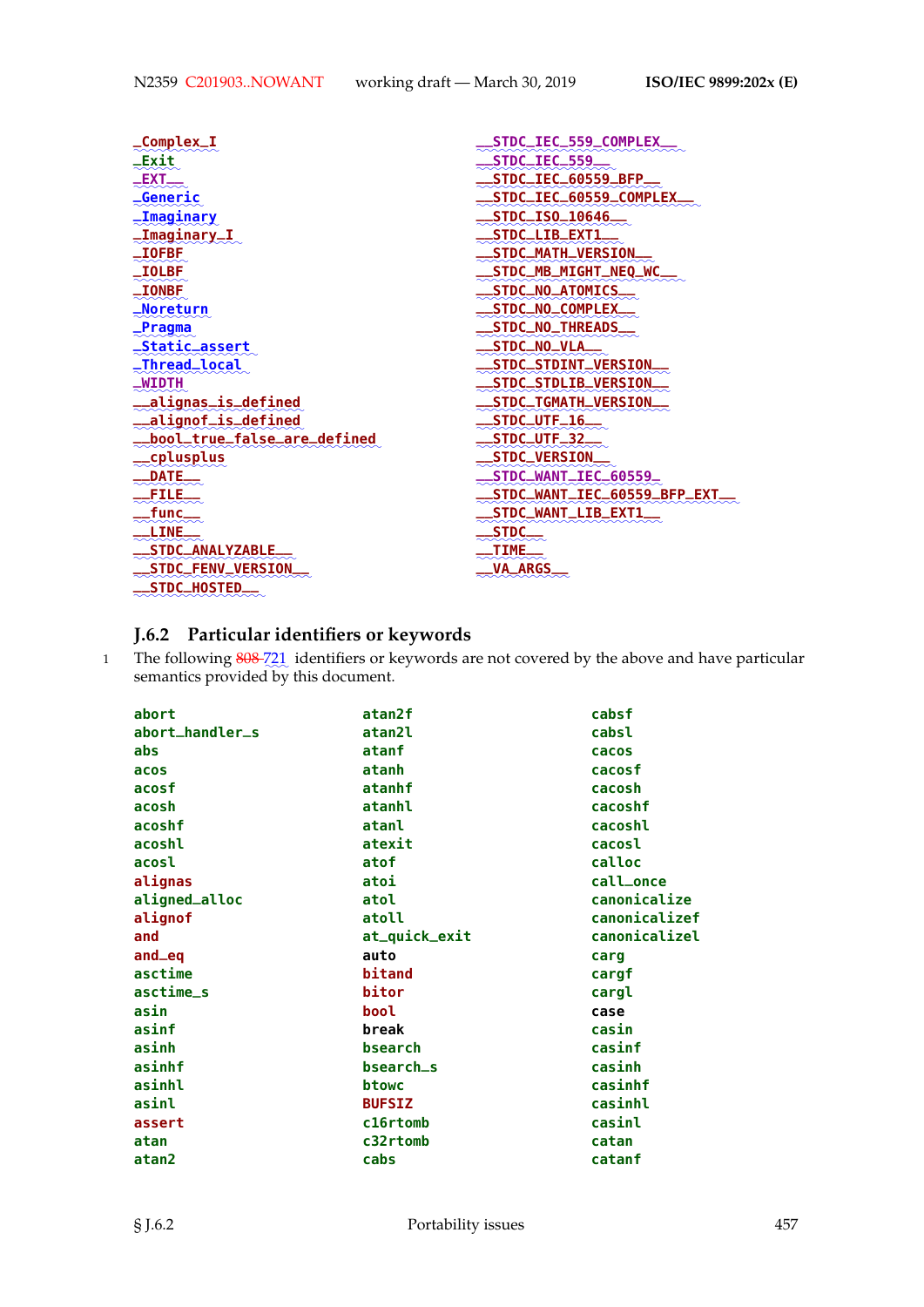| STDC_IEC_559_COMPLEX        |
|-----------------------------|
| STDC_IEC_559.               |
| .STDC_IEC_60559_BFP.        |
| STDC_IEC_60559_COMPLEX      |
| STDC_IS0_10646              |
| STDC_LIB_EXT1               |
| STDC_MATH_VERSION           |
| STDC_MB_MIGHT_NEO_WC        |
| STDC_NO_ATOMICS.            |
| .STDC_NO_COMPLEX.           |
| .STDC_NO_THREADS            |
| STDC_NO_VLA                 |
| <b>.STDC_STDINT_VERSION</b> |
| <b>STDC_STDLIB_VERSION</b>  |
| <b>STDC_TGMATH_VERSION</b>  |
| STDC_UTF_16                 |
| .STDC_UTF_32.               |
| <b>STDC_VERSION</b>         |
| STDC_WANT_IEC_60559_        |
| STDC_WANT_IEC_60559_BFP_EXT |
| <b>STDC_WANT_LIB_EXT1</b>   |
| STDC.                       |
| .TIME.                      |
| <b>VA_ARGS</b>              |
|                             |
|                             |

# **J.6.2 Particular identifiers or keywords**

1 The following  $808\frac{721}{2}$  identifiers or keywords are not covered by the above and have particular semantics provided by this document.

| abort           | atan2f        | cabsf         |
|-----------------|---------------|---------------|
| abort_handler_s | atan2l        | cabsl         |
| abs             | atanf         | cacos         |
| acos            | atanh         | cacosf        |
| acosf           | atanhf        | cacosh        |
| acosh           | atanhl        | cacoshf       |
| acoshf          | atanl         | cacoshl       |
| acoshl          | atexit        | cacosl        |
| acosl           | atof          | calloc        |
| alignas         | atoi          | call_once     |
| aligned_alloc   | atol          | canonicalize  |
| alignof         | atoll         | canonicalizef |
| and             | at_quick_exit | canonicalizel |
| and_eq          | auto          | carg          |
| asctime         | bitand        | cargf         |
| asctime_s       | bitor         | cargl         |
| asin            | bool          | case          |
| asinf           | break         | casin         |
| asinh           | bsearch       | casinf        |
| asinhf          | bsearch_s     | casinh        |
| asinhl          | btowc         | casinhf       |
| asinl           | <b>BUFSIZ</b> | casinhl       |
| assert          | c16rtomb      | casinl        |
| atan            | c32rtomb      | catan         |
| atan2           | cabs          | catanf        |
|                 |               |               |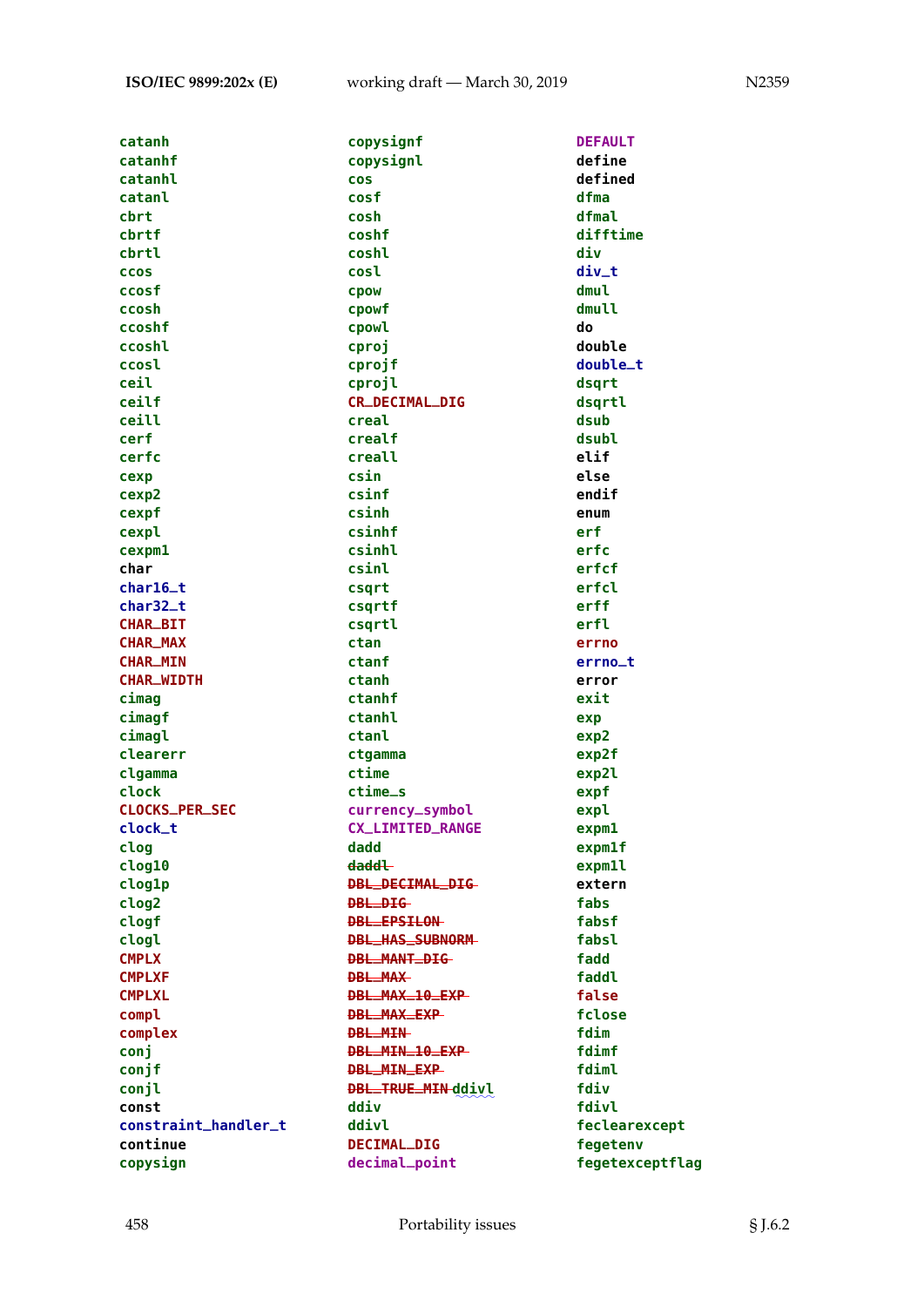| catanh                | copysignf               | <b>DEFAULT</b>     |
|-----------------------|-------------------------|--------------------|
| catanhf               | copysignl               | define             |
| catanhl               | <b>COS</b>              | defined            |
| catanl                | cosf                    | dfma               |
| cbrt                  | cosh                    | dfmal              |
| cbrtf                 | coshf                   | difftime           |
| cbrtl                 | coshl                   | div                |
|                       |                         |                    |
| <b>CCOS</b>           | cosl                    | div_t              |
| ccosf                 | <b>CDOW</b>             | dmul               |
| ccosh                 | cpowf                   | dmull              |
| ccoshf                | cpowl                   | do                 |
| ccoshl                | cproj                   | double             |
| ccosl                 | cprojf                  | double_t           |
| ceil                  | cprojl                  | dsqrt              |
| ceilf                 | <b>CR_DECIMAL_DIG</b>   | dsqrtl             |
| ceill                 | creal                   | dsub               |
| cerf                  | crealf                  | dsubl              |
| cerfc                 | creall                  | elif               |
| cexp                  | csin                    | else               |
| cexp2                 | csinf                   | endif              |
| cexpf                 | csinh                   | enum               |
| cexpl                 | csinhf                  | erf                |
| cexpm1                | csinhl                  | erfc               |
| char                  | csinl                   | erfcf              |
| $char16_t$            | csqrt                   | erfcl              |
| char32_t              | csqrtf                  | erff               |
| <b>CHAR_BIT</b>       | csgrtl                  | erfl               |
| <b>CHAR_MAX</b>       | ctan                    | errno              |
| <b>CHAR_MIN</b>       | ctanf                   |                    |
|                       |                         | errno_t            |
| <b>CHAR_WIDTH</b>     | ctanh                   | error              |
| cimag                 | ctanhf                  | exit               |
| cimagf                | ctanhl                  | exp                |
| cimagl                | ctanl                   | exp2               |
| clearerr              | ctgamma                 | exp2f              |
| clgamma               | ctime                   | exp2l              |
| clock                 | ctime_s                 | expf               |
| <b>CLOCKS_PER_SEC</b> | currency_symbol         | expl               |
| clock_t               | <b>CX_LIMITED_RANGE</b> | exp <sub>m1</sub>  |
| clog                  | dadd                    | exp <sub>m1f</sub> |
| clog10                | <del>daddl</del>        | expm1l             |
| clog1p                | DBL_DECIMAL_DIG-        | extern             |
| clog2                 | <b>DBL_DIG</b>          | fabs               |
| clogf                 | <b>DBL_EPSILON</b>      | fabsf              |
| clogl                 | <b>DBL_HAS_SUBNORM</b>  | fabsl              |
| <b>CMPLX</b>          | <b>DBL_MANT_DIG</b>     | fadd               |
| <b>CMPLXF</b>         | <b>DBL_MAX</b>          | faddl              |
| <b>CMPLXL</b>         | DBL_MAX_10_EXP          | false              |
| compl                 | <b>DBL_MAX_EXP</b>      | fclose             |
| complex               | <b>DBL_MIN</b>          | fdim               |
| conj                  | DBL_MIN_10_EXP          | fdimf              |
| conjf                 | DBL_MIN_EXP             | fdiml              |
|                       | DBL_TRUE_MIN-ddivl      | fdiv               |
| conjl                 |                         |                    |
| const                 | ddiv                    | fdivl              |
| constraint_handler_t  | ddivl                   | feclearexcept      |
| continue              | DECIMAL_DIG             | fegetenv           |
| copysign              | decimal_point           | fegetexceptflag    |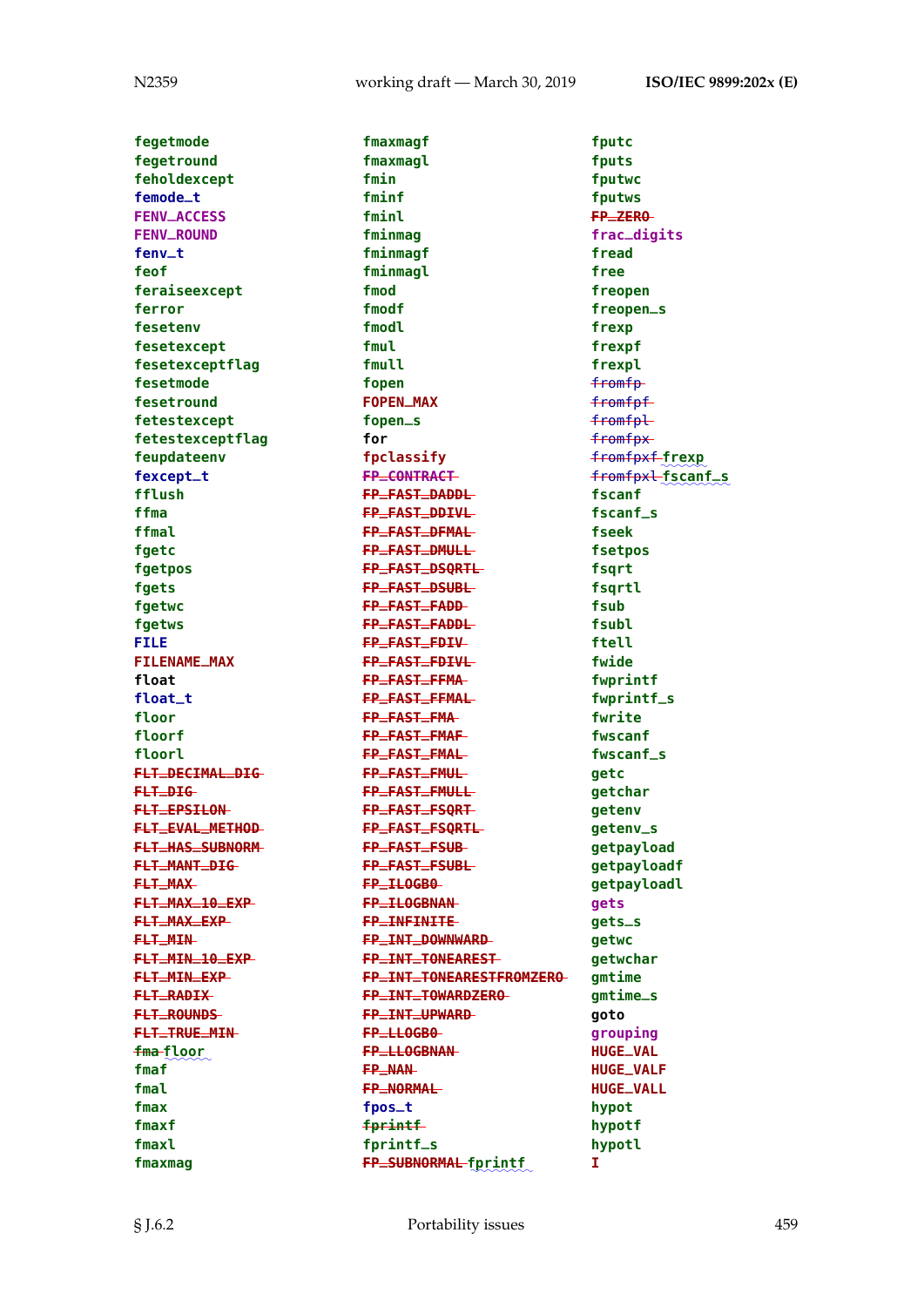**fegetmode fegetround feholdexcept femode\_t FENV\_ACCESS FENV\_ROUND fenv\_t feof feraiseexcept ferror fesetenv fesetexcept fesetexceptflag fesetmode fesetround fetestexcept fetestexceptflag feupdateenv fexcept\_t fflush ffma ffmal fgetc fgetpos fgets fgetwc fgetws FILE FILENAME\_MAX float float\_t floor floorf floorl FLT\_DECIMAL\_DIG FLT\_DIG FLT\_EPSILON FLT\_EVAL\_METHOD FLT\_HAS\_SUBNORM FLT\_MANT\_DIG FLT\_MAX FLT\_MAX\_10\_EXP FLT\_MAX\_EXP FLT\_MIN FLT\_MIN\_10\_EXP FLT\_MIN\_EXP FLT\_RADIX FLT\_ROUNDS FLT\_TRUE\_MIN** <mark>fma</mark> floor **fmaf fmal fmax fmaxf fmaxl fmaxmag**

**fmaxmagf fmaxmagl fmin fminf fminl fminmag fminmagf fminmagl fmod fmodf fmodl fmul fmull fopen FOPEN\_MAX fopen\_s for fpclassify FP\_CONTRACT FP\_FAST\_DADDL FP\_FAST\_DDIVL FP\_FAST\_DFMAL FP\_FAST\_DMULL FP\_FAST\_DSQRTL FP\_FAST\_DSUBL FP\_FAST\_FADD FP\_FAST\_FADDL FP\_FAST\_FDIV FP\_FAST\_FDIVL FP\_FAST\_FFMA FP\_FAST\_FFMAL FP\_FAST\_FMA FP\_FAST\_FMAF FP\_FAST\_FMAL FP\_FAST\_FMUL FP\_FAST\_FMULL FP\_FAST\_FSQRT FP\_FAST\_FSQRTL FP\_FAST\_FSUB FP\_FAST\_FSUBL FP\_ILOGB0 FP\_ILOGBNAN FP\_INFINITE FP\_INT\_DOWNWARD FP\_INT\_TONEAREST FP\_INT\_TONEARESTFROMZERO FP\_INT\_TOWARDZERO FP\_INT\_UPWARD FP\_LLOGB0 FP\_LLOGBNAN FP\_NAN FP\_NORMAL fpos\_t fprintf fprintf\_s**  $FP\_SUBNORMAL$  fprintf

**fputc fputs fputwc fputws FP\_ZERO frac\_digits fread free freopen freopen\_s frexp frexpf frexpl** fromfp fromfpf fromfpl fromfpx fromfpxf ✿✿✿✿✿✿ **frexp** fromfpxl ✿✿✿✿✿✿✿✿✿ **fscanf\_s fscanf fscanf\_s fseek fsetpos fsqrt fsqrtl fsub fsubl ftell fwide fwprintf fwprintf\_s fwrite fwscanf fwscanf\_s getc getchar getenv getenv\_s getpayload getpayloadf getpayloadl gets gets\_s getwc getwchar gmtime gmtime\_s goto grouping HUGE\_VAL HUGE\_VALF HUGE\_VALL hypot hypotf hypotl I**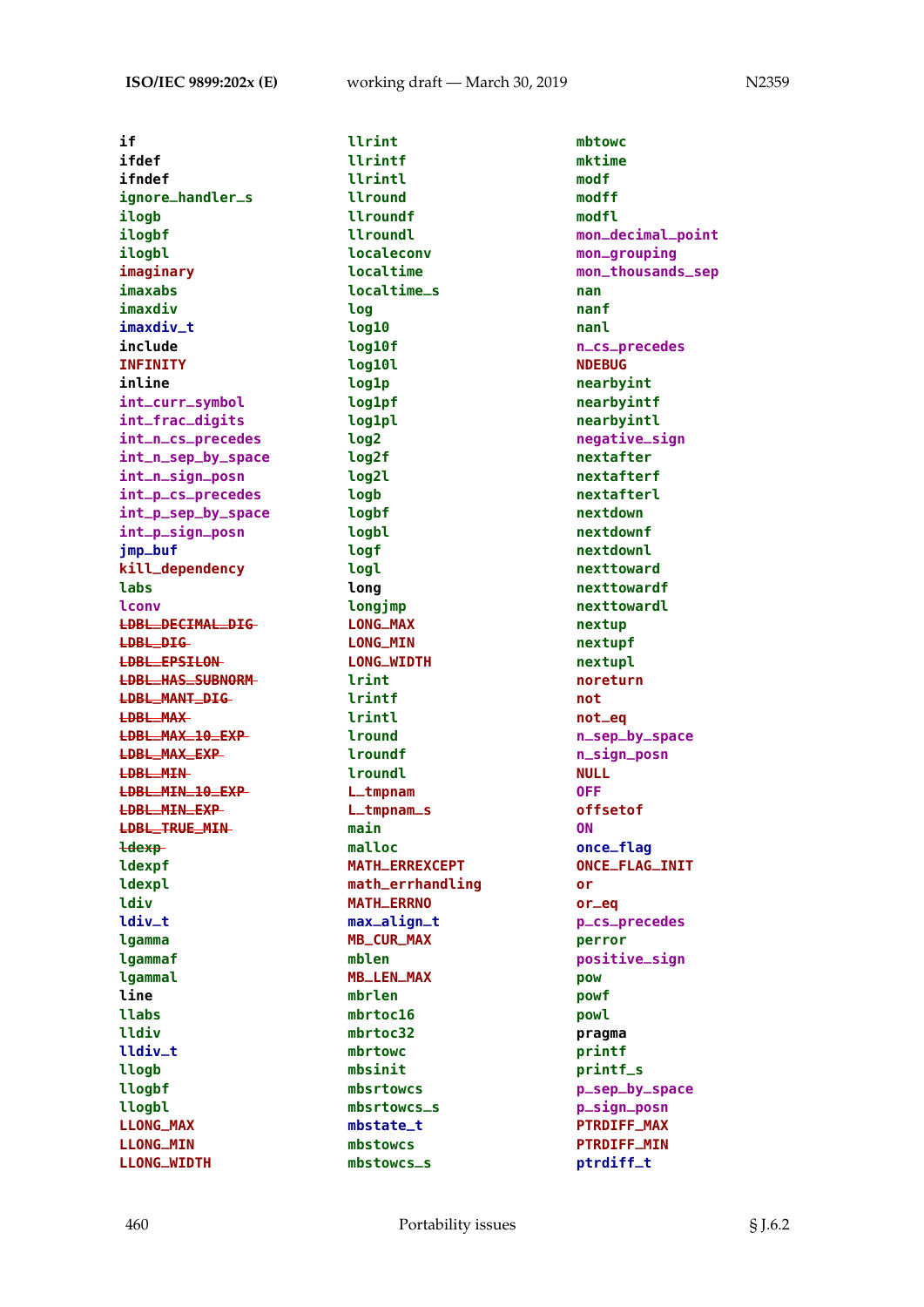**if ifdef ifndef ignore\_handler\_s ilogb ilogbf ilogbl imaginary imaxabs imaxdiv imaxdiv\_t include INFINITY inline int\_curr\_symbol int\_frac\_digits int\_n\_cs\_precedes int\_n\_sep\_by\_space int\_n\_sign\_posn int\_p\_cs\_precedes int\_p\_sep\_by\_space int\_p\_sign\_posn jmp\_buf kill\_dependency labs lconv LDBL\_DECIMAL\_DIG LDBL\_DIG LDBL\_EPSILON LDBL\_HAS\_SUBNORM LDBL\_MANT\_DIG LDBL\_MAX LDBL\_MAX\_10\_EXP LDBL\_MAX\_EXP LDBL\_MIN LDBL\_MIN\_10\_EXP LDBL\_MIN\_EXP LDBL\_TRUE\_MIN ldexp ldexpf ldexpl ldiv ldiv\_t lgamma lgammaf lgammal line llabs lldiv lldiv\_t llogb llogbf llogbl LLONG\_MAX LLONG\_MIN LLONG\_WIDTH**

**llrint llrintf llrintl llround llroundf llroundl localeconv localtime localtime\_s log log10 log10f log10l log1p log1pf log1pl log2 log2f log2l logb logbf logbl logf logl long longjmp LONG\_MAX LONG\_MIN LONG\_WIDTH lrint lrintf lrintl lround lroundf lroundl L\_tmpnam L\_tmpnam\_s main malloc MATH\_ERREXCEPT math\_errhandling MATH\_ERRNO max\_align\_t MB\_CUR\_MAX mblen MB\_LEN\_MAX mbrlen mbrtoc16 mbrtoc32 mbrtowc mbsinit mbsrtowcs mbsrtowcs\_s mbstate\_t mbstowcs mbstowcs\_s**

**mbtowc mktime modf modff modfl mon\_decimal\_point mon\_grouping mon\_thousands\_sep nan nanf nanl n\_cs\_precedes NDEBUG nearbyint nearbyintf nearbyintl negative\_sign nextafter nextafterf nextafterl nextdown nextdownf nextdownl nexttoward nexttowardf nexttowardl nextup nextupf nextupl noreturn not not\_eq n\_sep\_by\_space n\_sign\_posn NULL OFF offsetof ON once\_flag ONCE\_FLAG\_INIT or or\_eq p\_cs\_precedes perror positive\_sign pow powf powl pragma printf printf\_s p\_sep\_by\_space p\_sign\_posn PTRDIFF\_MAX PTRDIFF\_MIN ptrdiff\_t**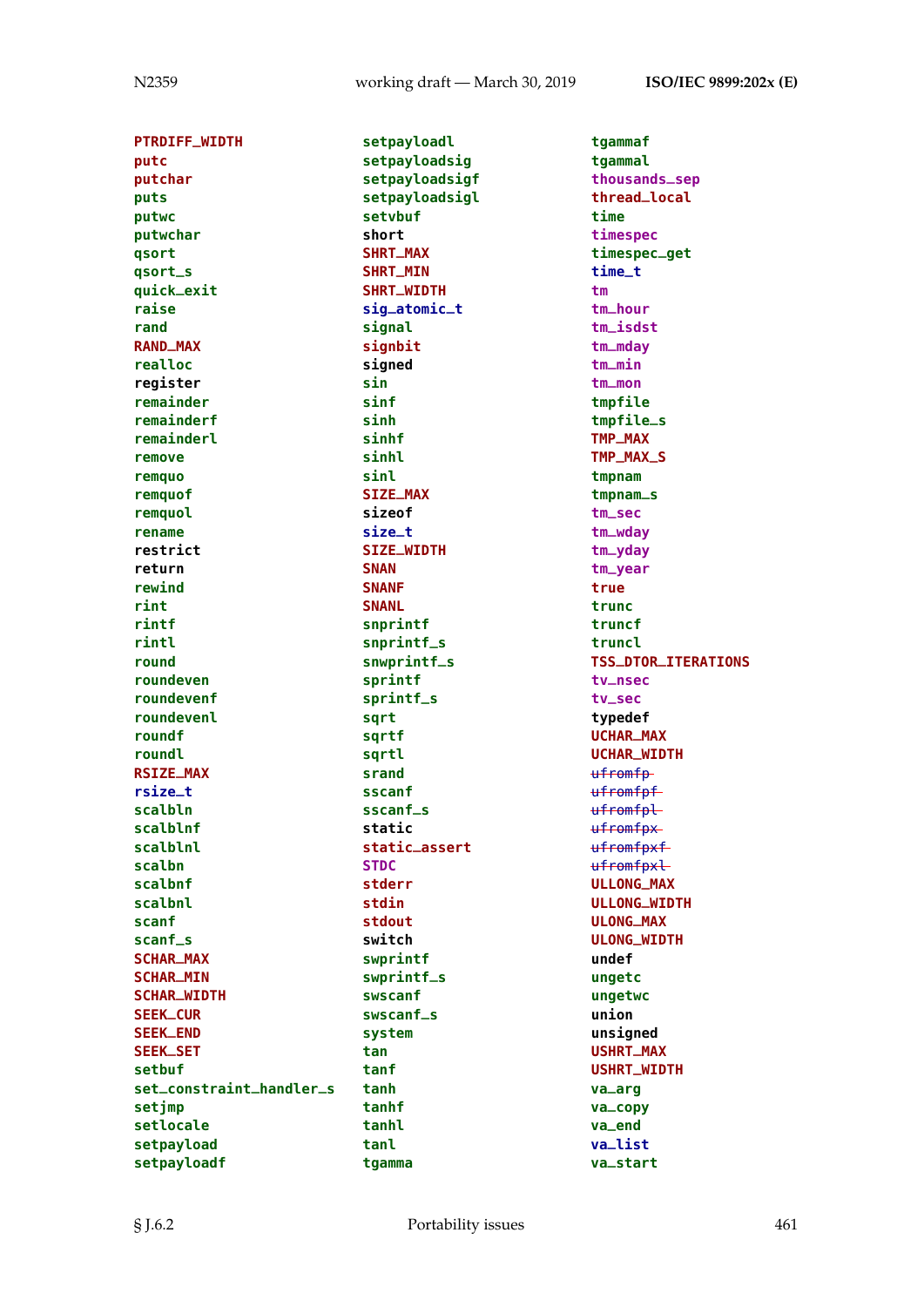**PTRDIFF\_WIDTH putc putchar puts putwc putwchar qsort qsort\_s quick\_exit raise rand RAND\_MAX realloc register remainder remainderf remainderl remove remquo remquof remquol rename restrict return rewind rint rintf rintl round roundeven roundevenf roundevenl roundf roundl RSIZE\_MAX rsize\_t scalbln scalblnf scalblnl scalbn scalbnf scalbnl scanf scanf\_s SCHAR\_MAX SCHAR\_MIN SCHAR\_WIDTH SEEK\_CUR SEEK\_END SEEK\_SET setbuf set\_constraint\_handler\_s setjmp setlocale setpayload setpayloadf**

**setpayloadl setpayloadsig setpayloadsigf setpayloadsigl setvbuf short SHRT\_MAX SHRT\_MIN SHRT\_WIDTH sig\_atomic\_t signal signbit signed sin sinf sinh sinhf sinhl sinl SIZE\_MAX sizeof size\_t SIZE\_WIDTH SNAN SNANF SNANL snprintf snprintf\_s snwprintf\_s sprintf sprintf\_s sqrt sqrtf sqrtl srand sscanf sscanf\_s static static\_assert STDC stderr stdin stdout switch swprintf swprintf\_s swscanf swscanf\_s system tan tanf tanh tanhf tanhl tanl tgamma**

**tgammaf tgammal thousands\_sep thread\_local time timespec timespec\_get time\_t tm tm\_hour tm\_isdst tm\_mday tm\_min tm\_mon tmpfile tmpfile\_s TMP\_MAX TMP\_MAX\_S tmpnam tmpnam\_s tm\_sec tm\_wday tm\_yday tm\_year true trunc truncf truncl TSS\_DTOR\_ITERATIONS tv\_nsec tv\_sec typedef UCHAR\_MAX UCHAR\_WIDTH** ufromfp ufromfpf ufromfpl ufromfpx ufromfpxf ufromfpxl **ULLONG\_MAX ULLONG\_WIDTH ULONG\_MAX ULONG\_WIDTH undef ungetc ungetwc union unsigned USHRT\_MAX USHRT\_WIDTH va\_arg va\_copy va\_end va\_list va\_start**